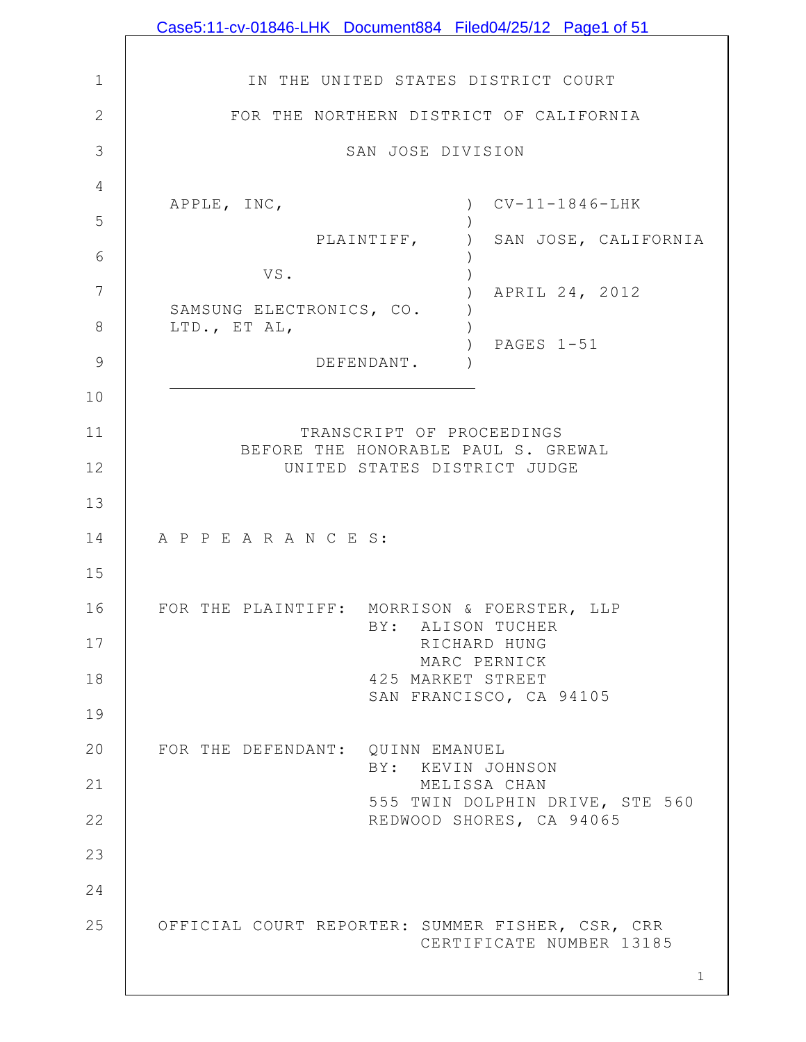|              | Case5:11-cv-01846-LHK Document884 Filed04/25/12 Page1 of 51         |
|--------------|---------------------------------------------------------------------|
|              |                                                                     |
| $\mathbf 1$  | IN THE UNITED STATES DISTRICT COURT                                 |
| $\mathbf{2}$ | FOR THE NORTHERN DISTRICT OF CALIFORNIA                             |
| 3            | SAN JOSE DIVISION                                                   |
| 4            | $CV-11-1846-LHK$<br>APPLE, INC,                                     |
| 5            | PLAINTIFF,<br>SAN JOSE, CALIFORNIA                                  |
| 6            | VS.                                                                 |
| 7            | APRIL 24, 2012<br>SAMSUNG ELECTRONICS, CO.                          |
| 8            | LTD., ET AL,<br>PAGES 1-51                                          |
| 9            | DEFENDANT.                                                          |
| 10           |                                                                     |
| 11           | TRANSCRIPT OF PROCEEDINGS                                           |
| 12           | BEFORE THE HONORABLE PAUL S. GREWAL<br>UNITED STATES DISTRICT JUDGE |
| 13           |                                                                     |
| 14           | A P P E A R A N C E S:                                              |
| 15           |                                                                     |
| 16           | FOR THE PLAINTIFF: MORRISON & FOERSTER, LLP<br>BY: ALISON TUCHER    |
| 17           | RICHARD HUNG<br>MARC PERNICK                                        |
| 18           | 425 MARKET STREET                                                   |
| 19           | SAN FRANCISCO, CA 94105                                             |
| 20           | FOR THE DEFENDANT: QUINN EMANUEL                                    |
| 21           | BY: KEVIN JOHNSON<br>MELISSA CHAN                                   |
| 22           | 555 TWIN DOLPHIN DRIVE, STE 560<br>REDWOOD SHORES, CA 94065         |
| 23           |                                                                     |
| 24           |                                                                     |
| 25           | OFFICIAL COURT REPORTER: SUMMER FISHER, CSR, CRR                    |
|              | CERTIFICATE NUMBER 13185                                            |
|              | $\mathbf 1$                                                         |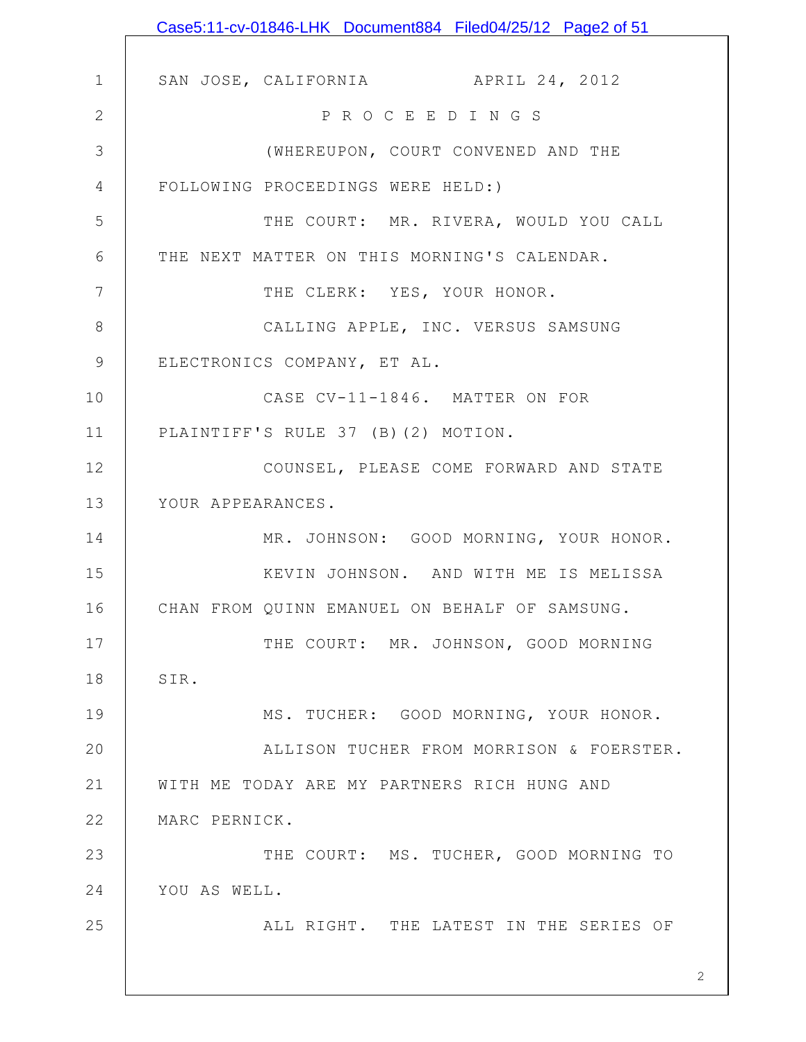|              | Case5:11-cv-01846-LHK Document884 Filed04/25/12 Page2 of 51 |
|--------------|-------------------------------------------------------------|
|              |                                                             |
| $\mathbf 1$  | SAN JOSE, CALIFORNIA APRIL 24, 2012                         |
| $\mathbf{2}$ | P R O C E E D I N G S                                       |
| 3            | (WHEREUPON, COURT CONVENED AND THE                          |
| 4            | FOLLOWING PROCEEDINGS WERE HELD:)                           |
| 5            | THE COURT: MR. RIVERA, WOULD YOU CALL                       |
| 6            | THE NEXT MATTER ON THIS MORNING'S CALENDAR.                 |
| 7            | THE CLERK: YES, YOUR HONOR.                                 |
| 8            | CALLING APPLE, INC. VERSUS SAMSUNG                          |
| $\mathsf 9$  | ELECTRONICS COMPANY, ET AL.                                 |
| 10           | CASE CV-11-1846. MATTER ON FOR                              |
| 11           | PLAINTIFF'S RULE 37 (B) (2) MOTION.                         |
| 12           | COUNSEL, PLEASE COME FORWARD AND STATE                      |
| 13           | YOUR APPEARANCES.                                           |
| 14           | MR. JOHNSON: GOOD MORNING, YOUR HONOR.                      |
| 15           | KEVIN JOHNSON. AND WITH ME IS MELISSA                       |
| 16           | CHAN FROM QUINN EMANUEL ON BEHALF OF SAMSUNG.               |
| 17           | THE COURT: MR. JOHNSON, GOOD MORNING                        |
| 18           | SIR.                                                        |
| 19           | MS. TUCHER: GOOD MORNING, YOUR HONOR.                       |
| 20           | ALLISON TUCHER FROM MORRISON & FOERSTER.                    |
| 21           | WITH ME TODAY ARE MY PARTNERS RICH HUNG AND                 |
| 22           | MARC PERNICK.                                               |
| 23           | THE COURT: MS. TUCHER, GOOD MORNING TO                      |
| 24           | YOU AS WELL.                                                |
| 25           | ALL RIGHT. THE LATEST IN THE SERIES OF                      |
|              |                                                             |
|              | 2                                                           |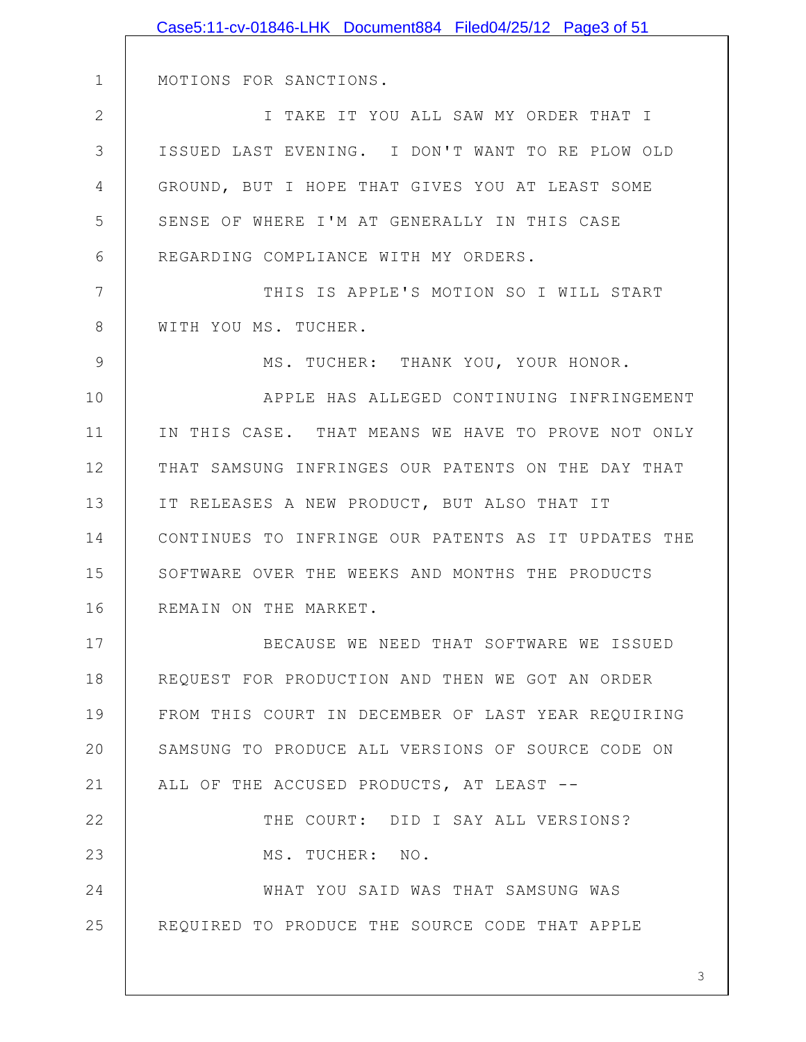|               | Case5:11-cv-01846-LHK Document884 Filed04/25/12 Page3 of 51 |
|---------------|-------------------------------------------------------------|
|               |                                                             |
| $\mathbf 1$   | MOTIONS FOR SANCTIONS.                                      |
| $\mathbf{2}$  | I TAKE IT YOU ALL SAW MY ORDER THAT I                       |
| 3             | ISSUED LAST EVENING. I DON'T WANT TO RE PLOW OLD            |
| 4             | GROUND, BUT I HOPE THAT GIVES YOU AT LEAST SOME             |
| 5             | SENSE OF WHERE I'M AT GENERALLY IN THIS CASE                |
| 6             | REGARDING COMPLIANCE WITH MY ORDERS.                        |
| 7             | THIS IS APPLE'S MOTION SO I WILL START                      |
| 8             | WITH YOU MS. TUCHER.                                        |
| $\mathcal{G}$ | MS. TUCHER: THANK YOU, YOUR HONOR.                          |
| 10            | APPLE HAS ALLEGED CONTINUING INFRINGEMENT                   |
| 11            | IN THIS CASE. THAT MEANS WE HAVE TO PROVE NOT ONLY          |
| 12            | THAT SAMSUNG INFRINGES OUR PATENTS ON THE DAY THAT          |
| 13            | IT RELEASES A NEW PRODUCT, BUT ALSO THAT IT                 |
| 14            | CONTINUES TO INFRINGE OUR PATENTS AS IT UPDATES THE         |
| 15            | SOFTWARE OVER THE WEEKS AND MONTHS THE PRODUCTS             |
| 16            | REMAIN ON THE MARKET.                                       |
| 17            | BECAUSE WE NEED THAT SOFTWARE WE ISSUED                     |
| 18            | REQUEST FOR PRODUCTION AND THEN WE GOT AN ORDER             |
| 19            | FROM THIS COURT IN DECEMBER OF LAST YEAR REQUIRING          |
| 20            | SAMSUNG TO PRODUCE ALL VERSIONS OF SOURCE CODE ON           |
| 21            | ALL OF THE ACCUSED PRODUCTS, AT LEAST --                    |
| 22            | THE COURT: DID I SAY ALL VERSIONS?                          |
| 23            | MS. TUCHER: NO.                                             |
| 24            | WHAT YOU SAID WAS THAT SAMSUNG WAS                          |
| 25            | REQUIRED TO PRODUCE THE SOURCE CODE THAT APPLE              |
|               |                                                             |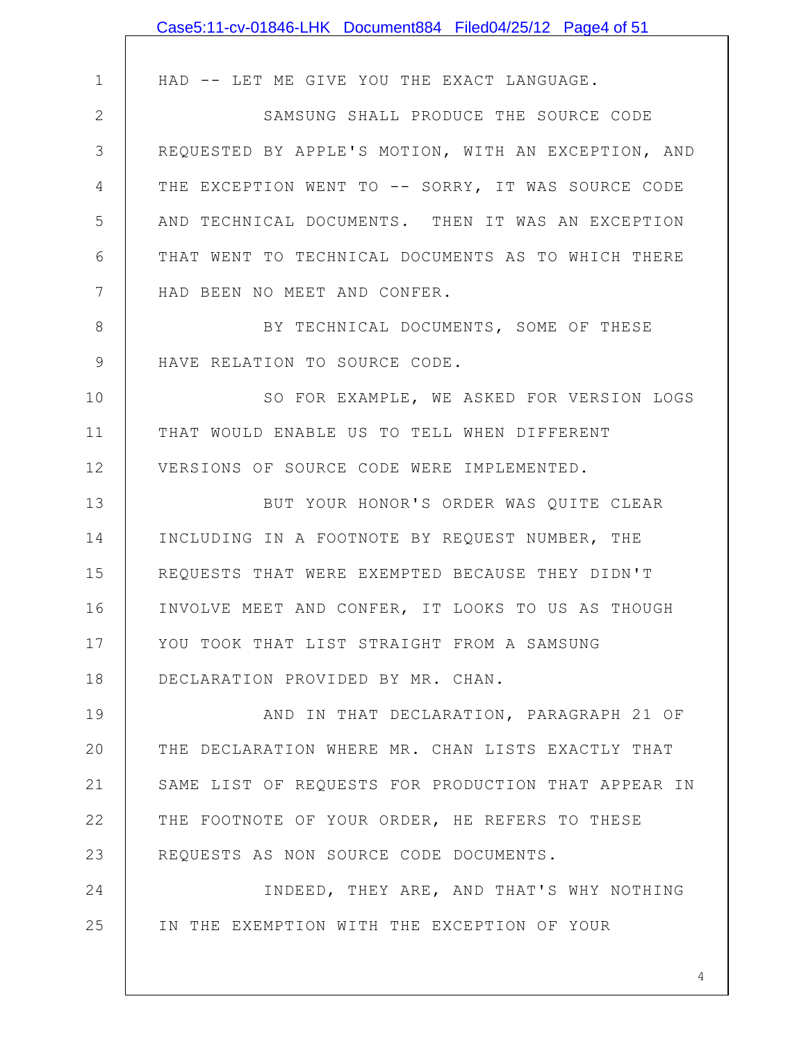|               | Case5:11-cv-01846-LHK Document884 Filed04/25/12 Page4 of 51 |
|---------------|-------------------------------------------------------------|
|               |                                                             |
| $\mathbf 1$   | HAD -- LET ME GIVE YOU THE EXACT LANGUAGE.                  |
| $\mathbf{2}$  | SAMSUNG SHALL PRODUCE THE SOURCE CODE                       |
| 3             | REQUESTED BY APPLE'S MOTION, WITH AN EXCEPTION, AND         |
| 4             | THE EXCEPTION WENT TO -- SORRY, IT WAS SOURCE CODE          |
| 5             | AND TECHNICAL DOCUMENTS. THEN IT WAS AN EXCEPTION           |
| 6             | THAT WENT TO TECHNICAL DOCUMENTS AS TO WHICH THERE          |
| 7             | HAD BEEN NO MEET AND CONFER.                                |
| 8             | BY TECHNICAL DOCUMENTS, SOME OF THESE                       |
| $\mathcal{G}$ | HAVE RELATION TO SOURCE CODE.                               |
| 10            | SO FOR EXAMPLE, WE ASKED FOR VERSION LOGS                   |
| 11            | THAT WOULD ENABLE US TO TELL WHEN DIFFERENT                 |
| 12            | VERSIONS OF SOURCE CODE WERE IMPLEMENTED.                   |
| 13            | BUT YOUR HONOR'S ORDER WAS QUITE CLEAR                      |
| 14            | INCLUDING IN A FOOTNOTE BY REQUEST NUMBER, THE              |
| 15            | REQUESTS THAT WERE EXEMPTED BECAUSE THEY DIDN'T             |
| 16            | INVOLVE MEET AND CONFER, IT LOOKS TO US AS THOUGH           |
| 17            | YOU TOOK THAT LIST STRAIGHT FROM A SAMSUNG                  |
| 18            | DECLARATION PROVIDED BY MR. CHAN.                           |
| 19            | AND IN THAT DECLARATION, PARAGRAPH 21 OF                    |
| 20            | THE DECLARATION WHERE MR. CHAN LISTS EXACTLY THAT           |
| 21            | SAME LIST OF REQUESTS FOR PRODUCTION THAT APPEAR IN         |
| 22            | THE FOOTNOTE OF YOUR ORDER, HE REFERS TO THESE              |
| 23            | REQUESTS AS NON SOURCE CODE DOCUMENTS.                      |
| 24            | INDEED, THEY ARE, AND THAT'S WHY NOTHING                    |
| 25            | IN THE EXEMPTION WITH THE EXCEPTION OF YOUR                 |
|               |                                                             |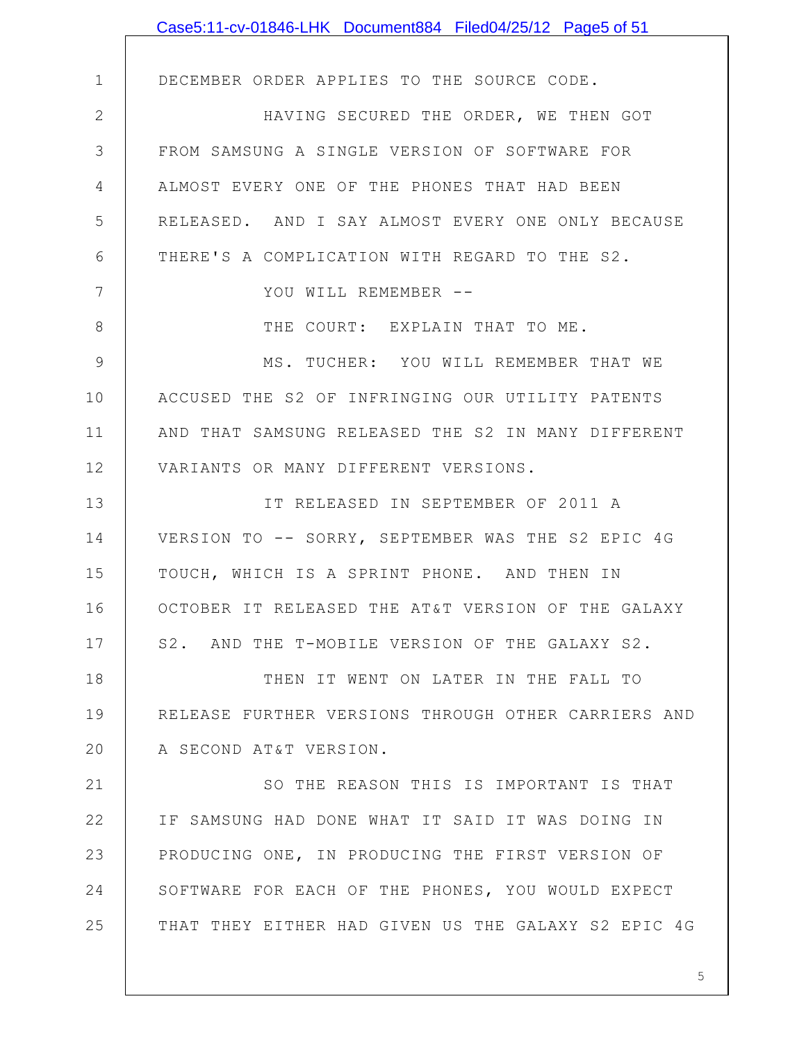|              | Case5:11-cv-01846-LHK Document884 Filed04/25/12 Page5 of 51 |
|--------------|-------------------------------------------------------------|
|              |                                                             |
| $\mathbf 1$  | DECEMBER ORDER APPLIES TO THE SOURCE CODE.                  |
| $\mathbf{2}$ | HAVING SECURED THE ORDER, WE THEN GOT                       |
| 3            | FROM SAMSUNG A SINGLE VERSION OF SOFTWARE FOR               |
| 4            | ALMOST EVERY ONE OF THE PHONES THAT HAD BEEN                |
| 5            | RELEASED. AND I SAY ALMOST EVERY ONE ONLY BECAUSE           |
| 6            | THERE'S A COMPLICATION WITH REGARD TO THE S2.               |
| 7            | YOU WILL REMEMBER --                                        |
| 8            | THE COURT: EXPLAIN THAT TO ME.                              |
| 9            | MS. TUCHER: YOU WILL REMEMBER THAT WE                       |
| 10           | ACCUSED THE S2 OF INFRINGING OUR UTILITY PATENTS            |
| 11           | AND THAT SAMSUNG RELEASED THE S2 IN MANY DIFFERENT          |
| 12           | VARIANTS OR MANY DIFFERENT VERSIONS.                        |
| 13           | IT RELEASED IN SEPTEMBER OF 2011 A                          |
| 14           | VERSION TO -- SORRY, SEPTEMBER WAS THE S2 EPIC 4G           |
| 15           | TOUCH, WHICH IS A SPRINT PHONE. AND THEN IN                 |
| 16           | OCTOBER IT RELEASED THE AT&T VERSION OF THE GALAXY          |
| 17           | S2. AND THE T-MOBILE VERSION OF THE GALAXY S2.              |
| 18           | THEN IT WENT ON LATER IN THE FALL TO                        |
| 19           | RELEASE FURTHER VERSIONS THROUGH OTHER CARRIERS AND         |
| 20           | A SECOND AT&T VERSION.                                      |
| 21           | SO THE REASON THIS IS IMPORTANT IS THAT                     |
| 22           | IF SAMSUNG HAD DONE WHAT IT SAID IT WAS DOING IN            |
| 23           | PRODUCING ONE, IN PRODUCING THE FIRST VERSION OF            |
| 24           | SOFTWARE FOR EACH OF THE PHONES, YOU WOULD EXPECT           |
| 25           | THAT THEY EITHER HAD GIVEN US THE GALAXY S2 EPIC 4G         |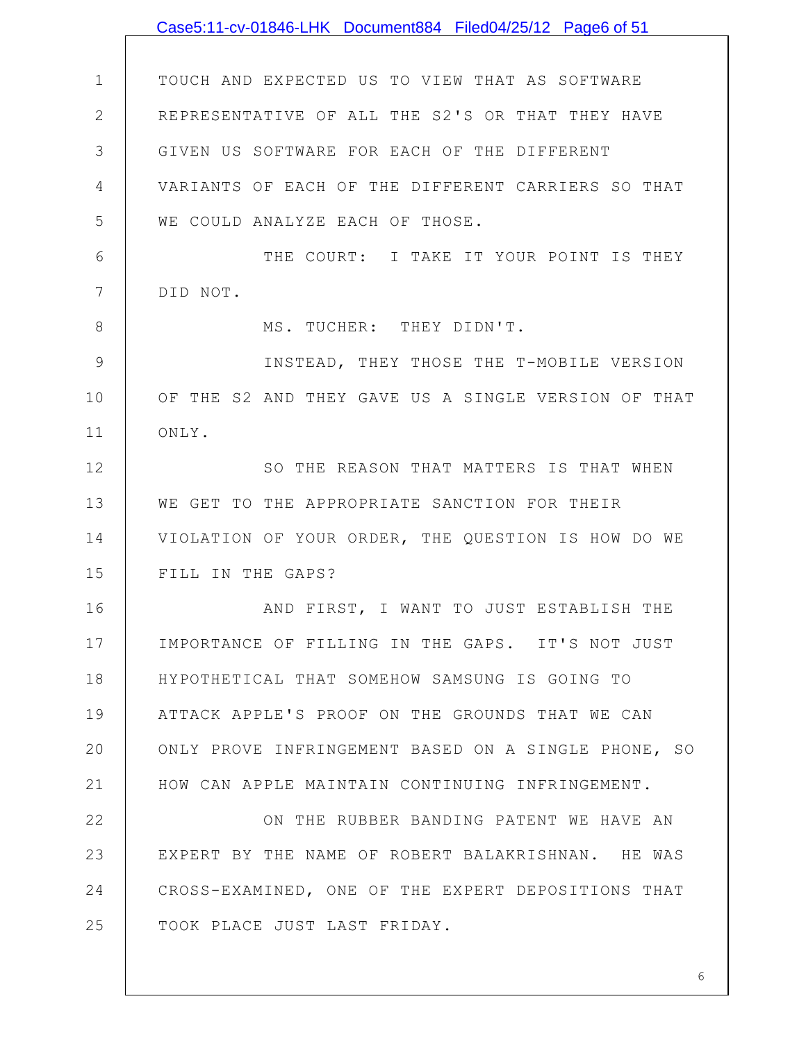|                | Case5:11-cv-01846-LHK Document884 Filed04/25/12 Page6 of 51 |
|----------------|-------------------------------------------------------------|
|                |                                                             |
| $\mathbf 1$    | TOUCH AND EXPECTED US TO VIEW THAT AS SOFTWARE              |
| $\overline{2}$ | REPRESENTATIVE OF ALL THE S2'S OR THAT THEY HAVE            |
| 3              | GIVEN US SOFTWARE FOR EACH OF THE DIFFERENT                 |
| 4              | VARIANTS OF EACH OF THE DIFFERENT CARRIERS SO THAT          |
| 5              | WE COULD ANALYZE EACH OF THOSE.                             |
| 6              | THE COURT: I TAKE IT YOUR POINT IS THEY                     |
| 7              | DID NOT.                                                    |
| 8              | MS. TUCHER: THEY DIDN'T.                                    |
| 9              | INSTEAD, THEY THOSE THE T-MOBILE VERSION                    |
| 10             | OF THE S2 AND THEY GAVE US A SINGLE VERSION OF THAT         |
| 11             | ONLY.                                                       |
| 12             | SO THE REASON THAT MATTERS IS THAT WHEN                     |
| 13             | WE GET TO THE APPROPRIATE SANCTION FOR THEIR                |
| 14             | VIOLATION OF YOUR ORDER, THE QUESTION IS HOW DO WE          |
| 15             | FILL IN THE GAPS?                                           |
| 16             | AND FIRST, I WANT TO JUST ESTABLISH THE                     |
| 17             | IMPORTANCE OF FILLING IN THE GAPS. IT'S NOT JUST            |
| 18             | HYPOTHETICAL THAT SOMEHOW SAMSUNG IS GOING TO               |
| 19             | ATTACK APPLE'S PROOF ON THE GROUNDS THAT WE CAN             |
| 20             | ONLY PROVE INFRINGEMENT BASED ON A SINGLE PHONE, SO         |
| 21             | HOW CAN APPLE MAINTAIN CONTINUING INFRINGEMENT.             |
| 22             | ON THE RUBBER BANDING PATENT WE HAVE AN                     |
| 23             | EXPERT BY THE NAME OF ROBERT BALAKRISHNAN. HE WAS           |
| 24             | CROSS-EXAMINED, ONE OF THE EXPERT DEPOSITIONS THAT          |
| 25             | TOOK PLACE JUST LAST FRIDAY.                                |
|                |                                                             |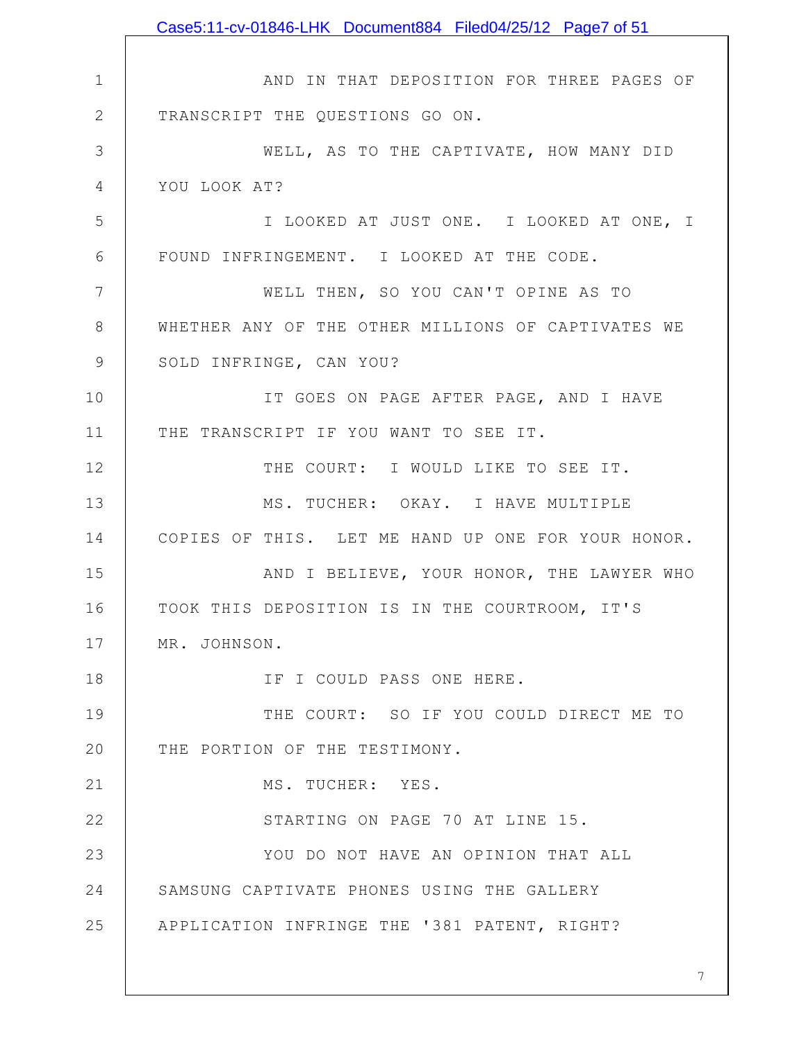1 2 3 4 5 6 7 8 9 10 11 12 13 14 15 16 17 18 19 20 21 22 23 24 25 AND IN THAT DEPOSITION FOR THREE PAGES OF TRANSCRIPT THE QUESTIONS GO ON. WELL, AS TO THE CAPTIVATE, HOW MANY DID YOU LOOK AT? I LOOKED AT JUST ONE. I LOOKED AT ONE, I FOUND INFRINGEMENT. I LOOKED AT THE CODE. WELL THEN, SO YOU CAN'T OPINE AS TO WHETHER ANY OF THE OTHER MILLIONS OF CAPTIVATES WE SOLD INFRINGE, CAN YOU? IT GOES ON PAGE AFTER PAGE, AND I HAVE THE TRANSCRIPT IF YOU WANT TO SEE IT. THE COURT: I WOULD LIKE TO SEE IT. MS. TUCHER: OKAY. I HAVE MULTIPLE COPIES OF THIS. LET ME HAND UP ONE FOR YOUR HONOR. AND I BELIEVE, YOUR HONOR, THE LAWYER WHO TOOK THIS DEPOSITION IS IN THE COURTROOM, IT'S MR. JOHNSON. IF I COULD PASS ONE HERE. THE COURT: SO IF YOU COULD DIRECT ME TO THE PORTION OF THE TESTIMONY. MS. TUCHER: YES. STARTING ON PAGE 70 AT LINE 15. YOU DO NOT HAVE AN OPINION THAT ALL SAMSUNG CAPTIVATE PHONES USING THE GALLERY APPLICATION INFRINGE THE '381 PATENT, RIGHT? Case5:11-cv-01846-LHK Document884 Filed04/25/12 Page7 of 51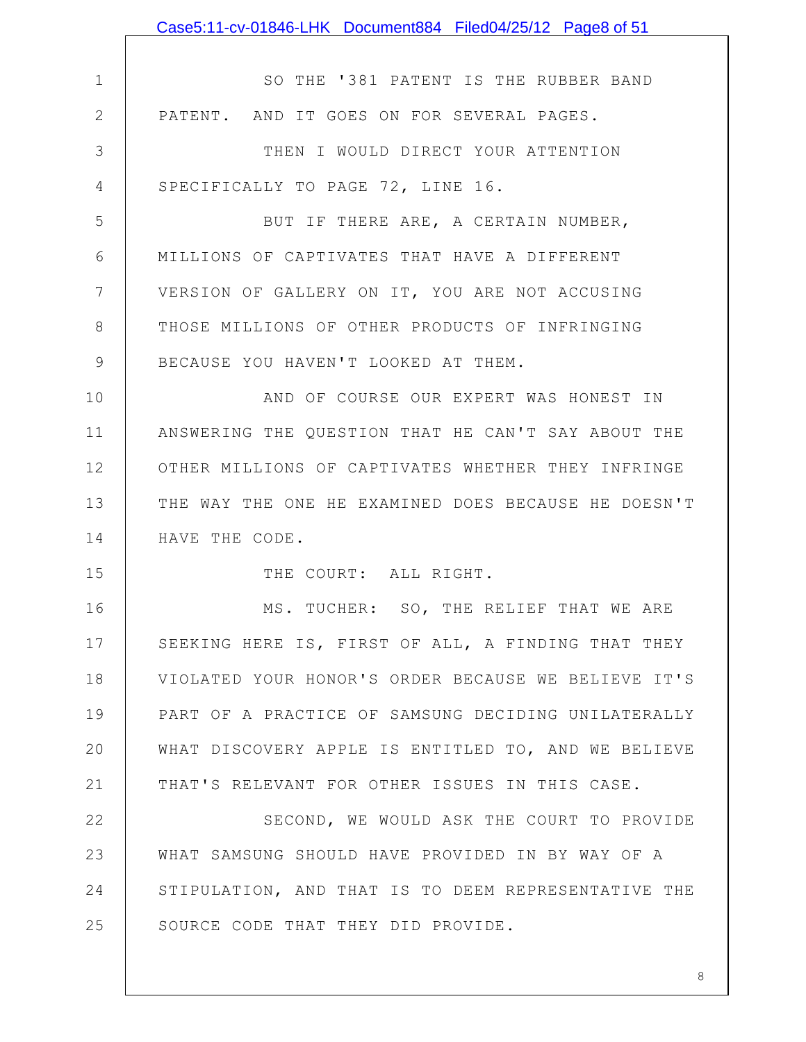|                | Case5:11-cv-01846-LHK Document884 Filed04/25/12 Page8 of 51 |
|----------------|-------------------------------------------------------------|
|                |                                                             |
| $\mathbf 1$    | SO THE '381 PATENT IS THE RUBBER BAND                       |
| $\mathbf{2}$   | PATENT. AND IT GOES ON FOR SEVERAL PAGES.                   |
| 3              | THEN I WOULD DIRECT YOUR ATTENTION                          |
| 4              | SPECIFICALLY TO PAGE 72, LINE 16.                           |
| 5              | BUT IF THERE ARE, A CERTAIN NUMBER,                         |
| 6              | MILLIONS OF CAPTIVATES THAT HAVE A DIFFERENT                |
| $7\phantom{.}$ | VERSION OF GALLERY ON IT, YOU ARE NOT ACCUSING              |
| 8              | THOSE MILLIONS OF OTHER PRODUCTS OF INFRINGING              |
| 9              | BECAUSE YOU HAVEN'T LOOKED AT THEM.                         |
| 10             | AND OF COURSE OUR EXPERT WAS HONEST IN                      |
| 11             | ANSWERING THE QUESTION THAT HE CAN'T SAY ABOUT THE          |
| 12             | OTHER MILLIONS OF CAPTIVATES WHETHER THEY INFRINGE          |
| 13             | THE WAY THE ONE HE EXAMINED DOES BECAUSE HE DOESN'T         |
| 14             | HAVE THE CODE.                                              |
| 15             | THE COURT: ALL RIGHT.                                       |
| 16             | MS. TUCHER: SO, THE RELIEF THAT WE ARE                      |
| 17             | SEEKING HERE IS, FIRST OF ALL, A FINDING THAT THEY          |
| 18             | VIOLATED YOUR HONOR'S ORDER BECAUSE WE BELIEVE IT'S         |
| 19             | PART OF A PRACTICE OF SAMSUNG DECIDING UNILATERALLY         |
| 20             | WHAT DISCOVERY APPLE IS ENTITLED TO, AND WE BELIEVE         |
| 21             | THAT'S RELEVANT FOR OTHER ISSUES IN THIS CASE.              |
| 22             | SECOND, WE WOULD ASK THE COURT TO PROVIDE                   |
| 23             | WHAT SAMSUNG SHOULD HAVE PROVIDED IN BY WAY OF A            |
| 24             | STIPULATION, AND THAT IS TO DEEM REPRESENTATIVE THE         |
| 25             | SOURCE CODE THAT THEY DID PROVIDE.                          |
|                |                                                             |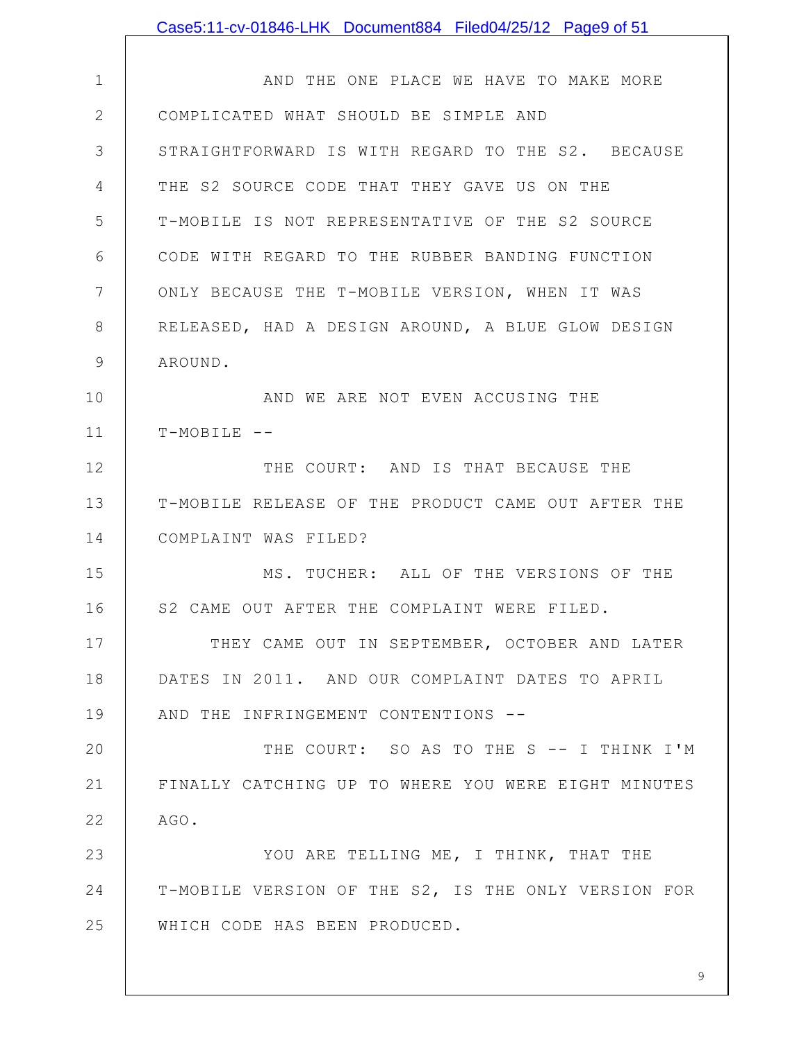|              | Case5:11-cv-01846-LHK Document884 Filed04/25/12 Page9 of 51 |
|--------------|-------------------------------------------------------------|
|              |                                                             |
| $\mathbf 1$  | AND THE ONE PLACE WE HAVE TO MAKE MORE                      |
| $\mathbf{2}$ | COMPLICATED WHAT SHOULD BE SIMPLE AND                       |
| 3            | STRAIGHTFORWARD IS WITH REGARD TO THE S2. BECAUSE           |
| 4            | THE S2 SOURCE CODE THAT THEY GAVE US ON THE                 |
| 5            | T-MOBILE IS NOT REPRESENTATIVE OF THE S2 SOURCE             |
| 6            | CODE WITH REGARD TO THE RUBBER BANDING FUNCTION             |
| 7            | ONLY BECAUSE THE T-MOBILE VERSION, WHEN IT WAS              |
| 8            | RELEASED, HAD A DESIGN AROUND, A BLUE GLOW DESIGN           |
| 9            | AROUND.                                                     |
| 10           | AND WE ARE NOT EVEN ACCUSING THE                            |
| 11           | $T-MOBILE$ --                                               |
| 12           | THE COURT: AND IS THAT BECAUSE THE                          |
| 13           | T-MOBILE RELEASE OF THE PRODUCT CAME OUT AFTER THE          |
| 14           | COMPLAINT WAS FILED?                                        |
| 15           | MS. TUCHER: ALL OF THE VERSIONS OF THE                      |
| 16           | S2 CAME OUT AFTER THE COMPLAINT WERE FILED.                 |
| 17           | THEY CAME OUT IN SEPTEMBER, OCTOBER AND LATER               |
| 18           | DATES IN 2011. AND OUR COMPLAINT DATES TO APRIL             |
| 19           | AND THE INFRINGEMENT CONTENTIONS --                         |
| 20           | THE COURT: SO AS TO THE S -- I THINK I'M                    |
| 21           | FINALLY CATCHING UP TO WHERE YOU WERE EIGHT MINUTES         |
| 22           | AGO.                                                        |
| 23           | YOU ARE TELLING ME, I THINK, THAT THE                       |
| 24           | T-MOBILE VERSION OF THE S2, IS THE ONLY VERSION FOR         |
| 25           | WHICH CODE HAS BEEN PRODUCED.                               |
|              |                                                             |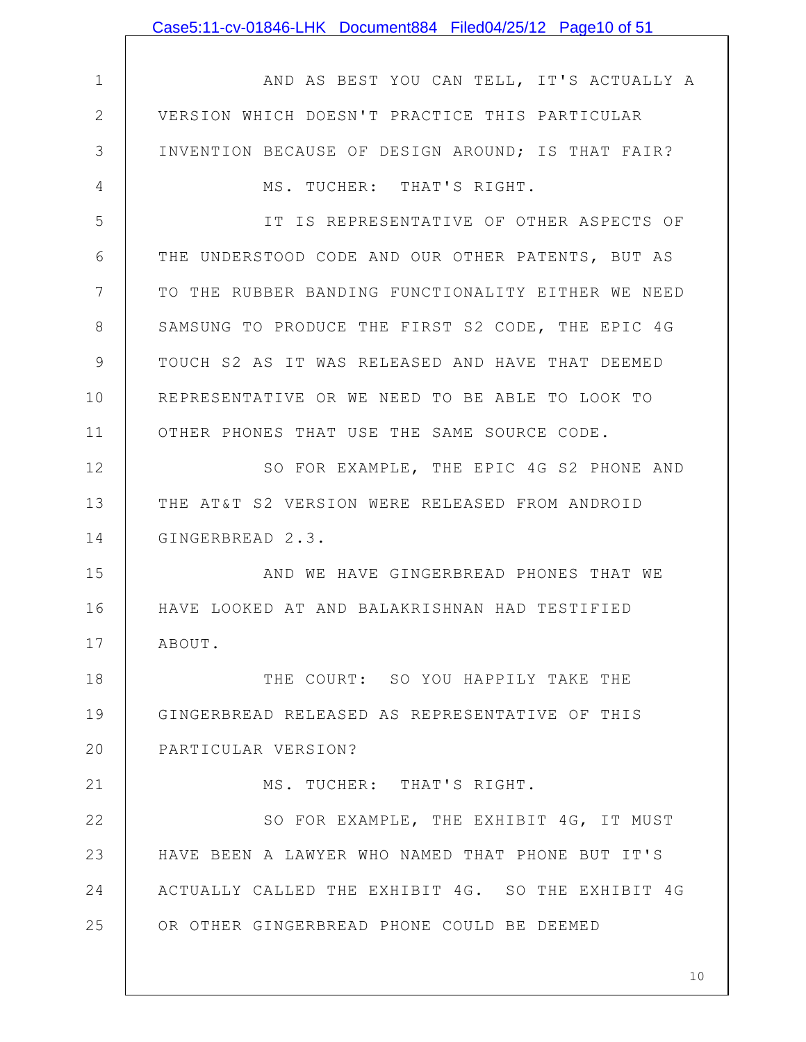|               | Case5:11-cv-01846-LHK Document884 Filed04/25/12 Page10 of 51 |
|---------------|--------------------------------------------------------------|
|               |                                                              |
| $\mathbf 1$   | AND AS BEST YOU CAN TELL, IT'S ACTUALLY A                    |
| $\mathbf{2}$  | VERSION WHICH DOESN'T PRACTICE THIS PARTICULAR               |
| 3             | INVENTION BECAUSE OF DESIGN AROUND; IS THAT FAIR?            |
| 4             | MS. TUCHER: THAT'S RIGHT.                                    |
| 5             | IT IS REPRESENTATIVE OF OTHER ASPECTS OF                     |
| 6             | THE UNDERSTOOD CODE AND OUR OTHER PATENTS, BUT AS            |
| 7             | TO THE RUBBER BANDING FUNCTIONALITY EITHER WE NEED           |
| $8\,$         | SAMSUNG TO PRODUCE THE FIRST S2 CODE, THE EPIC 4G            |
| $\mathcal{G}$ | TOUCH S2 AS IT WAS RELEASED AND HAVE THAT DEEMED             |
| 10            | REPRESENTATIVE OR WE NEED TO BE ABLE TO LOOK TO              |
| 11            | OTHER PHONES THAT USE THE SAME SOURCE CODE.                  |
| 12            | SO FOR EXAMPLE, THE EPIC 4G S2 PHONE AND                     |
| 13            | THE AT&T S2 VERSION WERE RELEASED FROM ANDROID               |
| 14            | GINGERBREAD 2.3.                                             |
| 15            | AND WE HAVE GINGERBREAD PHONES THAT WE                       |
| 16            | HAVE LOOKED AT AND BALAKRISHNAN HAD TESTIFIED                |
| 17            | ABOUT.                                                       |
| 18            | THE COURT: SO YOU HAPPILY TAKE THE                           |
| 19            | GINGERBREAD RELEASED AS REPRESENTATIVE OF THIS               |
| 20            | PARTICULAR VERSION?                                          |
| 21            | MS. TUCHER: THAT'S RIGHT.                                    |
| 22            | SO FOR EXAMPLE, THE EXHIBIT 4G, IT MUST                      |
| 23            | HAVE BEEN A LAWYER WHO NAMED THAT PHONE BUT IT'S             |
| 24            | ACTUALLY CALLED THE EXHIBIT 4G. SO THE EXHIBIT 4G            |
| 25            | OR OTHER GINGERBREAD PHONE COULD BE DEEMED                   |
|               |                                                              |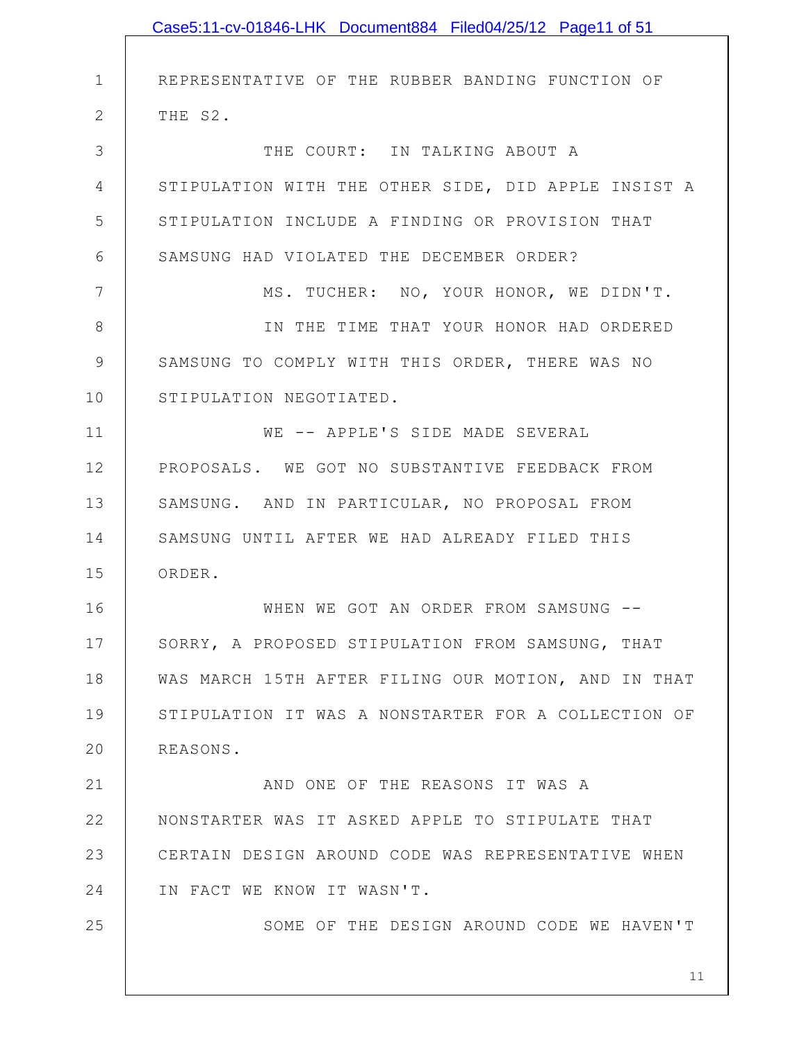|               | Case5:11-cv-01846-LHK Document884 Filed04/25/12 Page11 of 51 |
|---------------|--------------------------------------------------------------|
|               |                                                              |
| $\mathbf 1$   | REPRESENTATIVE OF THE RUBBER BANDING FUNCTION OF             |
| $\mathbf{2}$  | THE S2.                                                      |
| 3             | THE COURT: IN TALKING ABOUT A                                |
| 4             | STIPULATION WITH THE OTHER SIDE, DID APPLE INSIST A          |
| 5             | STIPULATION INCLUDE A FINDING OR PROVISION THAT              |
| 6             | SAMSUNG HAD VIOLATED THE DECEMBER ORDER?                     |
| 7             | MS. TUCHER: NO, YOUR HONOR, WE DIDN'T.                       |
| 8             | IN THE TIME THAT YOUR HONOR HAD ORDERED                      |
| $\mathcal{G}$ | SAMSUNG TO COMPLY WITH THIS ORDER, THERE WAS NO              |
| 10            | STIPULATION NEGOTIATED.                                      |
| 11            | WE -- APPLE'S SIDE MADE SEVERAL                              |
| 12            | PROPOSALS. WE GOT NO SUBSTANTIVE FEEDBACK FROM               |
| 13            | SAMSUNG. AND IN PARTICULAR, NO PROPOSAL FROM                 |
| 14            | SAMSUNG UNTIL AFTER WE HAD ALREADY FILED THIS                |
| 15            | ORDER.                                                       |
| 16            | WHEN WE GOT AN ORDER FROM SAMSUNG --                         |
| 17            | SORRY, A PROPOSED STIPULATION FROM SAMSUNG, THAT             |
| 18            | WAS MARCH 15TH AFTER FILING OUR MOTION, AND IN THAT          |
| 19            | STIPULATION IT WAS A NONSTARTER FOR A COLLECTION OF          |
| 20            | REASONS.                                                     |
| 21            | AND ONE OF THE REASONS IT WAS A                              |
| 22            | NONSTARTER WAS IT ASKED APPLE TO STIPULATE THAT              |
| 23            | CERTAIN DESIGN AROUND CODE WAS REPRESENTATIVE WHEN           |
| 24            | IN FACT WE KNOW IT WASN'T.                                   |
| 25            | SOME OF THE DESIGN AROUND CODE WE HAVEN'T                    |
|               |                                                              |
|               | 11                                                           |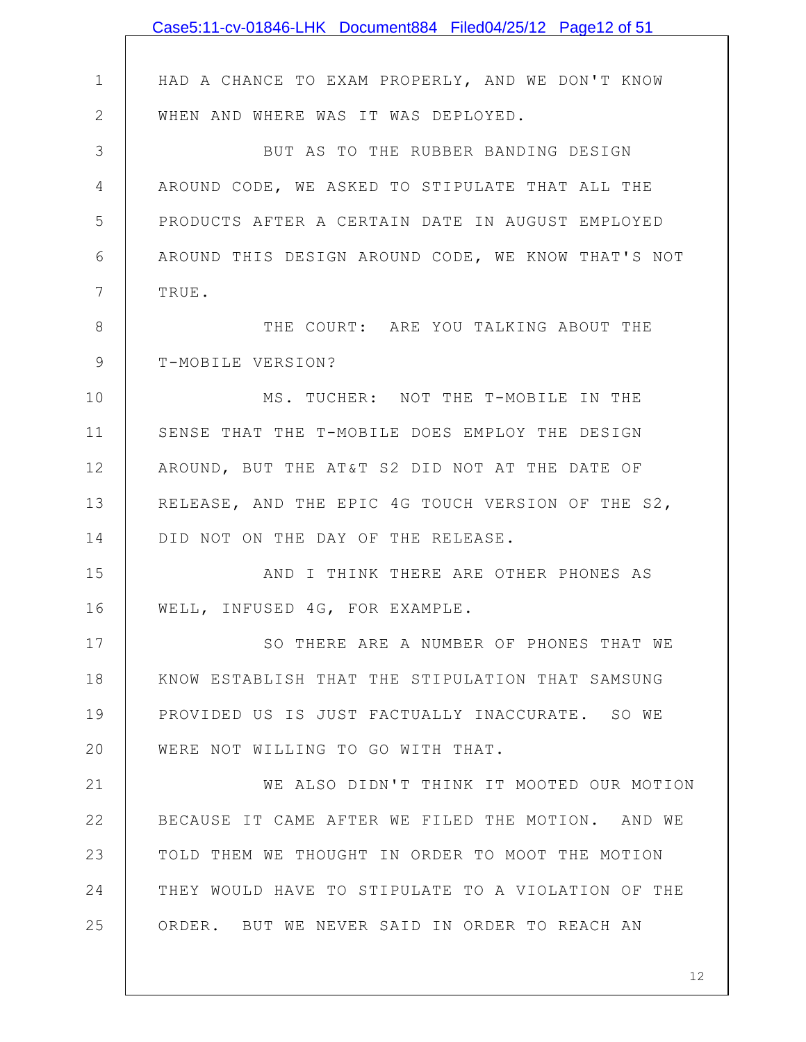|               | Case5:11-cv-01846-LHK Document884 Filed04/25/12 Page12 of 51 |
|---------------|--------------------------------------------------------------|
|               |                                                              |
| $\mathbf 1$   | HAD A CHANCE TO EXAM PROPERLY, AND WE DON'T KNOW             |
| $\mathbf{2}$  | WHEN AND WHERE WAS IT WAS DEPLOYED.                          |
| 3             | BUT AS TO THE RUBBER BANDING DESIGN                          |
| 4             | AROUND CODE, WE ASKED TO STIPULATE THAT ALL THE              |
| 5             | PRODUCTS AFTER A CERTAIN DATE IN AUGUST EMPLOYED             |
| 6             | AROUND THIS DESIGN AROUND CODE, WE KNOW THAT'S NOT           |
| 7             | TRUE.                                                        |
| 8             | THE COURT: ARE YOU TALKING ABOUT THE                         |
| $\mathcal{G}$ | T-MOBILE VERSION?                                            |
| 10            | MS. TUCHER: NOT THE T-MOBILE IN THE                          |
| 11            | SENSE THAT THE T-MOBILE DOES EMPLOY THE DESIGN               |
| 12            | AROUND, BUT THE AT&T S2 DID NOT AT THE DATE OF               |
| 13            | RELEASE, AND THE EPIC 4G TOUCH VERSION OF THE S2,            |
| 14            | DID NOT ON THE DAY OF THE RELEASE.                           |
| 15            | AND I THINK THERE ARE OTHER PHONES AS                        |
| 16            | WELL, INFUSED 4G, FOR EXAMPLE.                               |
| 17            | SO THERE ARE A NUMBER OF PHONES THAT WE                      |
| 18            | KNOW ESTABLISH THAT THE STIPULATION THAT SAMSUNG             |
| 19            | PROVIDED US IS JUST FACTUALLY INACCURATE. SO WE              |
| 20            | WERE NOT WILLING TO GO WITH THAT.                            |
| 21            | WE ALSO DIDN'T THINK IT MOOTED OUR MOTION                    |
| 22            | BECAUSE IT CAME AFTER WE FILED THE MOTION. AND WE            |
| 23            | TOLD THEM WE THOUGHT IN ORDER TO MOOT THE MOTION             |
| 24            | THEY WOULD HAVE TO STIPULATE TO A VIOLATION OF THE           |
| 25            | ORDER. BUT WE NEVER SAID IN ORDER TO REACH AN                |
|               |                                                              |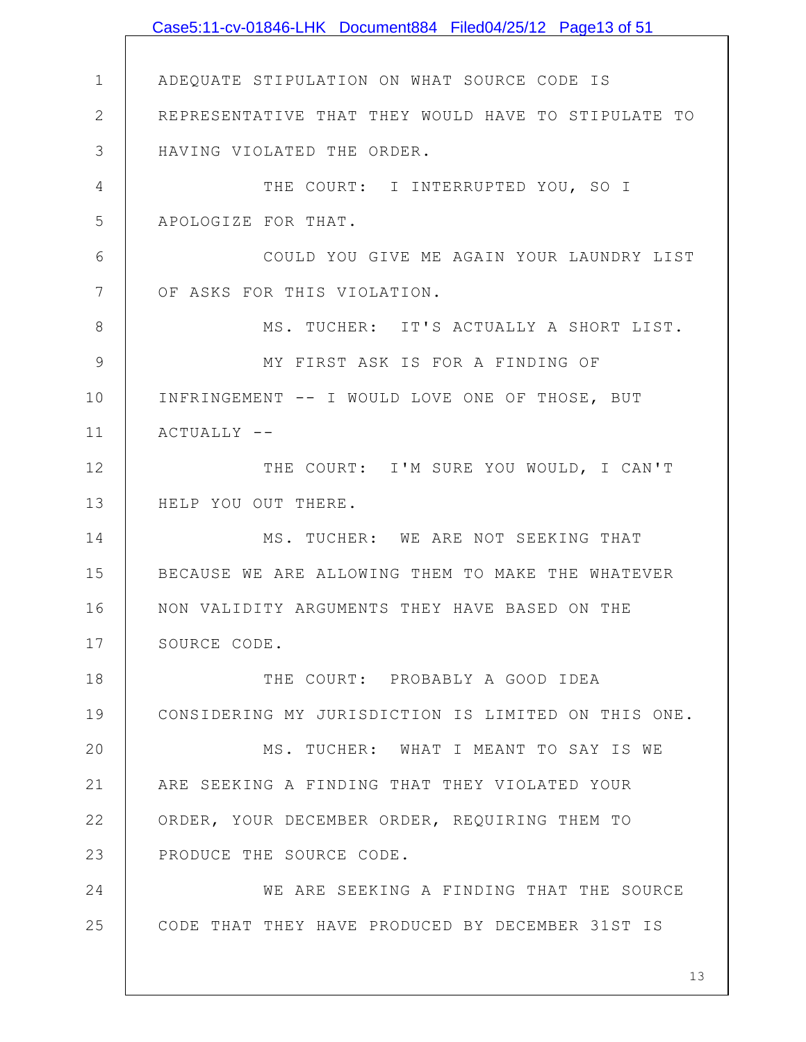1 2 3 4 5 6 7 8 9 10 11 12 13 14 15 16 17 18 19 20 21 22 23 24 25 ADEQUATE STIPULATION ON WHAT SOURCE CODE IS REPRESENTATIVE THAT THEY WOULD HAVE TO STIPULATE TO HAVING VIOLATED THE ORDER. THE COURT: I INTERRUPTED YOU, SO I APOLOGIZE FOR THAT. COULD YOU GIVE ME AGAIN YOUR LAUNDRY LIST OF ASKS FOR THIS VIOLATION. MS. TUCHER: IT'S ACTUALLY A SHORT LIST. MY FIRST ASK IS FOR A FINDING OF INFRINGEMENT -- I WOULD LOVE ONE OF THOSE, BUT  $ACTUALLY$  --THE COURT: I'M SURE YOU WOULD, I CAN'T HELP YOU OUT THERE. MS. TUCHER: WE ARE NOT SEEKING THAT BECAUSE WE ARE ALLOWING THEM TO MAKE THE WHATEVER NON VALIDITY ARGUMENTS THEY HAVE BASED ON THE SOURCE CODE. THE COURT: PROBABLY A GOOD IDEA CONSIDERING MY JURISDICTION IS LIMITED ON THIS ONE. MS. TUCHER: WHAT I MEANT TO SAY IS WE ARE SEEKING A FINDING THAT THEY VIOLATED YOUR ORDER, YOUR DECEMBER ORDER, REQUIRING THEM TO PRODUCE THE SOURCE CODE. WE ARE SEEKING A FINDING THAT THE SOURCE CODE THAT THEY HAVE PRODUCED BY DECEMBER 31ST IS Case5:11-cv-01846-LHK Document884 Filed04/25/12 Page13 of 51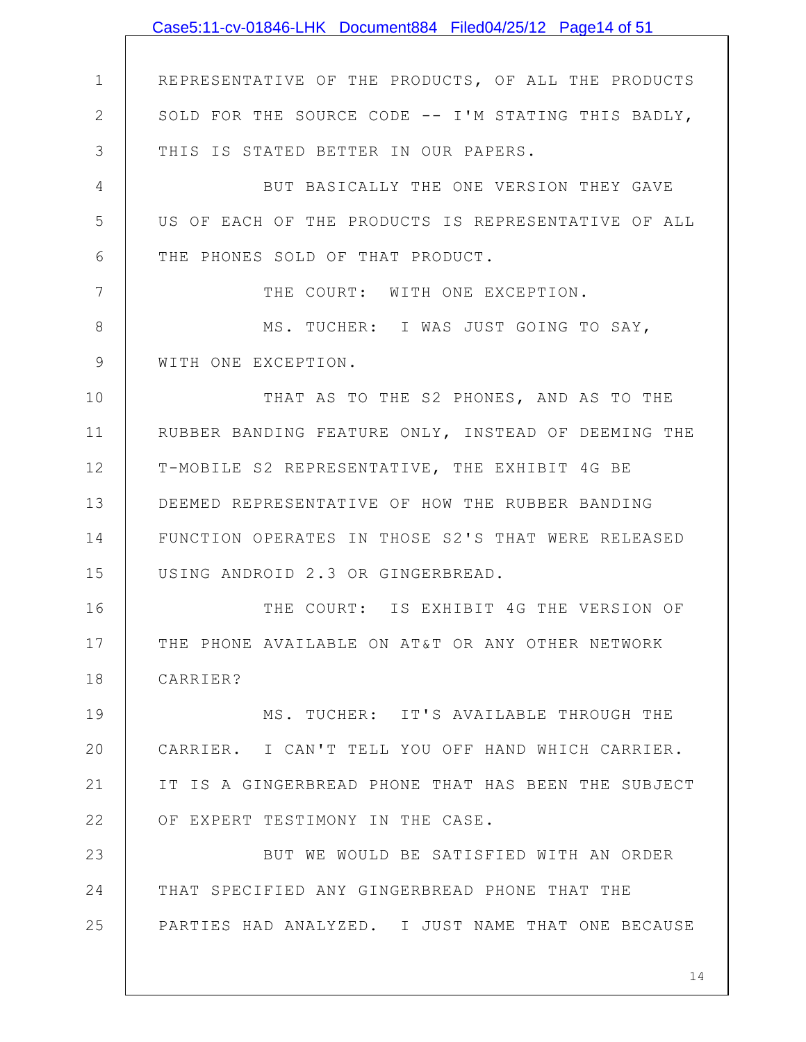1 2 3 4 5 6 7 8 9 10 11 12 13 14 15 16 17 18 19 20 21 22 23 24 25 REPRESENTATIVE OF THE PRODUCTS, OF ALL THE PRODUCTS SOLD FOR THE SOURCE CODE -- I'M STATING THIS BADLY, THIS IS STATED BETTER IN OUR PAPERS. BUT BASICALLY THE ONE VERSION THEY GAVE US OF EACH OF THE PRODUCTS IS REPRESENTATIVE OF ALL THE PHONES SOLD OF THAT PRODUCT. THE COURT: WITH ONE EXCEPTION. MS. TUCHER: I WAS JUST GOING TO SAY, WITH ONE EXCEPTION. THAT AS TO THE S2 PHONES, AND AS TO THE RUBBER BANDING FEATURE ONLY, INSTEAD OF DEEMING THE T-MOBILE S2 REPRESENTATIVE, THE EXHIBIT 4G BE DEEMED REPRESENTATIVE OF HOW THE RUBBER BANDING FUNCTION OPERATES IN THOSE S2'S THAT WERE RELEASED USING ANDROID 2.3 OR GINGERBREAD. THE COURT: IS EXHIBIT 4G THE VERSION OF THE PHONE AVAILABLE ON AT&T OR ANY OTHER NETWORK CARRIER? MS. TUCHER: IT'S AVAILABLE THROUGH THE CARRIER. I CAN'T TELL YOU OFF HAND WHICH CARRIER. IT IS A GINGERBREAD PHONE THAT HAS BEEN THE SUBJECT OF EXPERT TESTIMONY IN THE CASE. BUT WE WOULD BE SATISFIED WITH AN ORDER THAT SPECIFIED ANY GINGERBREAD PHONE THAT THE PARTIES HAD ANALYZED. I JUST NAME THAT ONE BECAUSE Case5:11-cv-01846-LHK Document884 Filed04/25/12 Page14 of 51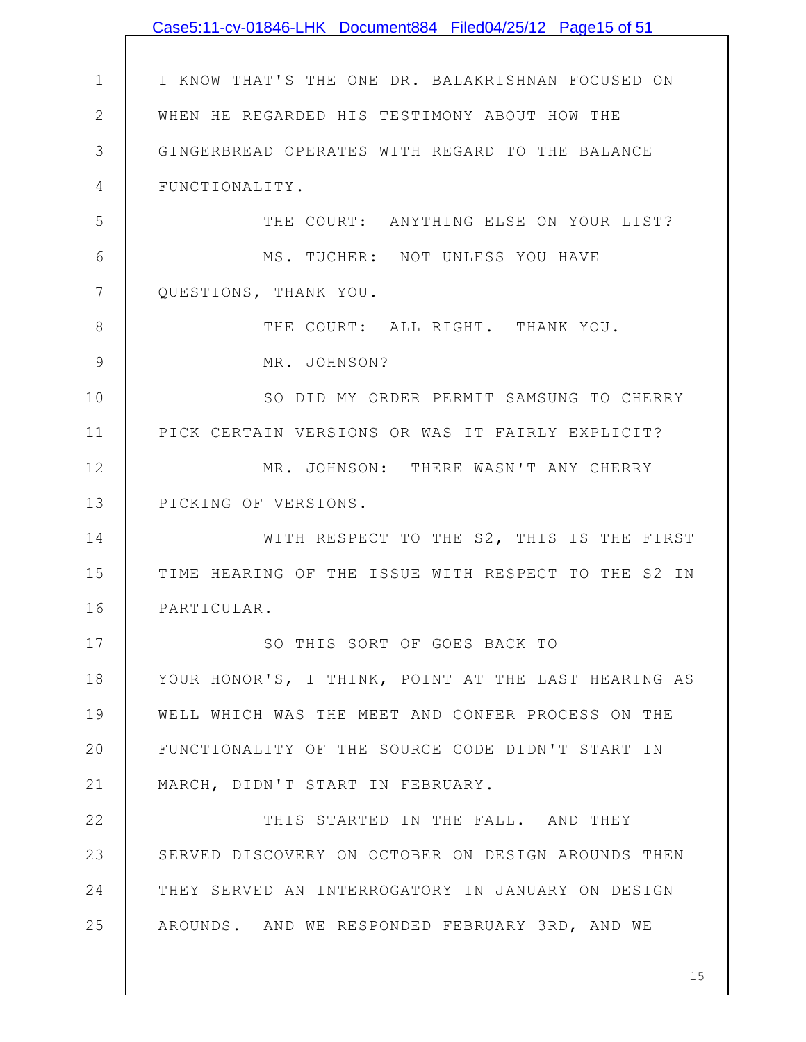|             | Case5:11-cv-01846-LHK Document884 Filed04/25/12 Page15 of 51 |
|-------------|--------------------------------------------------------------|
|             |                                                              |
| $\mathbf 1$ | I KNOW THAT'S THE ONE DR. BALAKRISHNAN FOCUSED ON            |
| 2           | WHEN HE REGARDED HIS TESTIMONY ABOUT HOW THE                 |
| 3           | GINGERBREAD OPERATES WITH REGARD TO THE BALANCE              |
| 4           | FUNCTIONALITY.                                               |
| 5           | THE COURT: ANYTHING ELSE ON YOUR LIST?                       |
| 6           | MS. TUCHER: NOT UNLESS YOU HAVE                              |
| 7           | QUESTIONS, THANK YOU.                                        |
| 8           | THE COURT: ALL RIGHT. THANK YOU.                             |
| 9           | MR. JOHNSON?                                                 |
| 10          | SO DID MY ORDER PERMIT SAMSUNG TO CHERRY                     |
| 11          | PICK CERTAIN VERSIONS OR WAS IT FAIRLY EXPLICIT?             |
| 12          | MR. JOHNSON: THERE WASN'T ANY CHERRY                         |
| 13          | PICKING OF VERSIONS.                                         |
| 14          | WITH RESPECT TO THE S2, THIS IS THE FIRST                    |
| 15          | TIME HEARING OF THE ISSUE WITH RESPECT TO THE S2 IN          |
| 16          | PARTICULAR.                                                  |
| 17          | SO THIS SORT OF GOES BACK TO                                 |
| 18          | YOUR HONOR'S, I THINK, POINT AT THE LAST HEARING AS          |
| 19          | WELL WHICH WAS THE MEET AND CONFER PROCESS ON THE            |
| 20          | FUNCTIONALITY OF THE SOURCE CODE DIDN'T START IN             |
| 21          | MARCH, DIDN'T START IN FEBRUARY.                             |
| 22          | THIS STARTED IN THE FALL. AND THEY                           |
| 23          | SERVED DISCOVERY ON OCTOBER ON DESIGN AROUNDS THEN           |
| 24          | THEY SERVED AN INTERROGATORY IN JANUARY ON DESIGN            |
| 25          | AROUNDS. AND WE RESPONDED FEBRUARY 3RD, AND WE               |
|             |                                                              |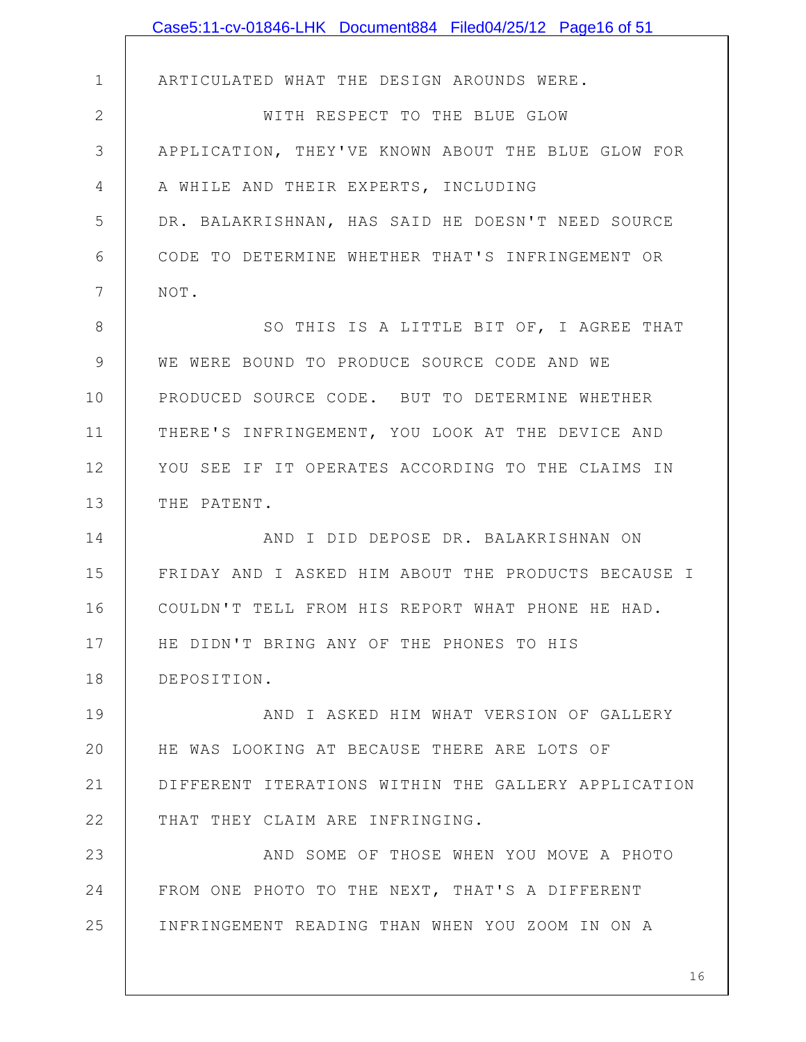|             | Case5:11-cv-01846-LHK Document884 Filed04/25/12 Page16 of 51 |
|-------------|--------------------------------------------------------------|
|             |                                                              |
| $\mathbf 1$ | ARTICULATED WHAT THE DESIGN AROUNDS WERE.                    |
| $\mathbf 2$ | WITH RESPECT TO THE BLUE GLOW                                |
| 3           | APPLICATION, THEY'VE KNOWN ABOUT THE BLUE GLOW FOR           |
| 4           | A WHILE AND THEIR EXPERTS, INCLUDING                         |
| 5           | DR. BALAKRISHNAN, HAS SAID HE DOESN'T NEED SOURCE            |
| 6           | CODE TO DETERMINE WHETHER THAT'S INFRINGEMENT OR             |
| 7           | NOT.                                                         |
| 8           | SO THIS IS A LITTLE BIT OF, I AGREE THAT                     |
| 9           | WE WERE BOUND TO PRODUCE SOURCE CODE AND WE                  |
| 10          | PRODUCED SOURCE CODE. BUT TO DETERMINE WHETHER               |
| 11          | THERE'S INFRINGEMENT, YOU LOOK AT THE DEVICE AND             |
| 12          | YOU SEE IF IT OPERATES ACCORDING TO THE CLAIMS IN            |
| 13          | THE PATENT.                                                  |
| 14          | AND I DID DEPOSE DR. BALAKRISHNAN ON                         |
| 15          | FRIDAY AND I ASKED HIM ABOUT THE PRODUCTS BECAUSE I          |
| 16          | COULDN'T TELL FROM HIS REPORT WHAT PHONE HE HAD.             |
| 17          | HE DIDN'T BRING ANY OF THE PHONES TO HIS                     |
| 18          | DEPOSITION.                                                  |
| 19          | AND I ASKED HIM WHAT VERSION OF GALLERY                      |
| 20          | HE WAS LOOKING AT BECAUSE THERE ARE LOTS OF                  |
| 21          | DIFFERENT ITERATIONS WITHIN THE GALLERY APPLICATION          |
| 22          | THAT THEY CLAIM ARE INFRINGING.                              |
| 23          | AND SOME OF THOSE WHEN YOU MOVE A PHOTO                      |
| 24          | FROM ONE PHOTO TO THE NEXT, THAT'S A DIFFERENT               |
| 25          | INFRINGEMENT READING THAN WHEN YOU ZOOM IN ON A              |
|             |                                                              |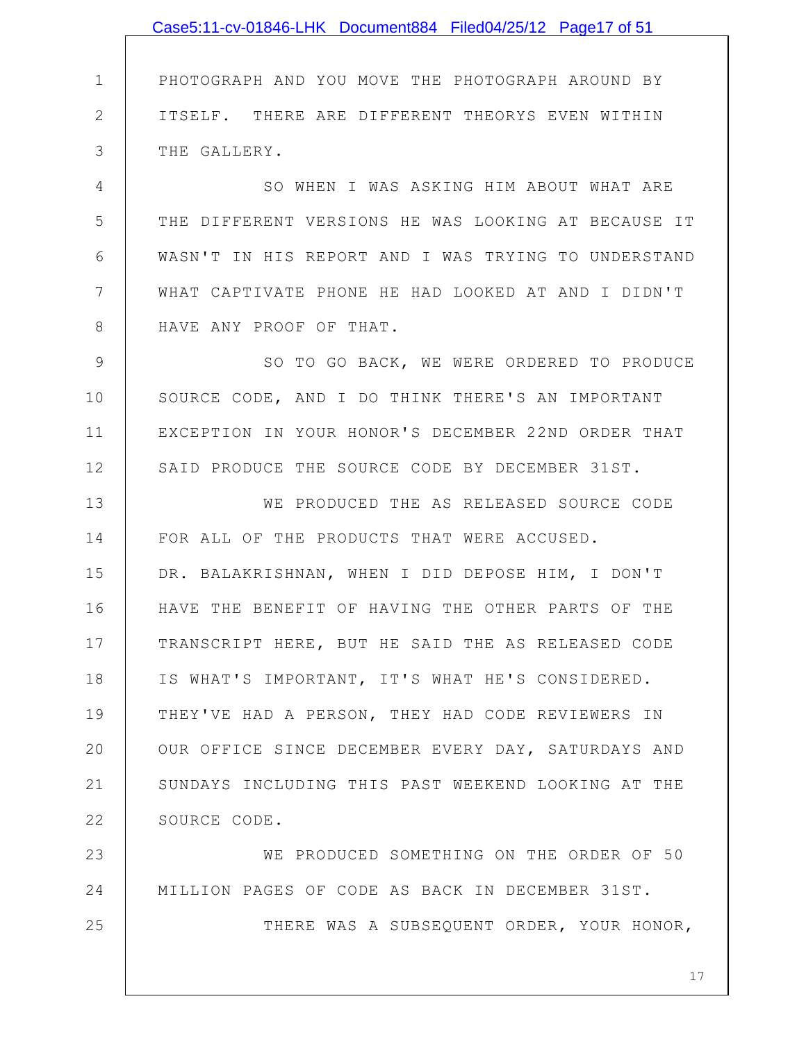1 2 3 4 5 6 7 8 9 10 11 12 13 14 15 16 17 18 19 20 21 22 23 24 25 PHOTOGRAPH AND YOU MOVE THE PHOTOGRAPH AROUND BY ITSELF. THERE ARE DIFFERENT THEORYS EVEN WITHIN THE GALLERY. SO WHEN I WAS ASKING HIM ABOUT WHAT ARE THE DIFFERENT VERSIONS HE WAS LOOKING AT BECAUSE IT WASN'T IN HIS REPORT AND I WAS TRYING TO UNDERSTAND WHAT CAPTIVATE PHONE HE HAD LOOKED AT AND I DIDN'T HAVE ANY PROOF OF THAT. SO TO GO BACK, WE WERE ORDERED TO PRODUCE SOURCE CODE, AND I DO THINK THERE'S AN IMPORTANT EXCEPTION IN YOUR HONOR'S DECEMBER 22ND ORDER THAT SAID PRODUCE THE SOURCE CODE BY DECEMBER 31ST. WE PRODUCED THE AS RELEASED SOURCE CODE FOR ALL OF THE PRODUCTS THAT WERE ACCUSED. DR. BALAKRISHNAN, WHEN I DID DEPOSE HIM, I DON'T HAVE THE BENEFIT OF HAVING THE OTHER PARTS OF THE TRANSCRIPT HERE, BUT HE SAID THE AS RELEASED CODE IS WHAT'S IMPORTANT, IT'S WHAT HE'S CONSIDERED. THEY'VE HAD A PERSON, THEY HAD CODE REVIEWERS IN OUR OFFICE SINCE DECEMBER EVERY DAY, SATURDAYS AND SUNDAYS INCLUDING THIS PAST WEEKEND LOOKING AT THE SOURCE CODE. WE PRODUCED SOMETHING ON THE ORDER OF 50 MILLION PAGES OF CODE AS BACK IN DECEMBER 31ST. THERE WAS A SUBSEQUENT ORDER, YOUR HONOR, Case5:11-cv-01846-LHK Document884 Filed04/25/12 Page17 of 51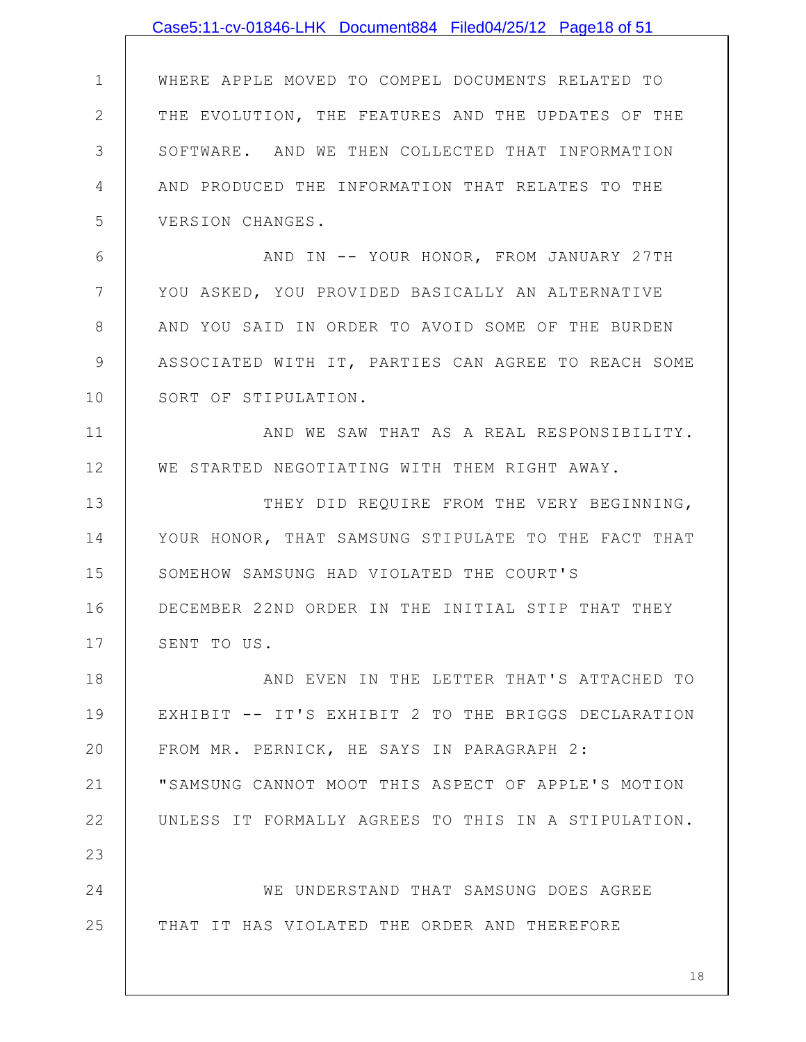|               | Case5:11-cv-01846-LHK Document884 Filed04/25/12 Page18 of 51 |
|---------------|--------------------------------------------------------------|
|               |                                                              |
| $\mathbf 1$   | WHERE APPLE MOVED TO COMPEL DOCUMENTS RELATED TO             |
| $\mathbf{2}$  | THE EVOLUTION, THE FEATURES AND THE UPDATES OF THE           |
| 3             | SOFTWARE. AND WE THEN COLLECTED THAT INFORMATION             |
| 4             | AND PRODUCED THE INFORMATION THAT RELATES TO THE             |
| 5             | VERSION CHANGES.                                             |
| 6             | AND IN -- YOUR HONOR, FROM JANUARY 27TH                      |
| 7             | YOU ASKED, YOU PROVIDED BASICALLY AN ALTERNATIVE             |
| 8             | AND YOU SAID IN ORDER TO AVOID SOME OF THE BURDEN            |
| $\mathcal{G}$ | ASSOCIATED WITH IT, PARTIES CAN AGREE TO REACH SOME          |
| 10            | SORT OF STIPULATION.                                         |
| 11            | AND WE SAW THAT AS A REAL RESPONSIBILITY.                    |
| 12            | WE STARTED NEGOTIATING WITH THEM RIGHT AWAY.                 |
| 13            | THEY DID REQUIRE FROM THE VERY BEGINNING,                    |
| 14            | YOUR HONOR, THAT SAMSUNG STIPULATE TO THE FACT THAT          |
| 15            | SOMEHOW SAMSUNG HAD VIOLATED THE COURT'S                     |
| 16            | DECEMBER 22ND ORDER IN THE INITIAL STIP THAT THEY            |
| 17            | SENT TO US.                                                  |
| 18            | AND EVEN IN THE LETTER THAT'S ATTACHED TO                    |
| 19            | EXHIBIT -- IT'S EXHIBIT 2 TO THE BRIGGS DECLARATION          |
| 20            | FROM MR. PERNICK, HE SAYS IN PARAGRAPH 2:                    |
| 21            | "SAMSUNG CANNOT MOOT THIS ASPECT OF APPLE'S MOTION           |
| 22            | UNLESS IT FORMALLY AGREES TO THIS IN A STIPULATION.          |
| 23            |                                                              |
| 24            | WE UNDERSTAND THAT SAMSUNG DOES AGREE                        |
| 25            | THAT IT HAS VIOLATED THE ORDER AND THEREFORE                 |
|               | 18                                                           |
|               |                                                              |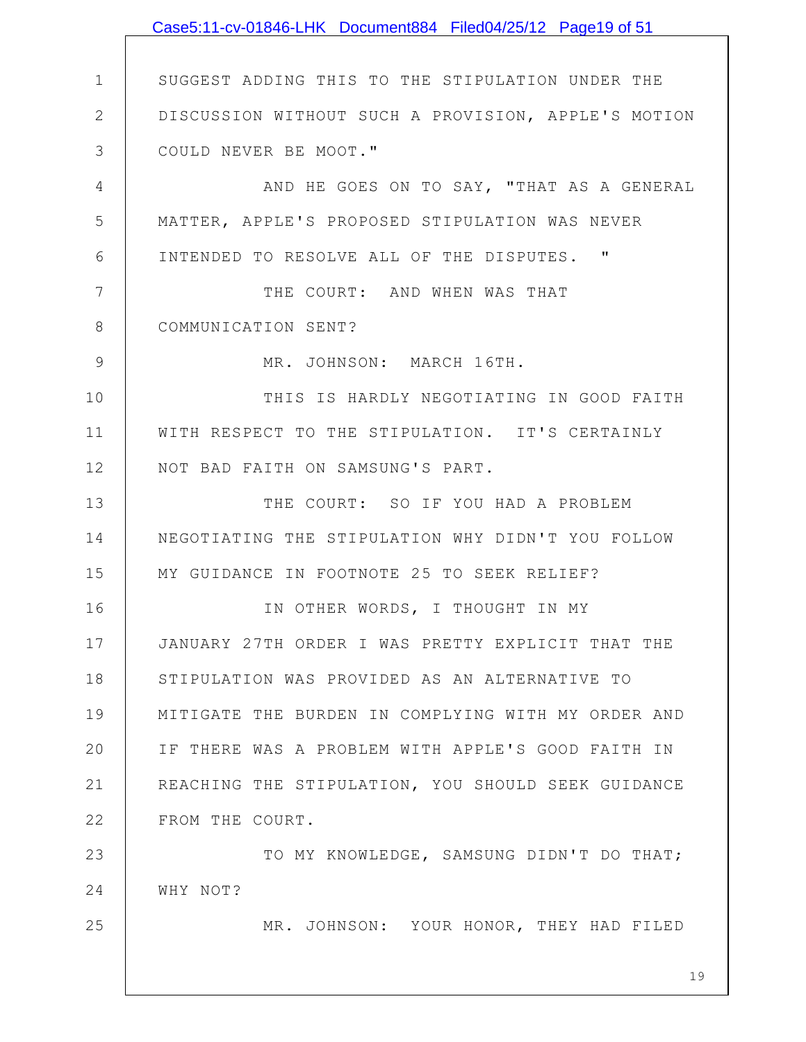1 2 3 4 5 6 7 8 9 10 11 12 13 14 15 16 17 18 19 20 21 22 23 24 25 19 SUGGEST ADDING THIS TO THE STIPULATION UNDER THE DISCUSSION WITHOUT SUCH A PROVISION, APPLE'S MOTION COULD NEVER BE MOOT." AND HE GOES ON TO SAY, "THAT AS A GENERAL MATTER, APPLE'S PROPOSED STIPULATION WAS NEVER INTENDED TO RESOLVE ALL OF THE DISPUTES. " THE COURT: AND WHEN WAS THAT COMMUNICATION SENT? MR. JOHNSON: MARCH 16TH. THIS IS HARDLY NEGOTIATING IN GOOD FAITH WITH RESPECT TO THE STIPULATION. IT'S CERTAINLY NOT BAD FAITH ON SAMSUNG'S PART. THE COURT: SO IF YOU HAD A PROBLEM NEGOTIATING THE STIPULATION WHY DIDN'T YOU FOLLOW MY GUIDANCE IN FOOTNOTE 25 TO SEEK RELIEF? IN OTHER WORDS, I THOUGHT IN MY JANUARY 27TH ORDER I WAS PRETTY EXPLICIT THAT THE STIPULATION WAS PROVIDED AS AN ALTERNATIVE TO MITIGATE THE BURDEN IN COMPLYING WITH MY ORDER AND IF THERE WAS A PROBLEM WITH APPLE'S GOOD FAITH IN REACHING THE STIPULATION, YOU SHOULD SEEK GUIDANCE FROM THE COURT. TO MY KNOWLEDGE, SAMSUNG DIDN'T DO THAT; WHY NOT? MR. JOHNSON: YOUR HONOR, THEY HAD FILED Case5:11-cv-01846-LHK Document884 Filed04/25/12 Page19 of 51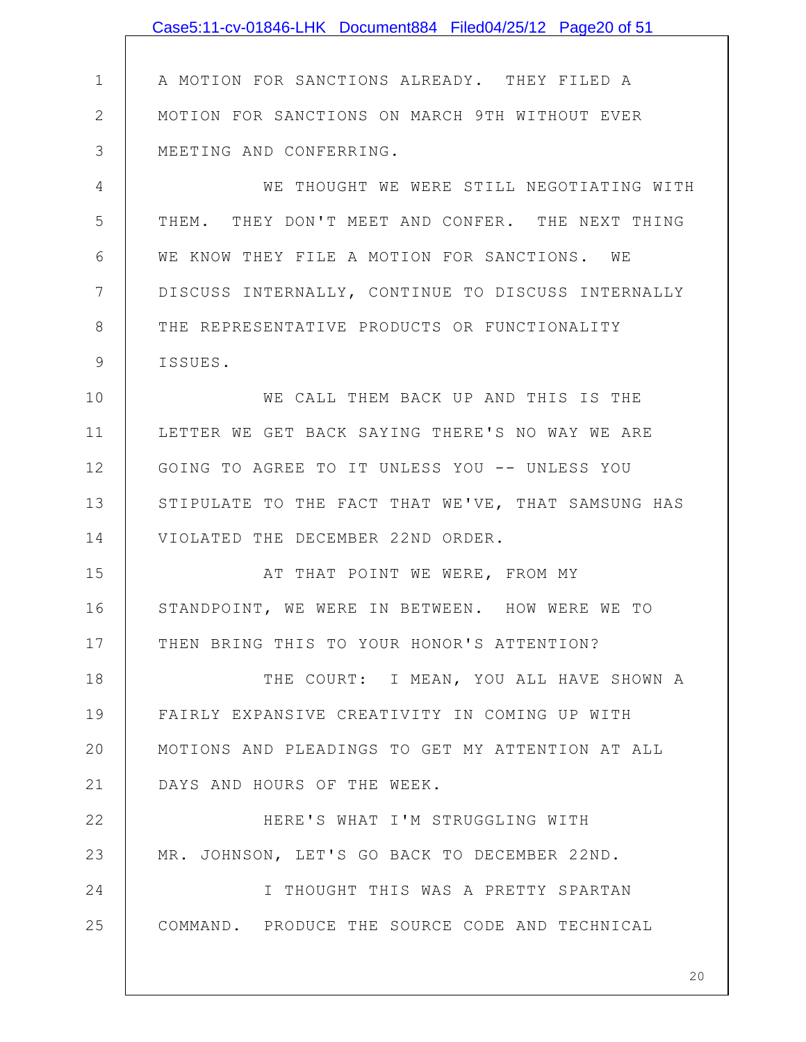|              | Case5:11-cv-01846-LHK Document884 Filed04/25/12 Page20 of 51 |
|--------------|--------------------------------------------------------------|
|              |                                                              |
| $\mathbf 1$  | A MOTION FOR SANCTIONS ALREADY. THEY FILED A                 |
| $\mathbf{2}$ | MOTION FOR SANCTIONS ON MARCH 9TH WITHOUT EVER               |
| 3            | MEETING AND CONFERRING.                                      |
| 4            | WE THOUGHT WE WERE STILL NEGOTIATING WITH                    |
| 5            | THEM. THEY DON'T MEET AND CONFER. THE NEXT THING             |
| 6            | WE KNOW THEY FILE A MOTION FOR SANCTIONS. WE                 |
| 7            | DISCUSS INTERNALLY, CONTINUE TO DISCUSS INTERNALLY           |
| $8\,$        | THE REPRESENTATIVE PRODUCTS OR FUNCTIONALITY                 |
| $\mathsf{S}$ | ISSUES.                                                      |
| 10           | WE CALL THEM BACK UP AND THIS IS THE                         |
| 11           | LETTER WE GET BACK SAYING THERE'S NO WAY WE ARE              |
| 12           | GOING TO AGREE TO IT UNLESS YOU -- UNLESS YOU                |
| 13           | STIPULATE TO THE FACT THAT WE'VE, THAT SAMSUNG HAS           |
| 14           | VIOLATED THE DECEMBER 22ND ORDER.                            |
| 15           | AT THAT POINT WE WERE, FROM MY                               |
| 16           | STANDPOINT, WE WERE IN BETWEEN. HOW WERE WE TO               |
| 17           | THEN BRING THIS TO YOUR HONOR'S ATTENTION?                   |
| 18           | THE COURT: I MEAN, YOU ALL HAVE SHOWN A                      |
| 19           | FAIRLY EXPANSIVE CREATIVITY IN COMING UP WITH                |
| 20           | MOTIONS AND PLEADINGS TO GET MY ATTENTION AT ALL             |
| 21           | DAYS AND HOURS OF THE WEEK.                                  |
| 22           | HERE'S WHAT I'M STRUGGLING WITH                              |
| 23           | MR. JOHNSON, LET'S GO BACK TO DECEMBER 22ND.                 |
| 24           | I THOUGHT THIS WAS A PRETTY SPARTAN                          |
| 25           | COMMAND. PRODUCE THE SOURCE CODE AND TECHNICAL               |
|              |                                                              |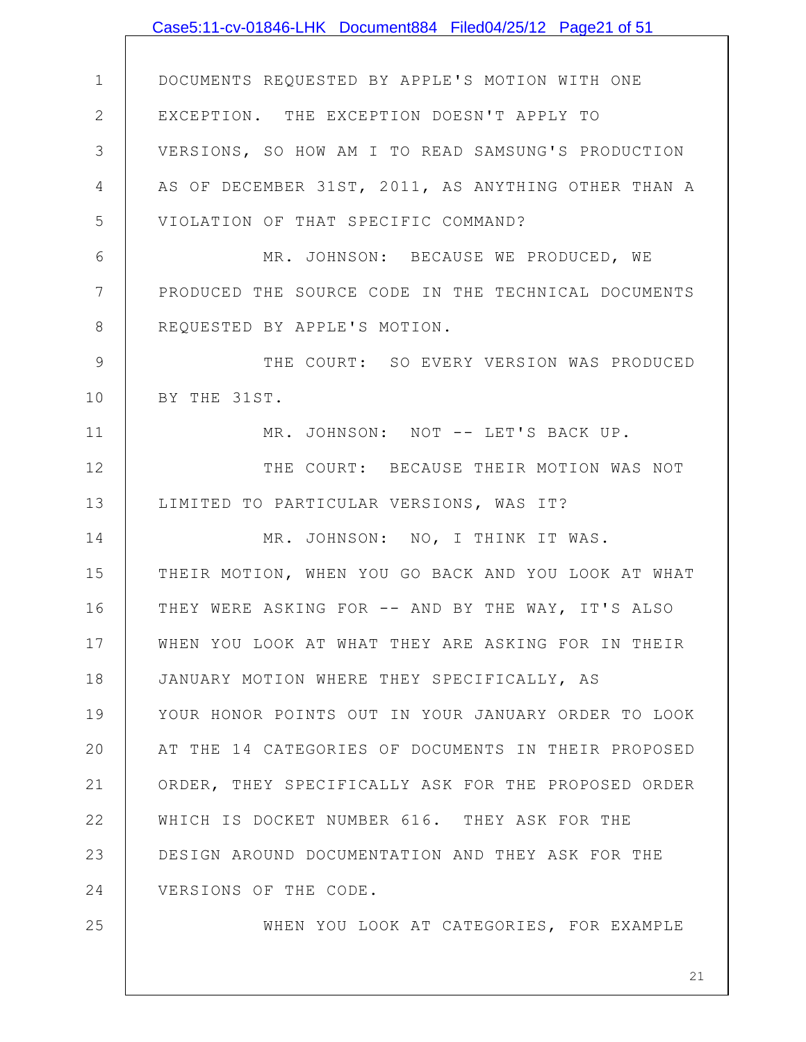|                | Case5:11-cv-01846-LHK Document884 Filed04/25/12 Page21 of 51 |
|----------------|--------------------------------------------------------------|
|                |                                                              |
| $\mathbf 1$    | DOCUMENTS REQUESTED BY APPLE'S MOTION WITH ONE               |
| $\mathbf{2}$   | EXCEPTION. THE EXCEPTION DOESN'T APPLY TO                    |
| 3              | VERSIONS, SO HOW AM I TO READ SAMSUNG'S PRODUCTION           |
| 4              | AS OF DECEMBER 31ST, 2011, AS ANYTHING OTHER THAN A          |
| 5              | VIOLATION OF THAT SPECIFIC COMMAND?                          |
| 6              | MR. JOHNSON: BECAUSE WE PRODUCED, WE                         |
| $7\phantom{.}$ | PRODUCED THE SOURCE CODE IN THE TECHNICAL DOCUMENTS          |
| $8\,$          | REQUESTED BY APPLE'S MOTION.                                 |
| 9              | THE COURT: SO EVERY VERSION WAS PRODUCED                     |
| 10             | BY THE 31ST.                                                 |
| 11             | MR. JOHNSON: NOT -- LET'S BACK UP.                           |
| 12             | THE COURT: BECAUSE THEIR MOTION WAS NOT                      |
| 13             | LIMITED TO PARTICULAR VERSIONS, WAS IT?                      |
| 14             | MR. JOHNSON: NO, I THINK IT WAS.                             |
| 15             | THEIR MOTION, WHEN YOU GO BACK AND YOU LOOK AT WHAT          |
| 16             | THEY WERE ASKING FOR -- AND BY THE WAY, IT'S ALSO            |
| 17             | WHEN YOU LOOK AT WHAT THEY ARE ASKING FOR IN THEIR           |
| 18             | JANUARY MOTION WHERE THEY SPECIFICALLY, AS                   |
| 19             | YOUR HONOR POINTS OUT IN YOUR JANUARY ORDER TO LOOK          |
| 20             | AT THE 14 CATEGORIES OF DOCUMENTS IN THEIR PROPOSED          |
| 21             | ORDER, THEY SPECIFICALLY ASK FOR THE PROPOSED ORDER          |
| 22             | WHICH IS DOCKET NUMBER 616. THEY ASK FOR THE                 |
| 23             | DESIGN AROUND DOCUMENTATION AND THEY ASK FOR THE             |
| 24             | VERSIONS OF THE CODE.                                        |
| 25             | WHEN YOU LOOK AT CATEGORIES, FOR EXAMPLE                     |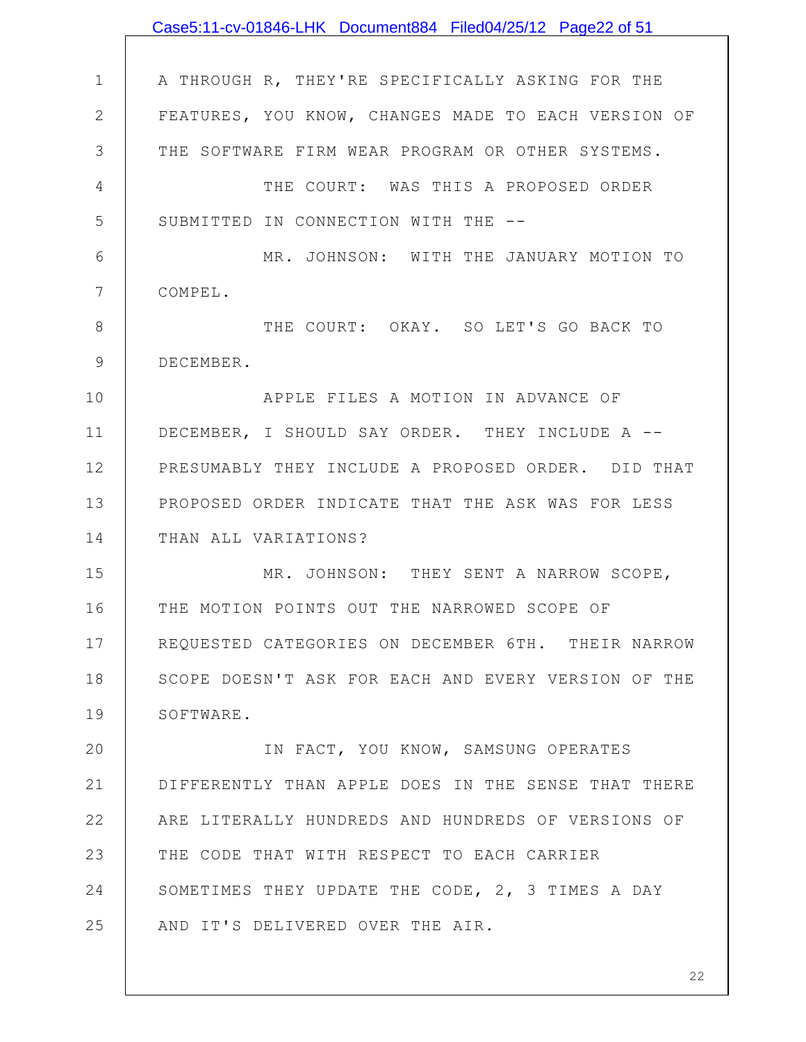|                | Case5:11-cv-01846-LHK Document884 Filed04/25/12 Page22 of 51 |
|----------------|--------------------------------------------------------------|
|                |                                                              |
| $\mathbf 1$    | A THROUGH R, THEY'RE SPECIFICALLY ASKING FOR THE             |
| $\mathbf{2}$   | FEATURES, YOU KNOW, CHANGES MADE TO EACH VERSION OF          |
| 3              | THE SOFTWARE FIRM WEAR PROGRAM OR OTHER SYSTEMS.             |
| $\overline{4}$ | THE COURT: WAS THIS A PROPOSED ORDER                         |
| 5              | SUBMITTED IN CONNECTION WITH THE --                          |
| 6              | MR. JOHNSON: WITH THE JANUARY MOTION TO                      |
| 7              | COMPEL.                                                      |
| 8              | THE COURT: OKAY. SO LET'S GO BACK TO                         |
| 9              | DECEMBER.                                                    |
| 10             | APPLE FILES A MOTION IN ADVANCE OF                           |
| 11             | DECEMBER, I SHOULD SAY ORDER. THEY INCLUDE A --              |
| 12             | PRESUMABLY THEY INCLUDE A PROPOSED ORDER. DID THAT           |
| 13             | PROPOSED ORDER INDICATE THAT THE ASK WAS FOR LESS            |
| 14             | THAN ALL VARIATIONS?                                         |
| 15             | MR. JOHNSON: THEY SENT A NARROW SCOPE,                       |
| 16             | THE MOTION POINTS OUT THE NARROWED SCOPE OF                  |
| 17             | REOUESTED CATEGORIES ON DECEMBER 6TH. THEIR NARROW           |
| 18             | SCOPE DOESN'T ASK FOR EACH AND EVERY VERSION OF THE          |
| 19             | SOFTWARE.                                                    |
| 20             | IN FACT, YOU KNOW, SAMSUNG OPERATES                          |
| 21             | DIFFERENTLY THAN APPLE DOES IN THE SENSE THAT THERE          |
| 22             | ARE LITERALLY HUNDREDS AND HUNDREDS OF VERSIONS OF           |
| 23             | THE CODE THAT WITH RESPECT TO EACH CARRIER                   |
| 24             | SOMETIMES THEY UPDATE THE CODE, 2, 3 TIMES A DAY             |
| 25             | AND IT'S DELIVERED OVER THE AIR.                             |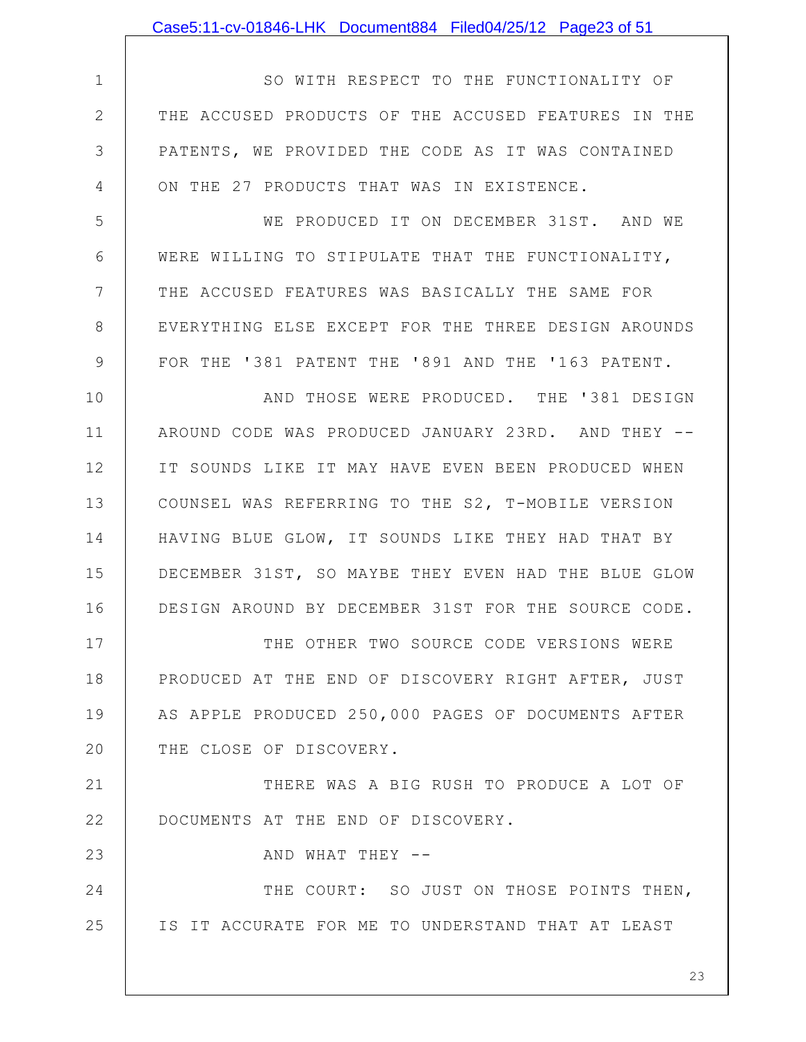|              | Case5:11-cv-01846-LHK Document884 Filed04/25/12 Page23 of 51 |
|--------------|--------------------------------------------------------------|
|              |                                                              |
| $\mathbf 1$  | SO WITH RESPECT TO THE FUNCTIONALITY OF                      |
| $\mathbf{2}$ | THE ACCUSED PRODUCTS OF THE ACCUSED FEATURES IN THE          |
| 3            | PATENTS, WE PROVIDED THE CODE AS IT WAS CONTAINED            |
| 4            | ON THE 27 PRODUCTS THAT WAS IN EXISTENCE.                    |
| 5            | WE PRODUCED IT ON DECEMBER 31ST. AND WE                      |
| 6            | WERE WILLING TO STIPULATE THAT THE FUNCTIONALITY,            |
| 7            | THE ACCUSED FEATURES WAS BASICALLY THE SAME FOR              |
| 8            | EVERYTHING ELSE EXCEPT FOR THE THREE DESIGN AROUNDS          |
| 9            | FOR THE '381 PATENT THE '891 AND THE '163 PATENT.            |
| 10           | AND THOSE WERE PRODUCED. THE '381 DESIGN                     |
| 11           | AROUND CODE WAS PRODUCED JANUARY 23RD. AND THEY --           |
| 12           | IT SOUNDS LIKE IT MAY HAVE EVEN BEEN PRODUCED WHEN           |
| 13           | COUNSEL WAS REFERRING TO THE S2, T-MOBILE VERSION            |
| 14           | HAVING BLUE GLOW, IT SOUNDS LIKE THEY HAD THAT BY            |
| 15           | DECEMBER 31ST, SO MAYBE THEY EVEN HAD THE BLUE GLOW          |
| 16           | DESIGN AROUND BY DECEMBER 31ST FOR THE SOURCE CODE.          |
| 17           | THE OTHER TWO SOURCE CODE VERSIONS WERE                      |
| 18           | PRODUCED AT THE END OF DISCOVERY RIGHT AFTER, JUST           |
| 19           | AS APPLE PRODUCED 250,000 PAGES OF DOCUMENTS AFTER           |
| 20           | THE CLOSE OF DISCOVERY.                                      |
| 21           | THERE WAS A BIG RUSH TO PRODUCE A LOT OF                     |
| 22           | DOCUMENTS AT THE END OF DISCOVERY.                           |
| 23           | AND WHAT THEY --                                             |
| 24           | THE COURT: SO JUST ON THOSE POINTS THEN,                     |
| 25           | IS IT ACCURATE FOR ME TO UNDERSTAND THAT AT LEAST            |
|              |                                                              |
|              | 23                                                           |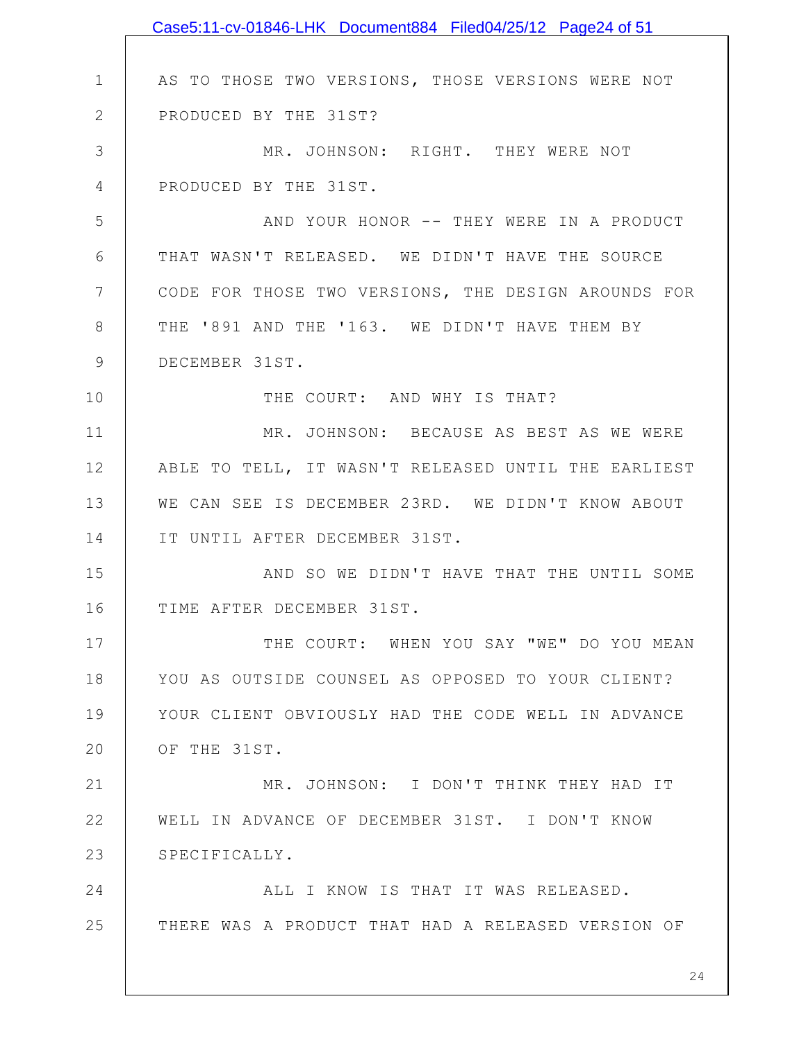|               | Case5:11-cv-01846-LHK Document884 Filed04/25/12 Page24 of 51 |
|---------------|--------------------------------------------------------------|
|               |                                                              |
| $\mathbf 1$   | AS TO THOSE TWO VERSIONS, THOSE VERSIONS WERE NOT            |
| $\mathbf{2}$  | PRODUCED BY THE 31ST?                                        |
| 3             | MR. JOHNSON: RIGHT. THEY WERE NOT                            |
| 4             | PRODUCED BY THE 31ST.                                        |
| 5             | AND YOUR HONOR -- THEY WERE IN A PRODUCT                     |
| 6             | THAT WASN'T RELEASED. WE DIDN'T HAVE THE SOURCE              |
| 7             | CODE FOR THOSE TWO VERSIONS, THE DESIGN AROUNDS FOR          |
| 8             | THE '891 AND THE '163. WE DIDN'T HAVE THEM BY                |
| $\mathcal{G}$ | DECEMBER 31ST.                                               |
| 10            | THE COURT: AND WHY IS THAT?                                  |
| 11            | MR. JOHNSON: BECAUSE AS BEST AS WE WERE                      |
| 12            | ABLE TO TELL, IT WASN'T RELEASED UNTIL THE EARLIEST          |
| 13            | WE CAN SEE IS DECEMBER 23RD. WE DIDN'T KNOW ABOUT            |
| 14            | IT UNTIL AFTER DECEMBER 31ST.                                |
| 15            | AND SO WE DIDN'T HAVE THAT THE UNTIL SOME                    |
| 16            | TIME AFTER DECEMBER 31ST.                                    |
| 17            | THE COURT: WHEN YOU SAY "WE" DO YOU MEAN                     |
| 18            | YOU AS OUTSIDE COUNSEL AS OPPOSED TO YOUR CLIENT?            |
| 19            | YOUR CLIENT OBVIOUSLY HAD THE CODE WELL IN ADVANCE           |
| 20            | OF THE 31ST.                                                 |
| 21            | MR. JOHNSON: I DON'T THINK THEY HAD IT                       |
| 22            | WELL IN ADVANCE OF DECEMBER 31ST. I DON'T KNOW               |
| 23            | SPECIFICALLY.                                                |
| 24            | ALL I KNOW IS THAT IT WAS RELEASED.                          |
| 25            | THERE WAS A PRODUCT THAT HAD A RELEASED VERSION OF           |
|               |                                                              |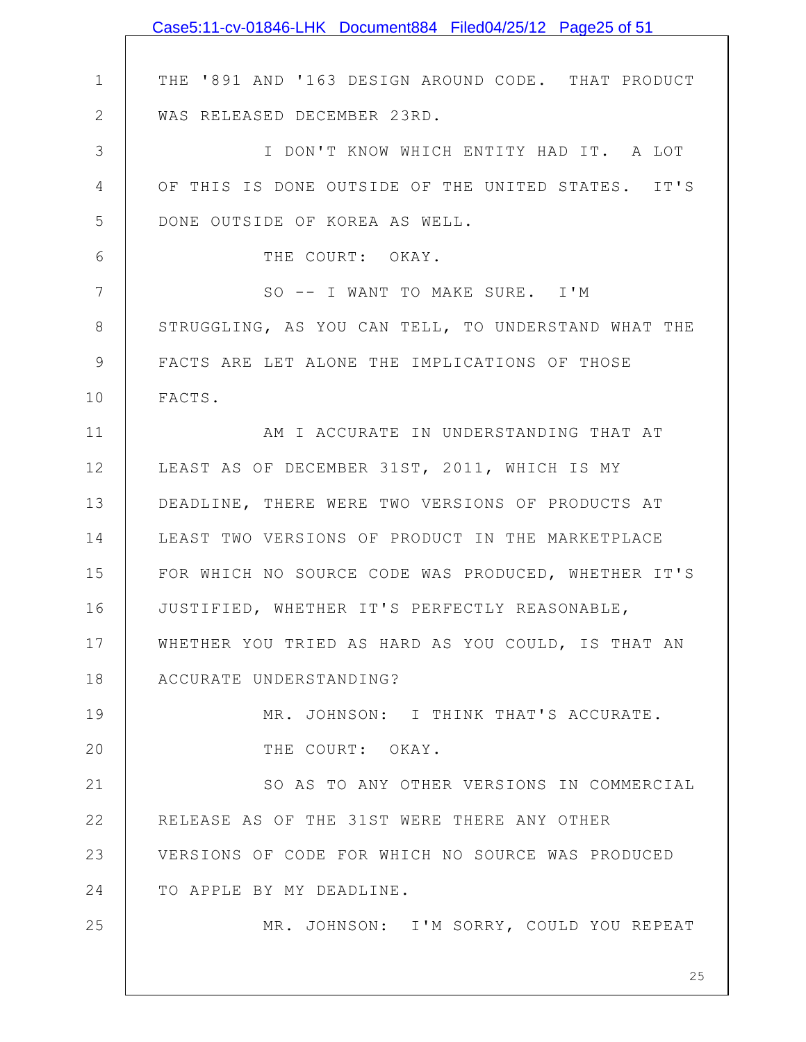|                | Case5:11-cv-01846-LHK Document884 Filed04/25/12 Page25 of 51 |
|----------------|--------------------------------------------------------------|
|                |                                                              |
| $\mathbf 1$    | THE '891 AND '163 DESIGN AROUND CODE. THAT PRODUCT           |
| $\mathbf{2}$   | WAS RELEASED DECEMBER 23RD.                                  |
| 3              | I DON'T KNOW WHICH ENTITY HAD IT. A LOT                      |
| $\overline{4}$ | OF THIS IS DONE OUTSIDE OF THE UNITED STATES. IT'S           |
| 5              | DONE OUTSIDE OF KOREA AS WELL.                               |
| 6              | THE COURT: OKAY.                                             |
| 7              | SO -- I WANT TO MAKE SURE. I'M                               |
| 8              | STRUGGLING, AS YOU CAN TELL, TO UNDERSTAND WHAT THE          |
| 9              | FACTS ARE LET ALONE THE IMPLICATIONS OF THOSE                |
| 10             | FACTS.                                                       |
| 11             | AM I ACCURATE IN UNDERSTANDING THAT AT                       |
| 12             | LEAST AS OF DECEMBER 31ST, 2011, WHICH IS MY                 |
| 13             | DEADLINE, THERE WERE TWO VERSIONS OF PRODUCTS AT             |
| 14             | LEAST TWO VERSIONS OF PRODUCT IN THE MARKETPLACE             |
| 15             | FOR WHICH NO SOURCE CODE WAS PRODUCED, WHETHER IT'S          |
| 16             | JUSTIFIED, WHETHER IT'S PERFECTLY REASONABLE,                |
| 17             | WHETHER YOU TRIED AS HARD AS YOU COULD, IS THAT AN           |
| 18             | ACCURATE UNDERSTANDING?                                      |
| 19             | MR. JOHNSON: I THINK THAT'S ACCURATE.                        |
| 20             | THE COURT: OKAY.                                             |
| 21             | SO AS TO ANY OTHER VERSIONS IN COMMERCIAL                    |
| 22             | RELEASE AS OF THE 31ST WERE THERE ANY OTHER                  |
| 23             | VERSIONS OF CODE FOR WHICH NO SOURCE WAS PRODUCED            |
| 24             | TO APPLE BY MY DEADLINE.                                     |
| 25             | MR. JOHNSON: I'M SORRY, COULD YOU REPEAT                     |
|                |                                                              |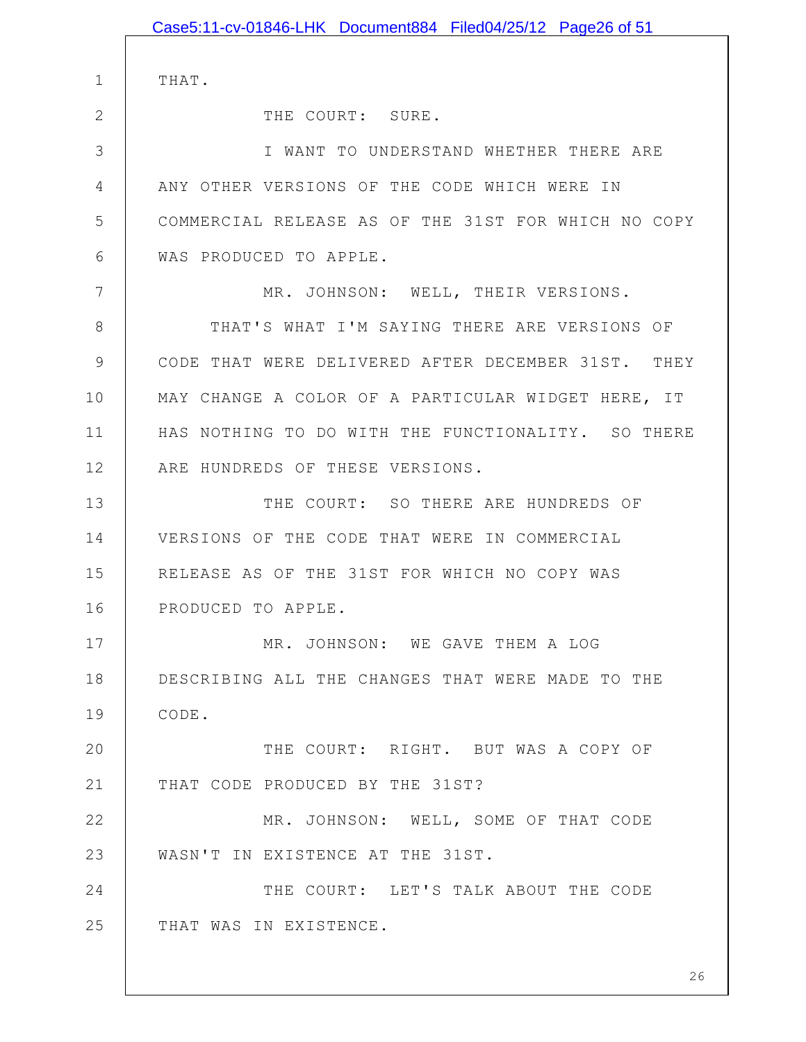|              | Case5:11-cv-01846-LHK Document884 Filed04/25/12 Page26 of 51 |
|--------------|--------------------------------------------------------------|
| $\mathbf 1$  | THAT.                                                        |
| $\mathbf{2}$ | THE COURT: SURE.                                             |
| 3            | I WANT TO UNDERSTAND WHETHER THERE ARE                       |
| 4            | ANY OTHER VERSIONS OF THE CODE WHICH WERE IN                 |
| 5            | COMMERCIAL RELEASE AS OF THE 31ST FOR WHICH NO COPY          |
| 6            | WAS PRODUCED TO APPLE.                                       |
| 7            | MR. JOHNSON: WELL, THEIR VERSIONS.                           |
| 8            | THAT'S WHAT I'M SAYING THERE ARE VERSIONS OF                 |
| 9            | CODE THAT WERE DELIVERED AFTER DECEMBER 31ST. THEY           |
| 10           | MAY CHANGE A COLOR OF A PARTICULAR WIDGET HERE, IT           |
| 11           | HAS NOTHING TO DO WITH THE FUNCTIONALITY. SO THERE           |
| 12           | ARE HUNDREDS OF THESE VERSIONS.                              |
| 13           | THE COURT: SO THERE ARE HUNDREDS OF                          |
| 14           | VERSIONS OF THE CODE THAT WERE IN COMMERCIAL                 |
| 15           | RELEASE AS OF THE 31ST FOR WHICH NO COPY WAS                 |
| 16           | PRODUCED TO APPLE.                                           |
| 17           | MR. JOHNSON: WE GAVE THEM A LOG                              |
| 18           | DESCRIBING ALL THE CHANGES THAT WERE MADE TO THE             |
| 19           | CODE.                                                        |
| 20           | THE COURT: RIGHT. BUT WAS A COPY OF                          |
| 21           | THAT CODE PRODUCED BY THE 31ST?                              |
| 22           | MR. JOHNSON: WELL, SOME OF THAT CODE                         |
| 23           | WASN'T IN EXISTENCE AT THE 31ST.                             |
| 24           | THE COURT: LET'S TALK ABOUT THE CODE                         |
| 25           | THAT WAS IN EXISTENCE.                                       |
|              |                                                              |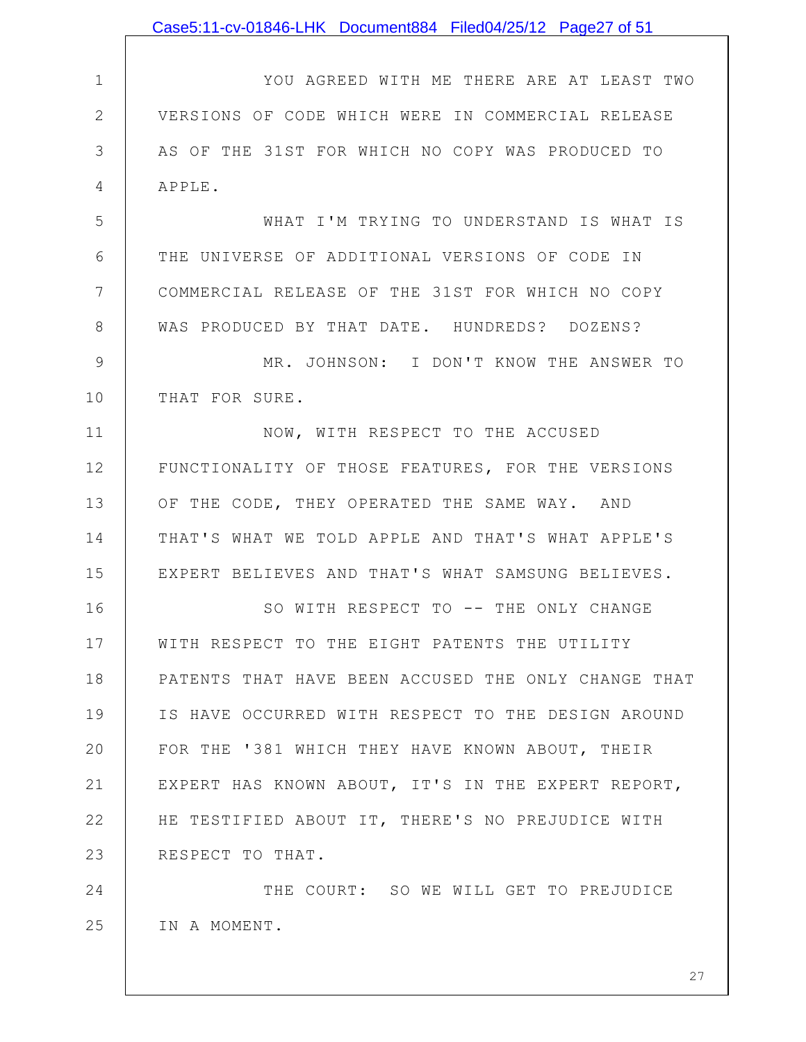|              | Case5:11-cv-01846-LHK Document884 Filed04/25/12 Page27 of 51 |
|--------------|--------------------------------------------------------------|
|              |                                                              |
| $\mathbf 1$  | YOU AGREED WITH ME THERE ARE AT LEAST TWO                    |
| $\mathbf{2}$ | VERSIONS OF CODE WHICH WERE IN COMMERCIAL RELEASE            |
| 3            | AS OF THE 31ST FOR WHICH NO COPY WAS PRODUCED TO             |
| 4            | APPLE.                                                       |
| 5            | WHAT I'M TRYING TO UNDERSTAND IS WHAT IS                     |
| 6            | THE UNIVERSE OF ADDITIONAL VERSIONS OF CODE IN               |
| 7            | COMMERCIAL RELEASE OF THE 31ST FOR WHICH NO COPY             |
| 8            | WAS PRODUCED BY THAT DATE. HUNDREDS? DOZENS?                 |
| 9            | MR. JOHNSON: I DON'T KNOW THE ANSWER TO                      |
| 10           | THAT FOR SURE.                                               |
| 11           | NOW, WITH RESPECT TO THE ACCUSED                             |
| 12           | FUNCTIONALITY OF THOSE FEATURES, FOR THE VERSIONS            |
| 13           | OF THE CODE, THEY OPERATED THE SAME WAY. AND                 |
| 14           | THAT'S WHAT WE TOLD APPLE AND THAT'S WHAT APPLE'S            |
| 15           | EXPERT BELIEVES AND THAT'S WHAT SAMSUNG BELIEVES.            |
| 16           | SO WITH RESPECT TO -- THE ONLY CHANGE                        |
| 17           | WITH RESPECT TO THE EIGHT PATENTS THE UTILITY                |
| 18           | PATENTS THAT HAVE BEEN ACCUSED THE ONLY CHANGE THAT          |
| 19           | IS HAVE OCCURRED WITH RESPECT TO THE DESIGN AROUND           |
| 20           | FOR THE '381 WHICH THEY HAVE KNOWN ABOUT, THEIR              |
| 21           | EXPERT HAS KNOWN ABOUT, IT'S IN THE EXPERT REPORT,           |
| 22           | HE TESTIFIED ABOUT IT, THERE'S NO PREJUDICE WITH             |
| 23           | RESPECT TO THAT.                                             |
| 24           | THE COURT: SO WE WILL GET TO PREJUDICE                       |
| 25           | IN A MOMENT.                                                 |
|              |                                                              |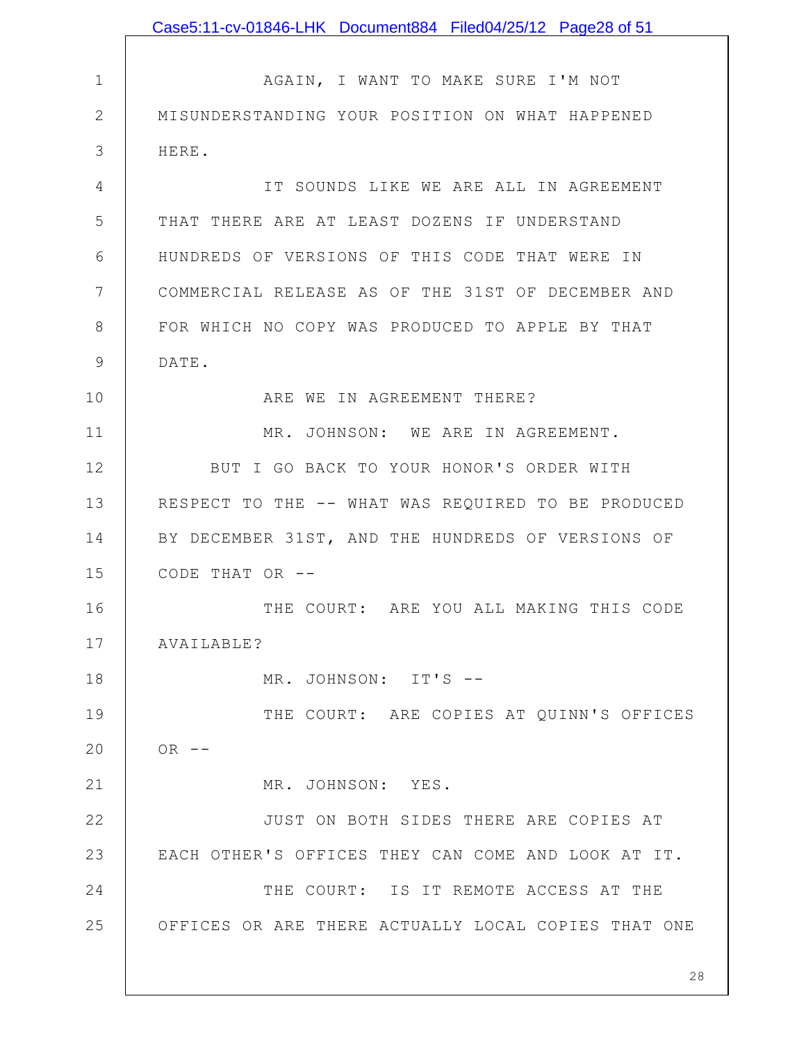|                 | Case5:11-cv-01846-LHK Document884 Filed04/25/12 Page28 of 51 |
|-----------------|--------------------------------------------------------------|
|                 |                                                              |
| $1\,$           | AGAIN, I WANT TO MAKE SURE I'M NOT                           |
| $\mathbf{2}$    | MISUNDERSTANDING YOUR POSITION ON WHAT HAPPENED              |
| 3               | HERE.                                                        |
| 4               | IT SOUNDS LIKE WE ARE ALL IN AGREEMENT                       |
| 5               | THAT THERE ARE AT LEAST DOZENS IF UNDERSTAND                 |
| 6               | HUNDREDS OF VERSIONS OF THIS CODE THAT WERE IN               |
| $7\phantom{.0}$ | COMMERCIAL RELEASE AS OF THE 31ST OF DECEMBER AND            |
| $8\,$           | FOR WHICH NO COPY WAS PRODUCED TO APPLE BY THAT              |
| $\mathcal{G}$   | DATE.                                                        |
| 10              | ARE WE IN AGREEMENT THERE?                                   |
| 11              | MR. JOHNSON: WE ARE IN AGREEMENT.                            |
| 12              | BUT I GO BACK TO YOUR HONOR'S ORDER WITH                     |
| 13              | RESPECT TO THE -- WHAT WAS REQUIRED TO BE PRODUCED           |
| 14              | BY DECEMBER 31ST, AND THE HUNDREDS OF VERSIONS OF            |
| 15              | CODE THAT OR --                                              |
| 16              | THE COURT: ARE YOU ALL MAKING THIS CODE                      |
| 17              | AVAILABLE?                                                   |
| 18              | MR. JOHNSON: IT'S --                                         |
| 19              | THE COURT: ARE COPIES AT QUINN'S OFFICES                     |
| 20              | $OR$ --                                                      |
| 21              | MR. JOHNSON: YES.                                            |
| 22              | JUST ON BOTH SIDES THERE ARE COPIES AT                       |
| 23              | EACH OTHER'S OFFICES THEY CAN COME AND LOOK AT IT.           |
| 24              | THE COURT: IS IT REMOTE ACCESS AT THE                        |
| 25              | OFFICES OR ARE THERE ACTUALLY LOCAL COPIES THAT ONE          |
|                 |                                                              |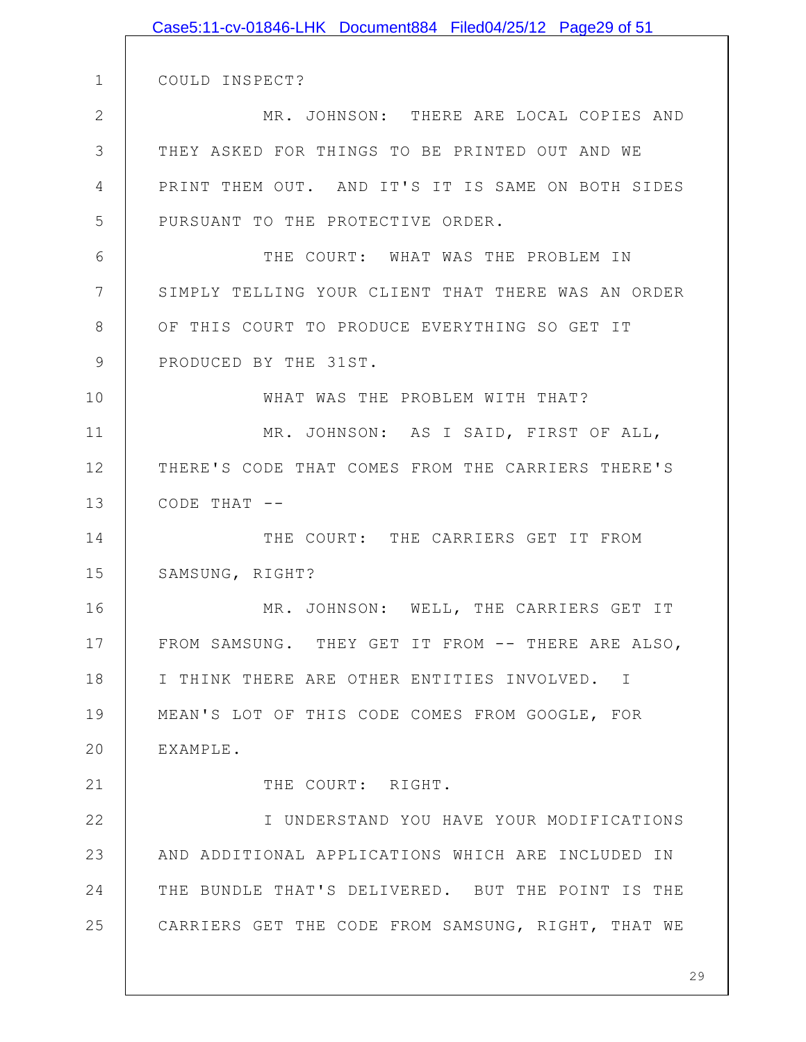|               | Case5:11-cv-01846-LHK Document884 Filed04/25/12 Page29 of 51 |
|---------------|--------------------------------------------------------------|
|               |                                                              |
| $\mathbf 1$   | COULD INSPECT?                                               |
| $\mathbf{2}$  | MR. JOHNSON: THERE ARE LOCAL COPIES AND                      |
| 3             | THEY ASKED FOR THINGS TO BE PRINTED OUT AND WE               |
| 4             | PRINT THEM OUT. AND IT'S IT IS SAME ON BOTH SIDES            |
| 5             | PURSUANT TO THE PROTECTIVE ORDER.                            |
| 6             | THE COURT: WHAT WAS THE PROBLEM IN                           |
| 7             | SIMPLY TELLING YOUR CLIENT THAT THERE WAS AN ORDER           |
| 8             | OF THIS COURT TO PRODUCE EVERYTHING SO GET IT                |
| $\mathcal{G}$ | PRODUCED BY THE 31ST.                                        |
| 10            | WHAT WAS THE PROBLEM WITH THAT?                              |
| 11            | MR. JOHNSON: AS I SAID, FIRST OF ALL,                        |
| 12            | THERE'S CODE THAT COMES FROM THE CARRIERS THERE'S            |
| 13            | CODE THAT $--$                                               |
| 14            | THE COURT: THE CARRIERS GET IT FROM                          |
| 15            | SAMSUNG, RIGHT?                                              |
| 16            | MR. JOHNSON: WELL, THE CARRIERS GET IT                       |
| 17            | FROM SAMSUNG. THEY GET IT FROM -- THERE ARE ALSO,            |
| 18            | I THINK THERE ARE OTHER ENTITIES INVOLVED. I                 |
| 19            | MEAN'S LOT OF THIS CODE COMES FROM GOOGLE, FOR               |
| 20            | EXAMPLE.                                                     |
| 21            | THE COURT: RIGHT.                                            |
| 22            | I UNDERSTAND YOU HAVE YOUR MODIFICATIONS                     |
| 23            | AND ADDITIONAL APPLICATIONS WHICH ARE INCLUDED IN            |
| 24            | THE BUNDLE THAT'S DELIVERED. BUT THE POINT IS THE            |
| 25            | CARRIERS GET THE CODE FROM SAMSUNG, RIGHT, THAT WE           |
|               |                                                              |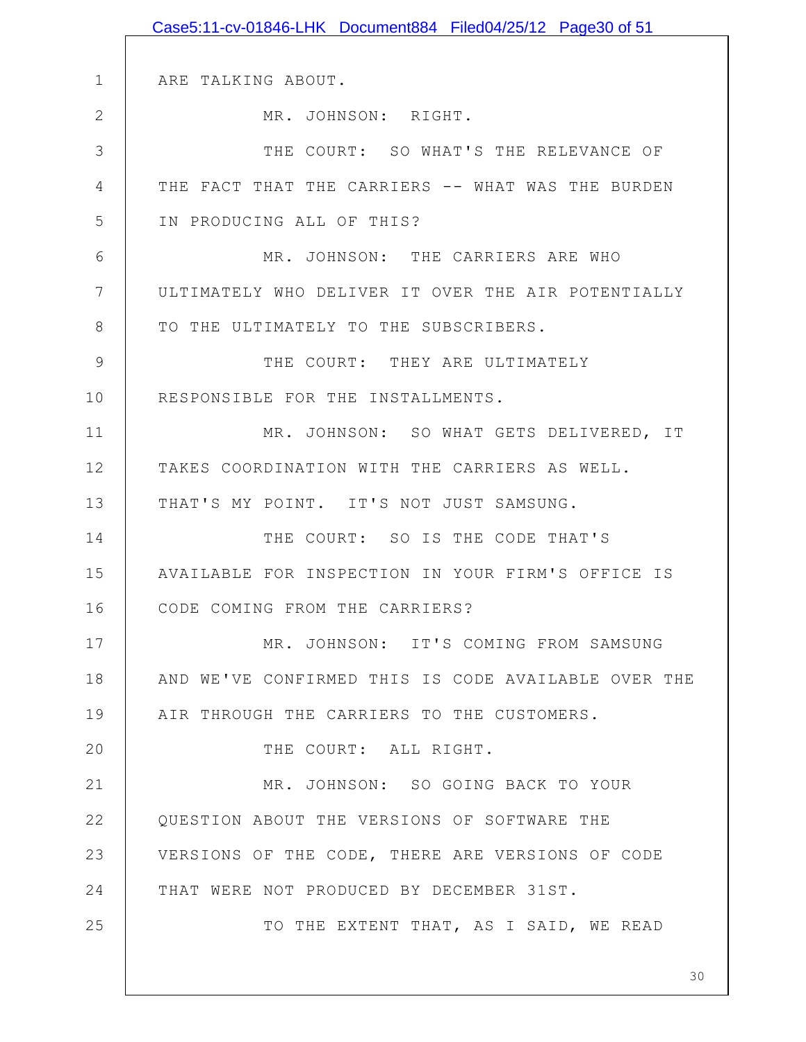|              | Case5:11-cv-01846-LHK Document884 Filed04/25/12 Page30 of 51 |
|--------------|--------------------------------------------------------------|
|              |                                                              |
| $\mathbf 1$  | ARE TALKING ABOUT.                                           |
| $\mathbf{2}$ | MR. JOHNSON: RIGHT.                                          |
| 3            | THE COURT: SO WHAT'S THE RELEVANCE OF                        |
| 4            | THE FACT THAT THE CARRIERS -- WHAT WAS THE BURDEN            |
| 5            | IN PRODUCING ALL OF THIS?                                    |
| 6            | MR. JOHNSON: THE CARRIERS ARE WHO                            |
| 7            | ULTIMATELY WHO DELIVER IT OVER THE AIR POTENTIALLY           |
| 8            | TO THE ULTIMATELY TO THE SUBSCRIBERS.                        |
| 9            | THE COURT: THEY ARE ULTIMATELY                               |
| 10           | RESPONSIBLE FOR THE INSTALLMENTS.                            |
| 11           | MR. JOHNSON: SO WHAT GETS DELIVERED, IT                      |
| 12           | TAKES COORDINATION WITH THE CARRIERS AS WELL.                |
| 13           | THAT'S MY POINT. IT'S NOT JUST SAMSUNG.                      |
| 14           | THE COURT: SO IS THE CODE THAT'S                             |
| 15           | AVAILABLE FOR INSPECTION IN YOUR FIRM'S OFFICE IS            |
| 16           | CODE COMING FROM THE CARRIERS?                               |
| 17           | MR. JOHNSON: IT'S COMING FROM SAMSUNG                        |
| 18           | AND WE'VE CONFIRMED THIS IS CODE AVAILABLE OVER THE          |
| 19           | AIR THROUGH THE CARRIERS TO THE CUSTOMERS.                   |
| 20           | THE COURT: ALL RIGHT.                                        |
| 21           | MR. JOHNSON: SO GOING BACK TO YOUR                           |
| 22           | QUESTION ABOUT THE VERSIONS OF SOFTWARE THE                  |
| 23           | VERSIONS OF THE CODE, THERE ARE VERSIONS OF CODE             |
| 24           | THAT WERE NOT PRODUCED BY DECEMBER 31ST.                     |
| 25           | TO THE EXTENT THAT, AS I SAID, WE READ                       |
|              |                                                              |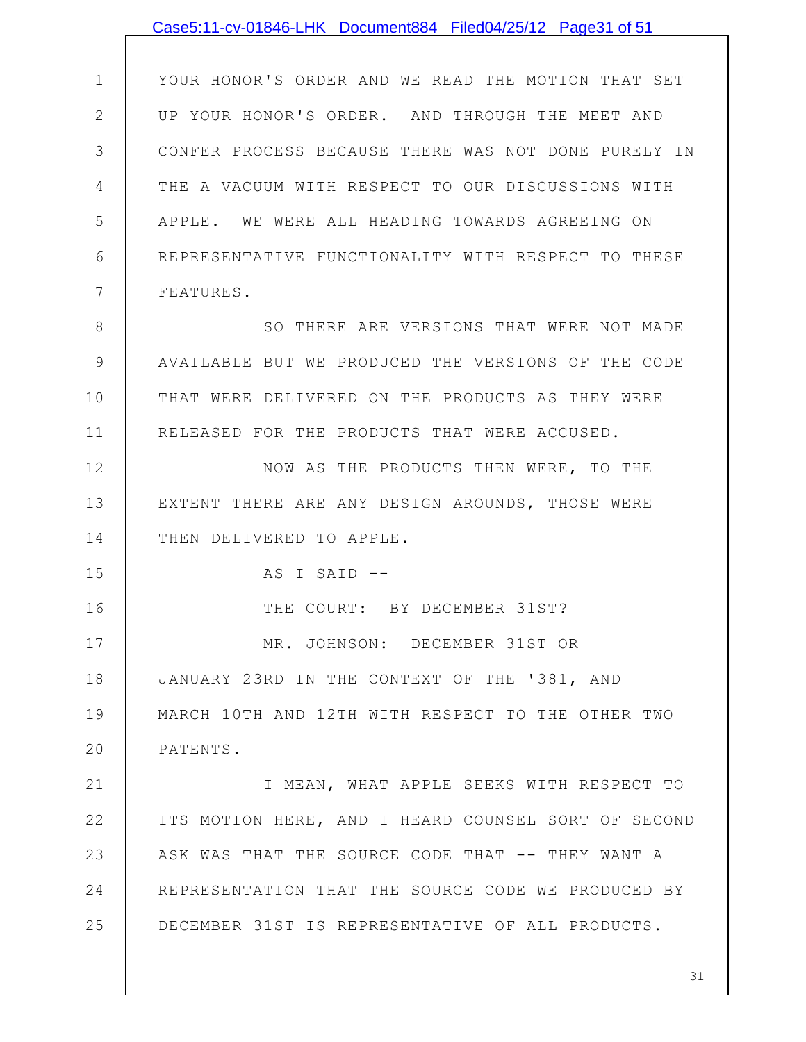|               | Case5:11-cv-01846-LHK Document884 Filed04/25/12 Page31 of 51 |
|---------------|--------------------------------------------------------------|
|               |                                                              |
| 1             | YOUR HONOR'S ORDER AND WE READ THE MOTION THAT SET           |
| $\mathbf{2}$  | UP YOUR HONOR'S ORDER. AND THROUGH THE MEET AND              |
| 3             | CONFER PROCESS BECAUSE THERE WAS NOT DONE PURELY IN          |
| 4             | THE A VACUUM WITH RESPECT TO OUR DISCUSSIONS WITH            |
| 5             | APPLE. WE WERE ALL HEADING TOWARDS AGREEING ON               |
| 6             | REPRESENTATIVE FUNCTIONALITY WITH RESPECT TO THESE           |
| 7             | FEATURES.                                                    |
| 8             | SO THERE ARE VERSIONS THAT WERE NOT MADE                     |
| $\mathcal{G}$ | AVAILABLE BUT WE PRODUCED THE VERSIONS OF THE CODE           |
| 10            | THAT WERE DELIVERED ON THE PRODUCTS AS THEY WERE             |
| 11            | RELEASED FOR THE PRODUCTS THAT WERE ACCUSED.                 |
| 12            | NOW AS THE PRODUCTS THEN WERE, TO THE                        |
| 13            | EXTENT THERE ARE ANY DESIGN AROUNDS, THOSE WERE              |
| 14            | THEN DELIVERED TO APPLE.                                     |
| 15            | AS I SAID --                                                 |
| 16            | THE COURT: BY DECEMBER 31ST?                                 |
| 17            | MR. JOHNSON: DECEMBER 31ST OR                                |
| 18            | JANUARY 23RD IN THE CONTEXT OF THE '381, AND                 |
| 19            | MARCH 10TH AND 12TH WITH RESPECT TO THE OTHER TWO            |
| 20            | PATENTS.                                                     |
| 21            | I MEAN, WHAT APPLE SEEKS WITH RESPECT TO                     |
| 22            | ITS MOTION HERE, AND I HEARD COUNSEL SORT OF SECOND          |
| 23            | ASK WAS THAT THE SOURCE CODE THAT -- THEY WANT A             |
| 24            | REPRESENTATION THAT THE SOURCE CODE WE PRODUCED BY           |
| 25            | DECEMBER 31ST IS REPRESENTATIVE OF ALL PRODUCTS.             |
|               |                                                              |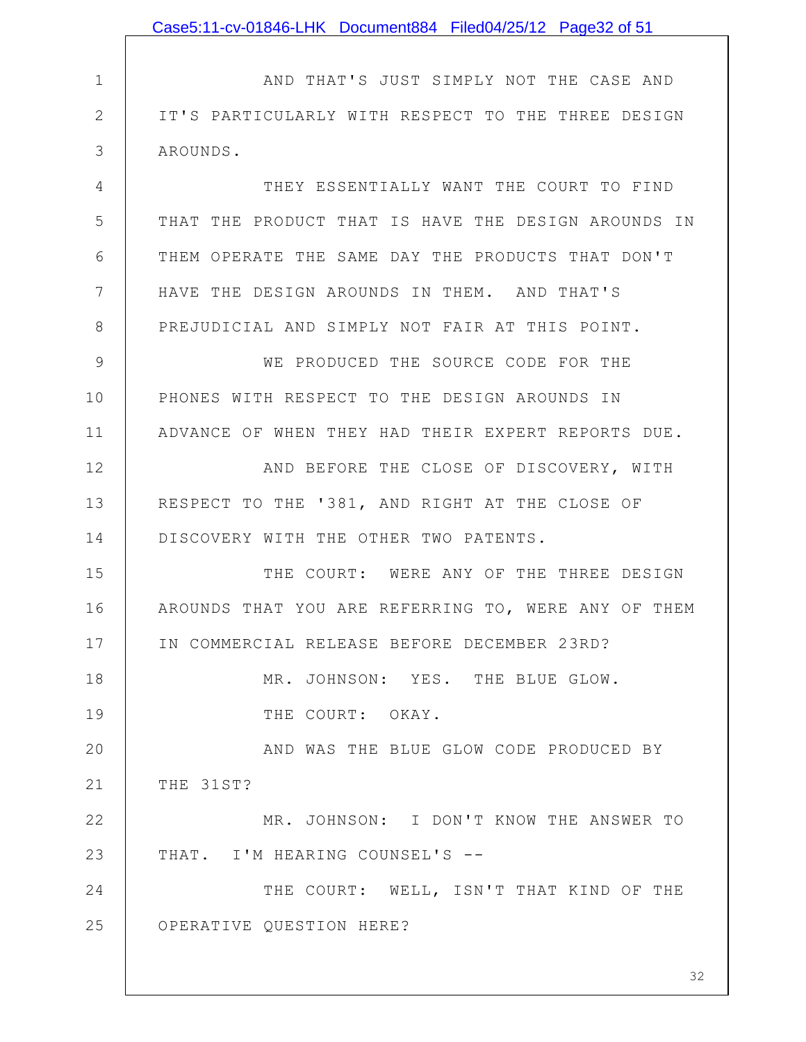|              | Case5:11-cv-01846-LHK Document884 Filed04/25/12 Page32 of 51 |
|--------------|--------------------------------------------------------------|
|              |                                                              |
| 1            | AND THAT'S JUST SIMPLY NOT THE CASE AND                      |
| $\mathbf{2}$ | IT'S PARTICULARLY WITH RESPECT TO THE THREE DESIGN           |
| 3            | AROUNDS.                                                     |
| 4            | THEY ESSENTIALLY WANT THE COURT TO FIND                      |
| 5            | THAT THE PRODUCT THAT IS HAVE THE DESIGN AROUNDS IN          |
| 6            | THEM OPERATE THE SAME DAY THE PRODUCTS THAT DON'T            |
| 7            | HAVE THE DESIGN AROUNDS IN THEM. AND THAT'S                  |
| 8            | PREJUDICIAL AND SIMPLY NOT FAIR AT THIS POINT.               |
| 9            | WE PRODUCED THE SOURCE CODE FOR THE                          |
| 10           | PHONES WITH RESPECT TO THE DESIGN AROUNDS IN                 |
| 11           | ADVANCE OF WHEN THEY HAD THEIR EXPERT REPORTS DUE.           |
| 12           | AND BEFORE THE CLOSE OF DISCOVERY, WITH                      |
| 13           | RESPECT TO THE '381, AND RIGHT AT THE CLOSE OF               |
| 14           | DISCOVERY WITH THE OTHER TWO PATENTS.                        |
| 15           | THE COURT: WERE ANY OF THE THREE DESIGN                      |
| 16           | AROUNDS THAT YOU ARE REFERRING TO, WERE ANY OF THEM          |
| 17           | IN COMMERCIAL RELEASE BEFORE DECEMBER 23RD?                  |
| 18           | MR. JOHNSON: YES. THE BLUE GLOW.                             |
| 19           | THE COURT: OKAY.                                             |
| 20           | AND WAS THE BLUE GLOW CODE PRODUCED BY                       |
| 21           | THE 31ST?                                                    |
| 22           | MR. JOHNSON: I DON'T KNOW THE ANSWER TO                      |
| 23           | THAT. I'M HEARING COUNSEL'S --                               |
| 24           | THE COURT: WELL, ISN'T THAT KIND OF THE                      |
| 25           | OPERATIVE QUESTION HERE?                                     |
|              |                                                              |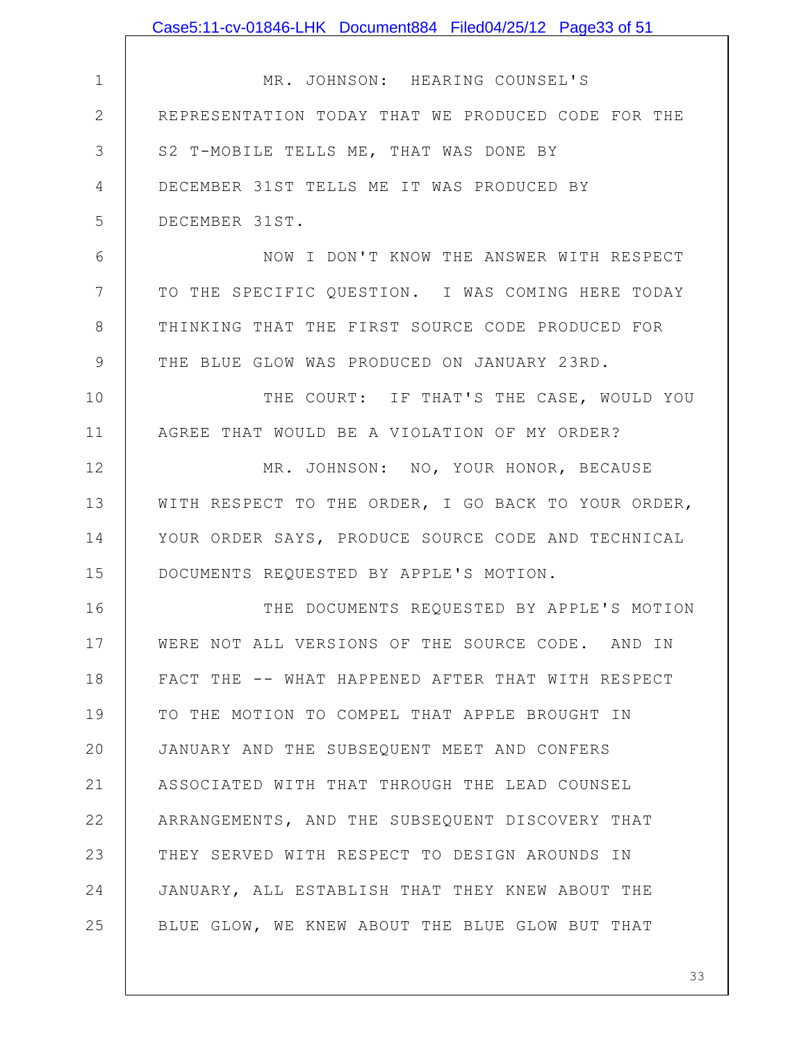|                 | Case5:11-cv-01846-LHK Document884 Filed04/25/12 Page33 of 51 |
|-----------------|--------------------------------------------------------------|
|                 |                                                              |
| $\mathbf 1$     | MR. JOHNSON: HEARING COUNSEL'S                               |
| $\mathbf{2}$    | REPRESENTATION TODAY THAT WE PRODUCED CODE FOR THE           |
| 3               | S2 T-MOBILE TELLS ME, THAT WAS DONE BY                       |
| $\overline{4}$  | DECEMBER 31ST TELLS ME IT WAS PRODUCED BY                    |
| 5               | DECEMBER 31ST.                                               |
| 6               | NOW I DON'T KNOW THE ANSWER WITH RESPECT                     |
| $7\phantom{.0}$ | TO THE SPECIFIC QUESTION. I WAS COMING HERE TODAY            |
| $8\,$           | THINKING THAT THE FIRST SOURCE CODE PRODUCED FOR             |
| $\mathcal{G}$   | THE BLUE GLOW WAS PRODUCED ON JANUARY 23RD.                  |
| 10              | THE COURT: IF THAT'S THE CASE, WOULD YOU                     |
| 11              | AGREE THAT WOULD BE A VIOLATION OF MY ORDER?                 |
| 12              | MR. JOHNSON: NO, YOUR HONOR, BECAUSE                         |
| 13              | WITH RESPECT TO THE ORDER, I GO BACK TO YOUR ORDER,          |
| 14              | YOUR ORDER SAYS, PRODUCE SOURCE CODE AND TECHNICAL           |
| 15              | DOCUMENTS REQUESTED BY APPLE'S MOTION.                       |
| 16              | THE DOCUMENTS REQUESTED BY APPLE'S MOTION                    |
| 17              | WERE NOT ALL VERSIONS OF THE SOURCE CODE. AND IN             |
| 18              | FACT THE -- WHAT HAPPENED AFTER THAT WITH RESPECT            |
| 19              | TO THE MOTION TO COMPEL THAT APPLE BROUGHT IN                |
| 20              | JANUARY AND THE SUBSEQUENT MEET AND CONFERS                  |
| 21              | ASSOCIATED WITH THAT THROUGH THE LEAD COUNSEL                |
| 22              | ARRANGEMENTS, AND THE SUBSEQUENT DISCOVERY THAT              |
| 23              | THEY SERVED WITH RESPECT TO DESIGN AROUNDS IN                |
| 24              | JANUARY, ALL ESTABLISH THAT THEY KNEW ABOUT THE              |
| 25              | BLUE GLOW, WE KNEW ABOUT THE BLUE GLOW BUT THAT              |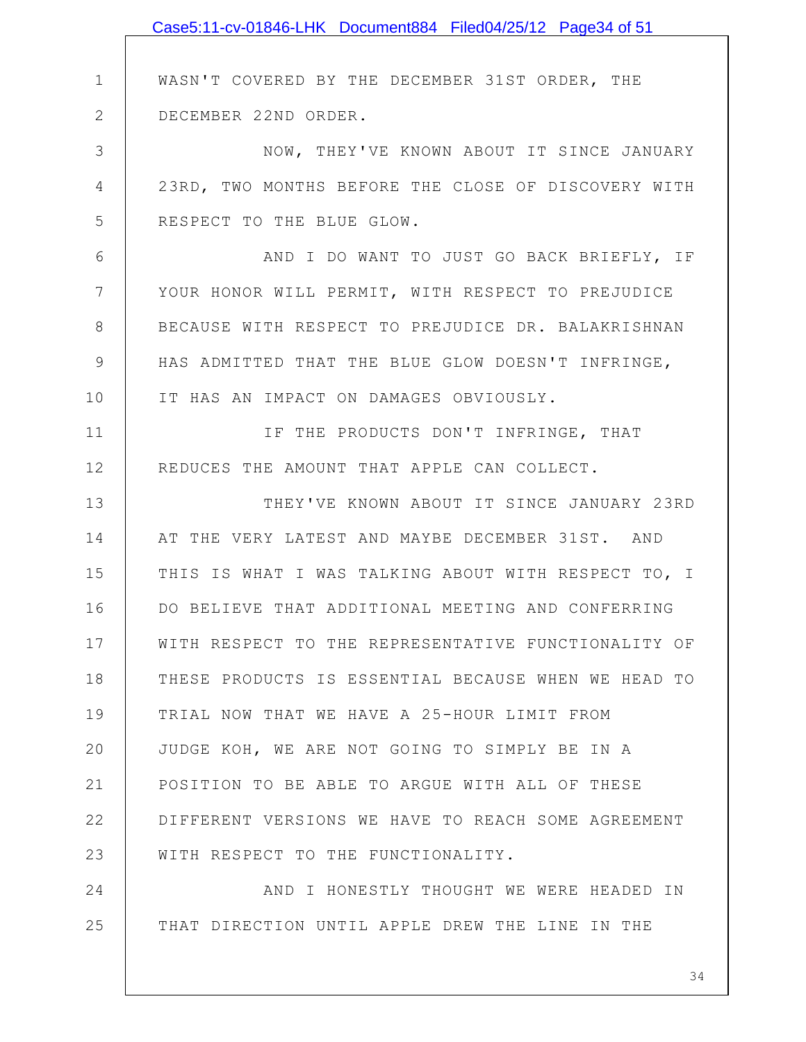|               | Case5:11-cv-01846-LHK Document884 Filed04/25/12 Page34 of 51 |
|---------------|--------------------------------------------------------------|
|               |                                                              |
| $\mathbf 1$   | WASN'T COVERED BY THE DECEMBER 31ST ORDER, THE               |
| $\mathbf{2}$  | DECEMBER 22ND ORDER.                                         |
| 3             | NOW, THEY'VE KNOWN ABOUT IT SINCE JANUARY                    |
| 4             | 23RD, TWO MONTHS BEFORE THE CLOSE OF DISCOVERY WITH          |
| 5             | RESPECT TO THE BLUE GLOW.                                    |
| 6             | AND I DO WANT TO JUST GO BACK BRIEFLY, IF                    |
| 7             | YOUR HONOR WILL PERMIT, WITH RESPECT TO PREJUDICE            |
| 8             | BECAUSE WITH RESPECT TO PREJUDICE DR. BALAKRISHNAN           |
| $\mathcal{G}$ | HAS ADMITTED THAT THE BLUE GLOW DOESN'T INFRINGE,            |
| 10            | IT HAS AN IMPACT ON DAMAGES OBVIOUSLY.                       |
| 11            | IF THE PRODUCTS DON'T INFRINGE, THAT                         |
| 12            | REDUCES THE AMOUNT THAT APPLE CAN COLLECT.                   |
| 13            | THEY'VE KNOWN ABOUT IT SINCE JANUARY 23RD                    |
| 14            | AT THE VERY LATEST AND MAYBE DECEMBER 31ST. AND              |
| 15            | THIS IS WHAT I WAS TALKING ABOUT WITH RESPECT TO, I          |
| 16            | DO BELIEVE THAT ADDITIONAL MEETING AND CONFERRING            |
| 17            | WITH RESPECT TO THE REPRESENTATIVE FUNCTIONALITY OF          |
| 18            | THESE PRODUCTS IS ESSENTIAL BECAUSE WHEN WE HEAD TO          |
| 19            | TRIAL NOW THAT WE HAVE A 25-HOUR LIMIT FROM                  |
| 20            | JUDGE KOH, WE ARE NOT GOING TO SIMPLY BE IN A                |
| 21            | POSITION TO BE ABLE TO ARGUE WITH ALL OF THESE               |
| 22            | DIFFERENT VERSIONS WE HAVE TO REACH SOME AGREEMENT           |
| 23            | WITH RESPECT TO THE FUNCTIONALITY.                           |
| 24            | AND I HONESTLY THOUGHT WE WERE HEADED IN                     |
| 25            | THAT DIRECTION UNTIL APPLE DREW THE LINE IN THE              |
|               |                                                              |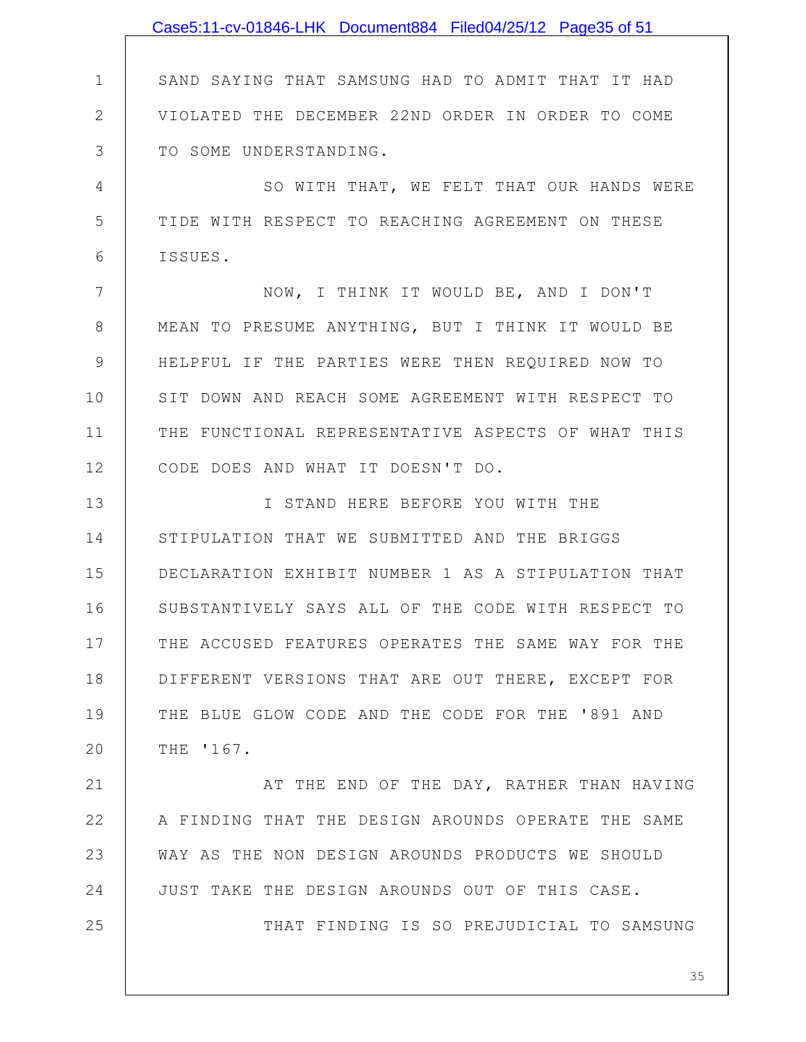|              | Case5:11-cv-01846-LHK Document884 Filed04/25/12 Page35 of 51 |
|--------------|--------------------------------------------------------------|
|              |                                                              |
| $\mathbf 1$  | SAND SAYING THAT SAMSUNG HAD TO ADMIT THAT IT HAD            |
| $\mathbf{2}$ | VIOLATED THE DECEMBER 22ND ORDER IN ORDER TO COME            |
| 3            | TO SOME UNDERSTANDING.                                       |
| 4            | SO WITH THAT, WE FELT THAT OUR HANDS WERE                    |
| 5            | TIDE WITH RESPECT TO REACHING AGREEMENT ON THESE             |
| 6            | ISSUES.                                                      |
| 7            | NOW, I THINK IT WOULD BE, AND I DON'T                        |
| 8            | MEAN TO PRESUME ANYTHING, BUT I THINK IT WOULD BE            |
| 9            | HELPFUL IF THE PARTIES WERE THEN REQUIRED NOW TO             |
| 10           | SIT DOWN AND REACH SOME AGREEMENT WITH RESPECT TO            |
| 11           | THE FUNCTIONAL REPRESENTATIVE ASPECTS OF WHAT THIS           |
| 12           | CODE DOES AND WHAT IT DOESN'T DO.                            |
| 13           | I STAND HERE BEFORE YOU WITH THE                             |
| 14           | STIPULATION THAT WE SUBMITTED AND THE BRIGGS                 |
| 15           | DECLARATION EXHIBIT NUMBER 1 AS A STIPULATION THAT           |
| 16           | SUBSTANTIVELY SAYS ALL OF THE CODE WITH RESPECT TO           |
| 17           | THE ACCUSED FEATURES OPERATES THE SAME WAY FOR THE           |
| 18           | DIFFERENT VERSIONS THAT ARE OUT THERE, EXCEPT FOR            |
| 19           | THE BLUE GLOW CODE AND THE CODE FOR THE '891 AND             |
| 20           | THE '167.                                                    |
| 21           | AT THE END OF THE DAY, RATHER THAN HAVING                    |
| 22           | A FINDING THAT THE DESIGN AROUNDS OPERATE THE SAME           |
| 23           | WAY AS THE NON DESIGN AROUNDS PRODUCTS WE SHOULD             |
| 24           | JUST TAKE THE DESIGN AROUNDS OUT OF THIS CASE.               |
| 25           | THAT FINDING IS SO PREJUDICIAL TO SAMSUNG                    |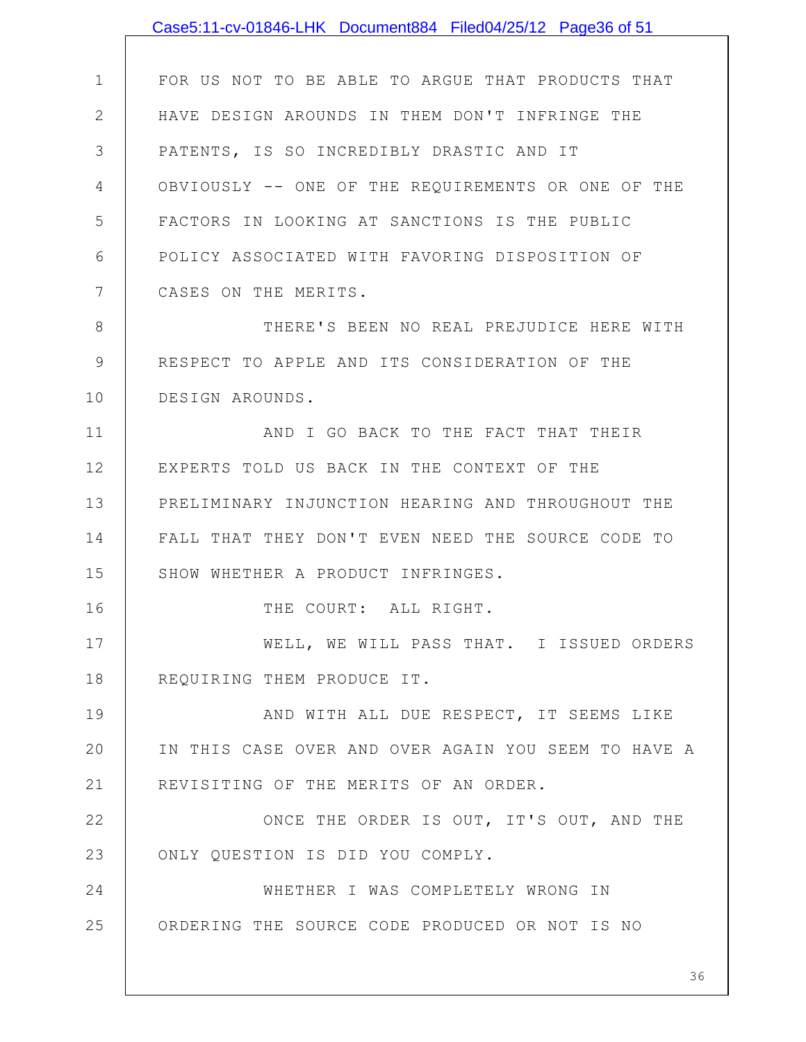|              | Case5:11-cv-01846-LHK Document884 Filed04/25/12 Page36 of 51 |
|--------------|--------------------------------------------------------------|
|              |                                                              |
| $\mathbf 1$  | FOR US NOT TO BE ABLE TO ARGUE THAT PRODUCTS THAT            |
| $\mathbf{2}$ | HAVE DESIGN AROUNDS IN THEM DON'T INFRINGE THE               |
| 3            | PATENTS, IS SO INCREDIBLY DRASTIC AND IT                     |
| 4            | OBVIOUSLY -- ONE OF THE REQUIREMENTS OR ONE OF THE           |
| 5            | FACTORS IN LOOKING AT SANCTIONS IS THE PUBLIC                |
| 6            | POLICY ASSOCIATED WITH FAVORING DISPOSITION OF               |
| 7            | CASES ON THE MERITS.                                         |
| 8            | THERE'S BEEN NO REAL PREJUDICE HERE WITH                     |
| 9            | RESPECT TO APPLE AND ITS CONSIDERATION OF THE                |
| 10           | DESIGN AROUNDS.                                              |
| 11           | AND I GO BACK TO THE FACT THAT THEIR                         |
| 12           | EXPERTS TOLD US BACK IN THE CONTEXT OF THE                   |
| 13           | PRELIMINARY INJUNCTION HEARING AND THROUGHOUT THE            |
| 14           | FALL THAT THEY DON'T EVEN NEED THE SOURCE CODE TO            |
| 15           | SHOW WHETHER A PRODUCT INFRINGES.                            |
| 16           | THE COURT: ALL RIGHT.                                        |
| 17           | WELL, WE WILL PASS THAT. I ISSUED ORDERS                     |
| 18           | REQUIRING THEM PRODUCE IT.                                   |
| 19           | AND WITH ALL DUE RESPECT, IT SEEMS LIKE                      |
| 20           | IN THIS CASE OVER AND OVER AGAIN YOU SEEM TO HAVE A          |
| 21           | REVISITING OF THE MERITS OF AN ORDER.                        |
| 22           | ONCE THE ORDER IS OUT, IT'S OUT, AND THE                     |
| 23           | ONLY QUESTION IS DID YOU COMPLY.                             |
| 24           | WHETHER I WAS COMPLETELY WRONG IN                            |
| 25           | ORDERING THE SOURCE CODE PRODUCED OR NOT IS NO               |
|              | 36                                                           |
|              |                                                              |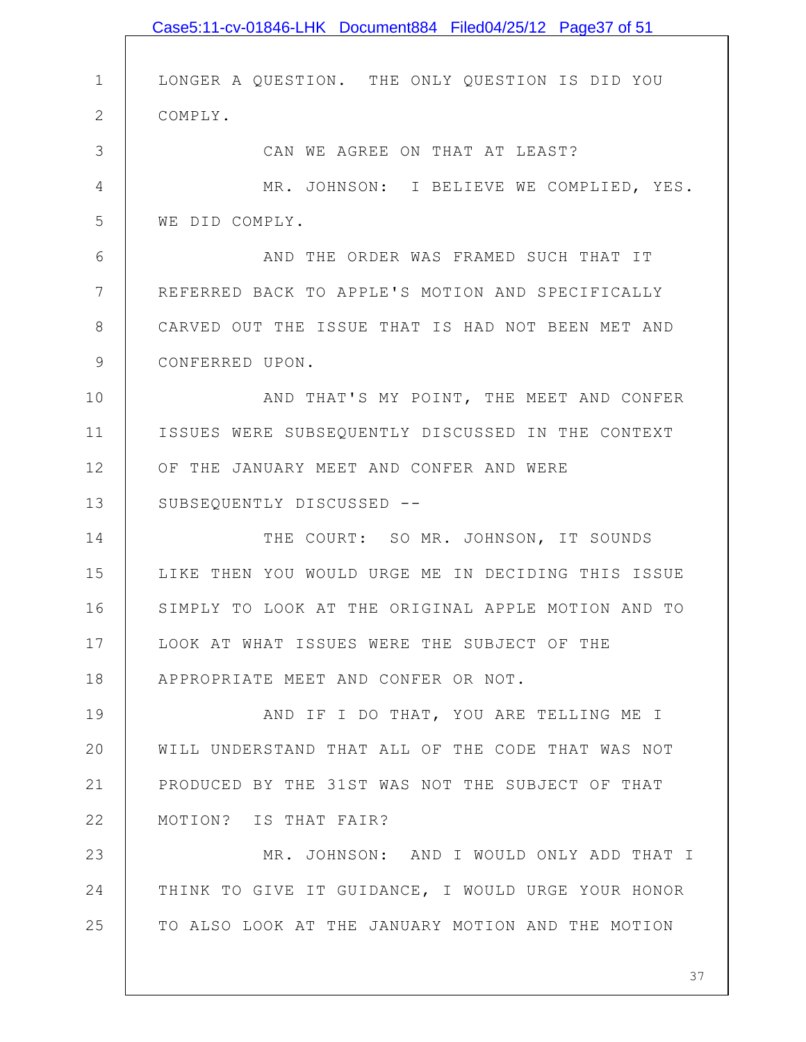|               | Case5:11-cv-01846-LHK Document884 Filed04/25/12 Page37 of 51 |
|---------------|--------------------------------------------------------------|
|               |                                                              |
| $\mathbf 1$   | LONGER A QUESTION. THE ONLY QUESTION IS DID YOU              |
| $\mathbf{2}$  | COMPLY.                                                      |
| 3             | CAN WE AGREE ON THAT AT LEAST?                               |
| 4             | MR. JOHNSON: I BELIEVE WE COMPLIED, YES.                     |
| 5             | WE DID COMPLY.                                               |
| 6             | AND THE ORDER WAS FRAMED SUCH THAT IT                        |
| 7             | REFERRED BACK TO APPLE'S MOTION AND SPECIFICALLY             |
| $8\,$         | CARVED OUT THE ISSUE THAT IS HAD NOT BEEN MET AND            |
| $\mathcal{G}$ | CONFERRED UPON.                                              |
| 10            | AND THAT'S MY POINT, THE MEET AND CONFER                     |
| 11            | ISSUES WERE SUBSEQUENTLY DISCUSSED IN THE CONTEXT            |
| 12            | OF THE JANUARY MEET AND CONFER AND WERE                      |
| 13            | SUBSEQUENTLY DISCUSSED --                                    |
| 14            | THE COURT: SO MR. JOHNSON, IT SOUNDS                         |
| 15            | LIKE THEN YOU WOULD URGE ME IN DECIDING THIS ISSUE           |
| 16            | SIMPLY TO LOOK AT THE ORIGINAL APPLE MOTION AND TO           |
| 17            | LOOK AT WHAT ISSUES WERE THE SUBJECT OF THE                  |
| 18            | APPROPRIATE MEET AND CONFER OR NOT.                          |
| 19            | AND IF I DO THAT, YOU ARE TELLING ME I                       |
| 20            | WILL UNDERSTAND THAT ALL OF THE CODE THAT WAS NOT            |
| 21            | PRODUCED BY THE 31ST WAS NOT THE SUBJECT OF THAT             |
| 22            | MOTION? IS THAT FAIR?                                        |
| 23            | MR. JOHNSON: AND I WOULD ONLY ADD THAT I                     |
| 24            | THINK TO GIVE IT GUIDANCE, I WOULD URGE YOUR HONOR           |
| 25            | TO ALSO LOOK AT THE JANUARY MOTION AND THE MOTION            |
|               |                                                              |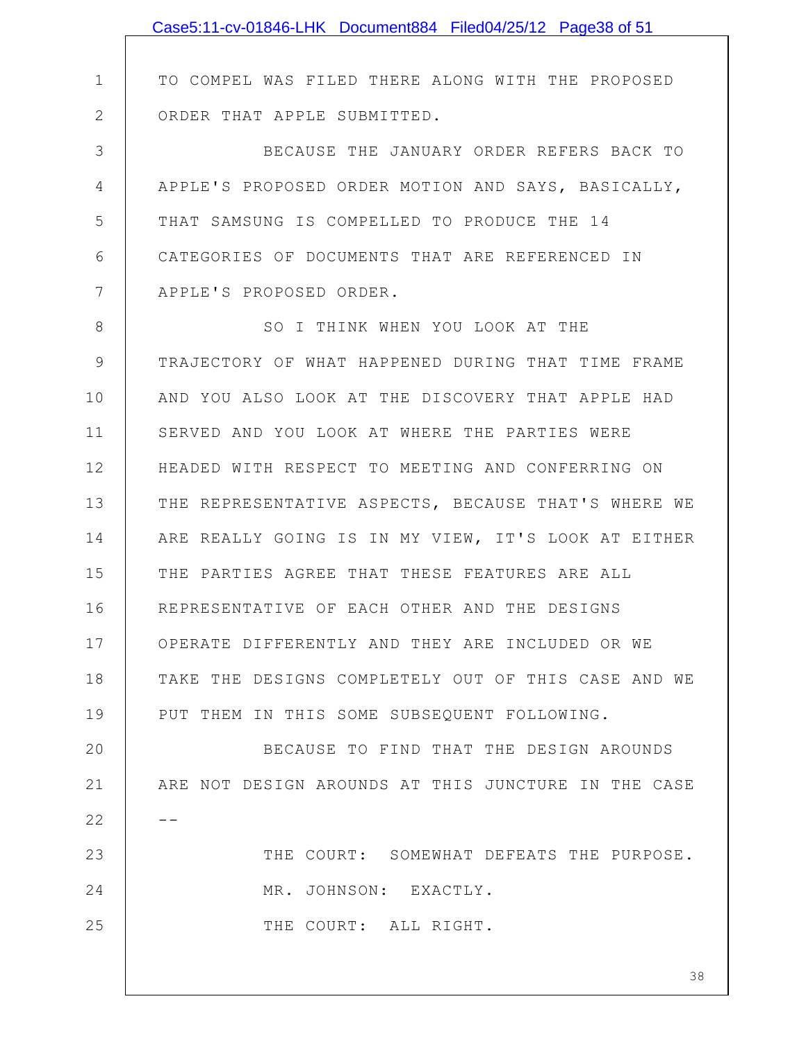|               | Case5:11-cv-01846-LHK Document884 Filed04/25/12 Page38 of 51 |
|---------------|--------------------------------------------------------------|
|               |                                                              |
| $\mathbf 1$   | TO COMPEL WAS FILED THERE ALONG WITH THE PROPOSED            |
| $\mathbf{2}$  | ORDER THAT APPLE SUBMITTED.                                  |
| 3             | BECAUSE THE JANUARY ORDER REFERS BACK TO                     |
| 4             | APPLE'S PROPOSED ORDER MOTION AND SAYS, BASICALLY,           |
| 5             | THAT SAMSUNG IS COMPELLED TO PRODUCE THE 14                  |
| 6             | CATEGORIES OF DOCUMENTS THAT ARE REFERENCED IN               |
| 7             | APPLE'S PROPOSED ORDER.                                      |
| 8             | SO I THINK WHEN YOU LOOK AT THE                              |
| $\mathcal{G}$ | TRAJECTORY OF WHAT HAPPENED DURING THAT TIME FRAME           |
| 10            | AND YOU ALSO LOOK AT THE DISCOVERY THAT APPLE HAD            |
| 11            | SERVED AND YOU LOOK AT WHERE THE PARTIES WERE                |
| 12            | HEADED WITH RESPECT TO MEETING AND CONFERRING ON             |
| 13            | THE REPRESENTATIVE ASPECTS, BECAUSE THAT'S WHERE WE          |
| 14            | ARE REALLY GOING IS IN MY VIEW, IT'S LOOK AT EITHER          |
| 15            | THE PARTIES AGREE THAT THESE FEATURES ARE ALL                |
| 16            | REPRESENTATIVE OF EACH OTHER AND THE DESIGNS                 |
| 17            | OPERATE DIFFERENTLY AND THEY ARE INCLUDED OR WE              |
| 18            | TAKE THE DESIGNS COMPLETELY OUT OF THIS CASE AND WE          |
| 19            | PUT THEM IN THIS SOME SUBSEQUENT FOLLOWING.                  |
| 20            | BECAUSE TO FIND THAT THE DESIGN AROUNDS                      |
| 21            | ARE NOT DESIGN AROUNDS AT THIS JUNCTURE IN THE CASE          |
| 22            | - -                                                          |
| 23            | THE COURT: SOMEWHAT DEFEATS THE PURPOSE.                     |
| 24            | MR. JOHNSON: EXACTLY.                                        |
| 25            | THE COURT: ALL RIGHT.                                        |
|               |                                                              |
|               | 38                                                           |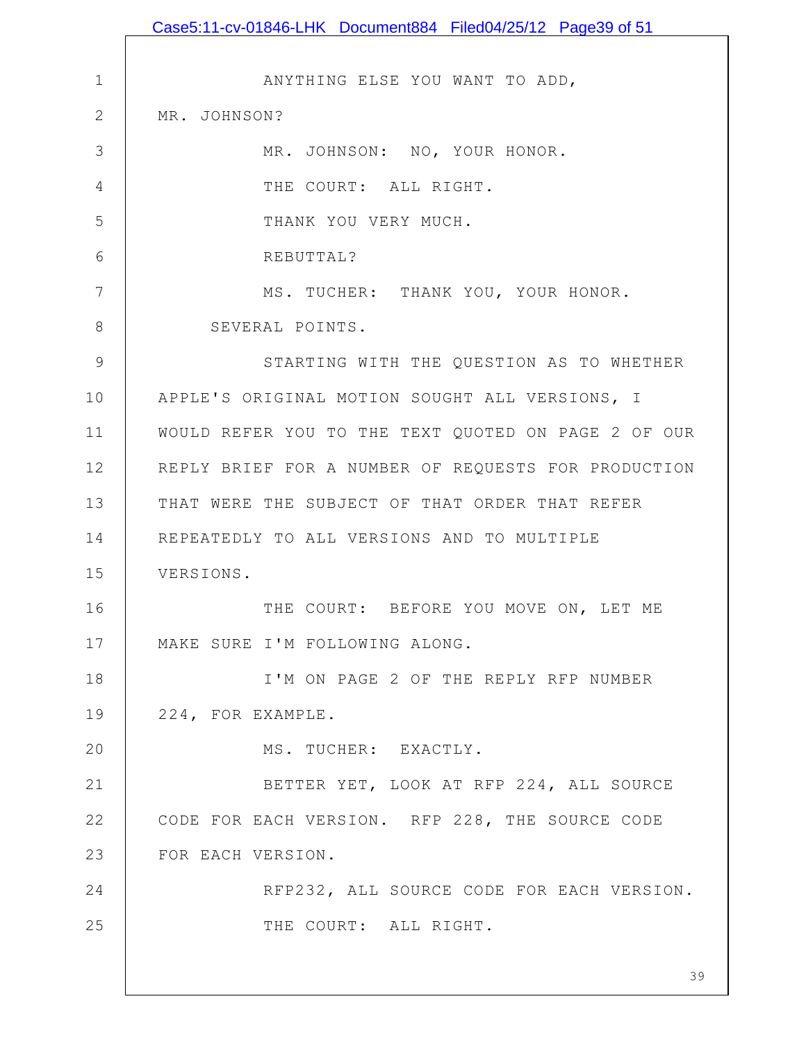1 2 3 4 5 6 7 8 9 10 11 12 13 14 15 16 17 18 19 20 21 22 23 24 25 39 ANYTHING ELSE YOU WANT TO ADD, MR. JOHNSON? MR. JOHNSON: NO, YOUR HONOR. THE COURT: ALL RIGHT. THANK YOU VERY MUCH. REBUTTAL? MS. TUCHER: THANK YOU, YOUR HONOR. SEVERAL POINTS. STARTING WITH THE QUESTION AS TO WHETHER APPLE'S ORIGINAL MOTION SOUGHT ALL VERSIONS, I WOULD REFER YOU TO THE TEXT QUOTED ON PAGE 2 OF OUR REPLY BRIEF FOR A NUMBER OF REQUESTS FOR PRODUCTION THAT WERE THE SUBJECT OF THAT ORDER THAT REFER REPEATEDLY TO ALL VERSIONS AND TO MULTIPLE VERSIONS. THE COURT: BEFORE YOU MOVE ON, LET ME MAKE SURE I'M FOLLOWING ALONG. I'M ON PAGE 2 OF THE REPLY RFP NUMBER 224, FOR EXAMPLE. MS. TUCHER: EXACTLY. BETTER YET, LOOK AT RFP 224, ALL SOURCE CODE FOR EACH VERSION. RFP 228, THE SOURCE CODE FOR EACH VERSION. RFP232, ALL SOURCE CODE FOR EACH VERSION. THE COURT: ALL RIGHT. Case5:11-cv-01846-LHK Document884 Filed04/25/12 Page39 of 51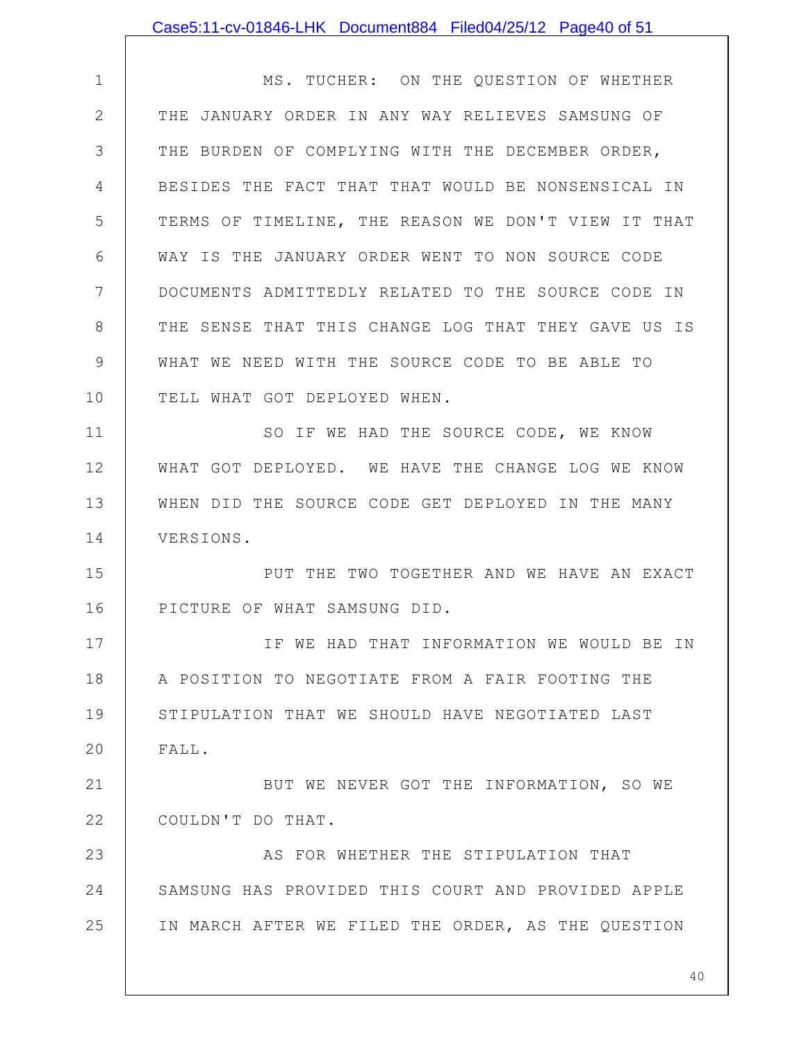|             | Case5:11-cv-01846-LHK Document884 Filed04/25/12 Page40 of 51 |
|-------------|--------------------------------------------------------------|
|             |                                                              |
| $\mathbf 1$ | MS. TUCHER: ON THE QUESTION OF WHETHER                       |
| $\mathbf 2$ | THE JANUARY ORDER IN ANY WAY RELIEVES SAMSUNG OF             |
| 3           | THE BURDEN OF COMPLYING WITH THE DECEMBER ORDER,             |
| 4           | BESIDES THE FACT THAT THAT WOULD BE NONSENSICAL IN           |
| 5           | TERMS OF TIMELINE, THE REASON WE DON'T VIEW IT THAT          |
| 6           | WAY IS THE JANUARY ORDER WENT TO NON SOURCE CODE             |
| 7           | DOCUMENTS ADMITTEDLY RELATED TO THE SOURCE CODE IN           |
| 8           | THE SENSE THAT THIS CHANGE LOG THAT THEY GAVE US IS          |
| 9           | WHAT WE NEED WITH THE SOURCE CODE TO BE ABLE TO              |
| 10          | TELL WHAT GOT DEPLOYED WHEN.                                 |
| 11          | SO IF WE HAD THE SOURCE CODE, WE KNOW                        |
| 12          | WHAT GOT DEPLOYED. WE HAVE THE CHANGE LOG WE KNOW            |
| 13          | WHEN DID THE SOURCE CODE GET DEPLOYED IN THE MANY            |
| 14          | VERSIONS.                                                    |
| 15          | PUT THE TWO TOGETHER AND WE HAVE AN EXACT                    |
| 16          | PICTURE OF WHAT SAMSUNG DID.                                 |
| 17          | IF WE HAD THAT INFORMATION WE WOULD BE IN                    |
| 18          | A POSITION TO NEGOTIATE FROM A FAIR FOOTING THE              |
| 19          | STIPULATION THAT WE SHOULD HAVE NEGOTIATED LAST              |
| 20          | FALL.                                                        |
| 21          | BUT WE NEVER GOT THE INFORMATION, SO WE                      |
| 22          | COULDN'T DO THAT.                                            |
| 23          | AS FOR WHETHER THE STIPULATION THAT                          |
| 24          | SAMSUNG HAS PROVIDED THIS COURT AND PROVIDED APPLE           |
| 25          | IN MARCH AFTER WE FILED THE ORDER, AS THE QUESTION           |
|             |                                                              |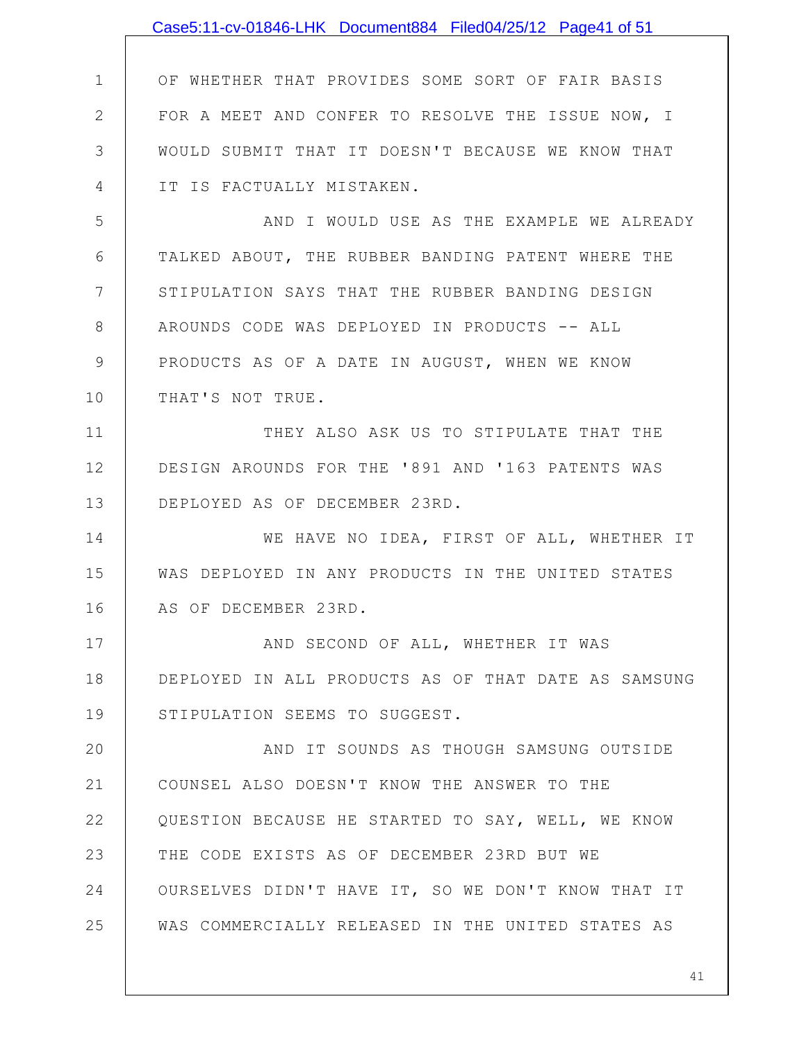|              | Case5:11-cv-01846-LHK Document884 Filed04/25/12 Page41 of 51 |
|--------------|--------------------------------------------------------------|
|              |                                                              |
| $\mathbf 1$  | OF WHETHER THAT PROVIDES SOME SORT OF FAIR BASIS             |
| $\mathbf{2}$ | FOR A MEET AND CONFER TO RESOLVE THE ISSUE NOW, I            |
| 3            | WOULD SUBMIT THAT IT DOESN'T BECAUSE WE KNOW THAT            |
| 4            | IT IS FACTUALLY MISTAKEN.                                    |
| 5            | AND I WOULD USE AS THE EXAMPLE WE ALREADY                    |
| 6            | TALKED ABOUT, THE RUBBER BANDING PATENT WHERE THE            |
| 7            | STIPULATION SAYS THAT THE RUBBER BANDING DESIGN              |
| 8            | AROUNDS CODE WAS DEPLOYED IN PRODUCTS -- ALL                 |
| $\mathsf 9$  | PRODUCTS AS OF A DATE IN AUGUST, WHEN WE KNOW                |
| 10           | THAT'S NOT TRUE.                                             |
| 11           | THEY ALSO ASK US TO STIPULATE THAT THE                       |
| 12           | DESIGN AROUNDS FOR THE '891 AND '163 PATENTS WAS             |
| 13           | DEPLOYED AS OF DECEMBER 23RD.                                |
| 14           | WE HAVE NO IDEA, FIRST OF ALL, WHETHER IT                    |
| 15           | WAS DEPLOYED IN ANY PRODUCTS IN THE UNITED STATES            |
| 16           | AS OF DECEMBER 23RD.                                         |
| 17           | AND SECOND OF ALL, WHETHER IT WAS                            |
| 18           | DEPLOYED IN ALL PRODUCTS AS OF THAT DATE AS SAMSUNG          |
| 19           | STIPULATION SEEMS TO SUGGEST.                                |
| 20           | AND IT SOUNDS AS THOUGH SAMSUNG OUTSIDE                      |
| 21           | COUNSEL ALSO DOESN'T KNOW THE ANSWER TO THE                  |
| 22           | QUESTION BECAUSE HE STARTED TO SAY, WELL, WE KNOW            |
| 23           | THE CODE EXISTS AS OF DECEMBER 23RD BUT WE                   |
| 24           | OURSELVES DIDN'T HAVE IT, SO WE DON'T KNOW THAT IT           |
| 25           | WAS COMMERCIALLY RELEASED IN THE UNITED STATES AS            |
|              |                                                              |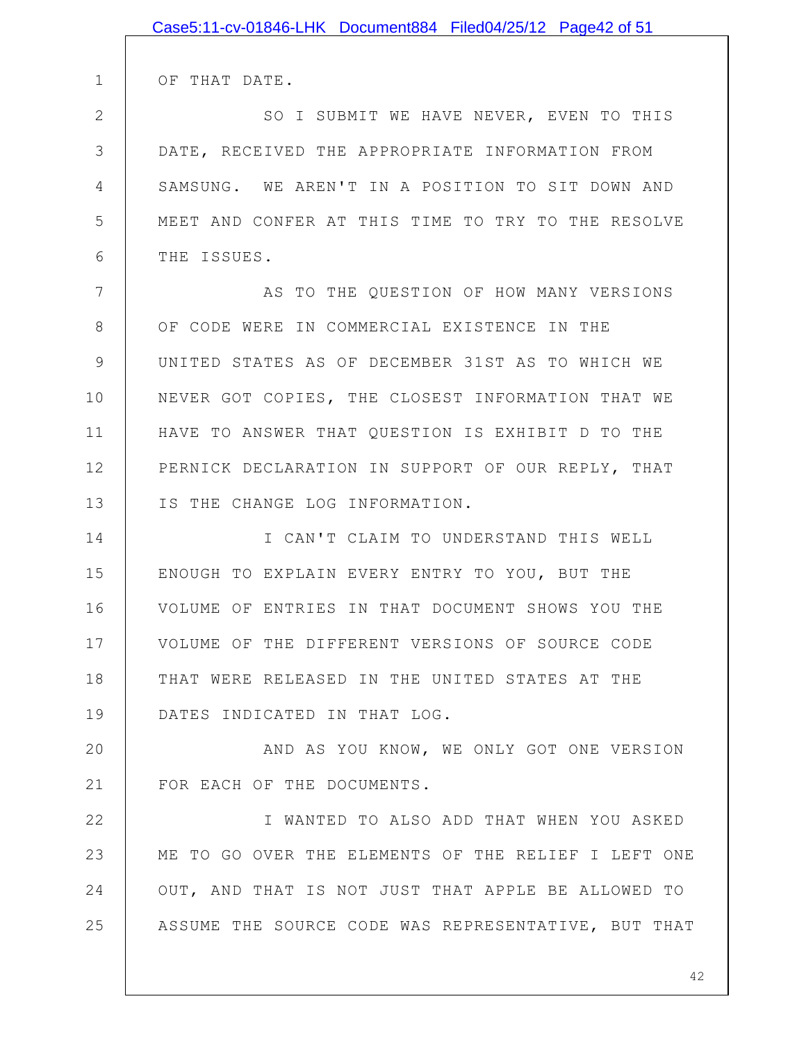|              | Case5:11-cv-01846-LHK Document884 Filed04/25/12 Page42 of 51 |
|--------------|--------------------------------------------------------------|
|              |                                                              |
| 1            | OF THAT DATE.                                                |
| $\mathbf{2}$ | SO I SUBMIT WE HAVE NEVER, EVEN TO THIS                      |
| 3            | DATE, RECEIVED THE APPROPRIATE INFORMATION FROM              |
| 4            | SAMSUNG. WE AREN'T IN A POSITION TO SIT DOWN AND             |
| 5            | MEET AND CONFER AT THIS TIME TO TRY TO THE RESOLVE           |
| 6            | THE ISSUES.                                                  |
| 7            | AS TO THE QUESTION OF HOW MANY VERSIONS                      |
| 8            | OF CODE WERE IN COMMERCIAL EXISTENCE IN THE                  |
| 9            | UNITED STATES AS OF DECEMBER 31ST AS TO WHICH WE             |
| 10           | NEVER GOT COPIES, THE CLOSEST INFORMATION THAT WE            |
| 11           | HAVE TO ANSWER THAT QUESTION IS EXHIBIT D TO THE             |
| 12           | PERNICK DECLARATION IN SUPPORT OF OUR REPLY, THAT            |
| 13           | IS THE CHANGE LOG INFORMATION.                               |
| 14           | I CAN'T CLAIM TO UNDERSTAND THIS WELL                        |
| 15           | ENOUGH TO EXPLAIN EVERY ENTRY TO YOU, BUT THE                |
| 16           | VOLUME OF ENTRIES IN THAT DOCUMENT SHOWS YOU THE             |
| 17           | VOLUME OF THE DIFFERENT VERSIONS OF SOURCE CODE              |
| 18           | THAT WERE RELEASED IN THE UNITED STATES AT THE               |
| 19           | DATES INDICATED IN THAT LOG.                                 |
| 20           | AND AS YOU KNOW, WE ONLY GOT ONE VERSION                     |
| 21           | FOR EACH OF THE DOCUMENTS.                                   |
| 22           | I WANTED TO ALSO ADD THAT WHEN YOU ASKED                     |
| 23           | ME TO GO OVER THE ELEMENTS OF THE RELIEF I LEFT ONE          |
| 24           | OUT, AND THAT IS NOT JUST THAT APPLE BE ALLOWED TO           |
| 25           | ASSUME THE SOURCE CODE WAS REPRESENTATIVE, BUT THAT          |
|              |                                                              |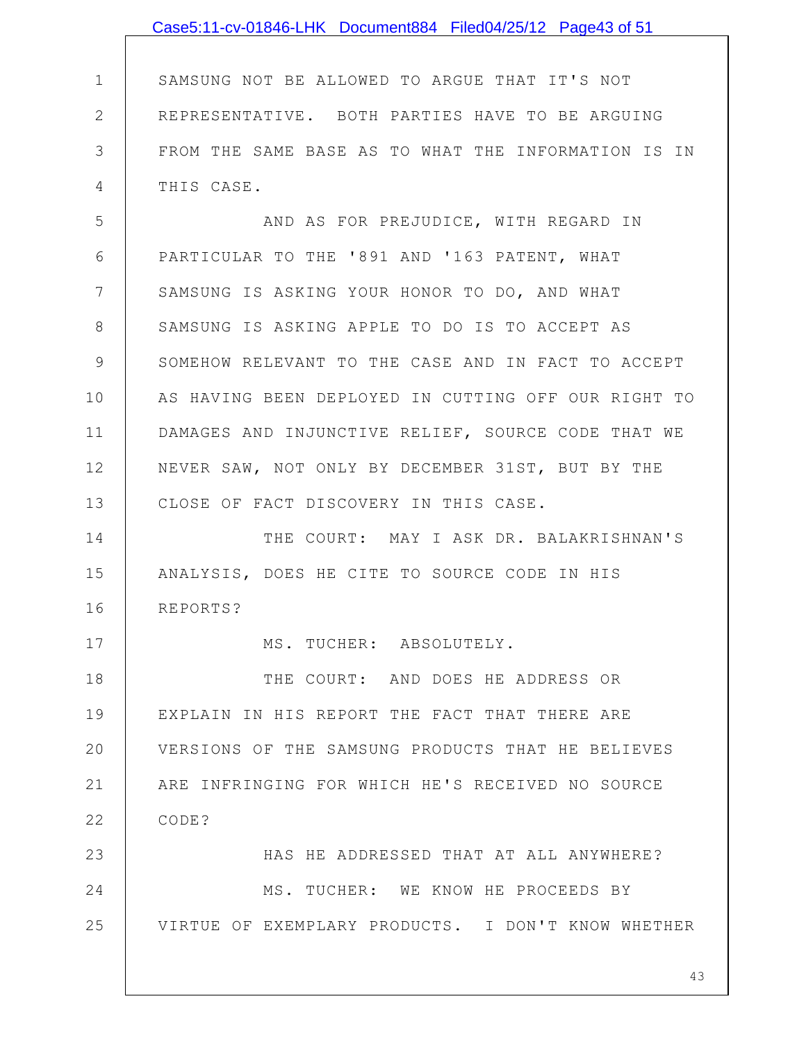|                | Case5:11-cv-01846-LHK Document884 Filed04/25/12 Page43 of 51 |
|----------------|--------------------------------------------------------------|
|                |                                                              |
| $\mathbf 1$    | SAMSUNG NOT BE ALLOWED TO ARGUE THAT IT'S NOT                |
| $\overline{2}$ | REPRESENTATIVE. BOTH PARTIES HAVE TO BE ARGUING              |
| 3              | FROM THE SAME BASE AS TO WHAT THE INFORMATION IS IN          |
| 4              | THIS CASE.                                                   |
| 5              | AND AS FOR PREJUDICE, WITH REGARD IN                         |
| 6              | PARTICULAR TO THE '891 AND '163 PATENT, WHAT                 |
| $7\phantom{.}$ | SAMSUNG IS ASKING YOUR HONOR TO DO, AND WHAT                 |
| 8              | SAMSUNG IS ASKING APPLE TO DO IS TO ACCEPT AS                |
| 9              | SOMEHOW RELEVANT TO THE CASE AND IN FACT TO ACCEPT           |
| 10             | AS HAVING BEEN DEPLOYED IN CUTTING OFF OUR RIGHT TO          |
| 11             | DAMAGES AND INJUNCTIVE RELIEF, SOURCE CODE THAT WE           |
| 12             | NEVER SAW, NOT ONLY BY DECEMBER 31ST, BUT BY THE             |
| 13             | CLOSE OF FACT DISCOVERY IN THIS CASE.                        |
| 14             | THE COURT: MAY I ASK DR. BALAKRISHNAN'S                      |
| 15             | ANALYSIS, DOES HE CITE TO SOURCE CODE IN HIS                 |
| 16             | REPORTS?                                                     |
| 17             | MS. TUCHER: ABSOLUTELY.                                      |
| 18             | THE COURT: AND DOES HE ADDRESS OR                            |
| 19             | EXPLAIN IN HIS REPORT THE FACT THAT THERE ARE                |
| 20             | VERSIONS OF THE SAMSUNG PRODUCTS THAT HE BELIEVES            |
| 21             | ARE INFRINGING FOR WHICH HE'S RECEIVED NO SOURCE             |
| 22             | CODE?                                                        |
| 23             | HAS HE ADDRESSED THAT AT ALL ANYWHERE?                       |
| 24             | MS. TUCHER: WE KNOW HE PROCEEDS BY                           |
| 25             | VIRTUE OF EXEMPLARY PRODUCTS. I DON'T KNOW WHETHER           |
|                |                                                              |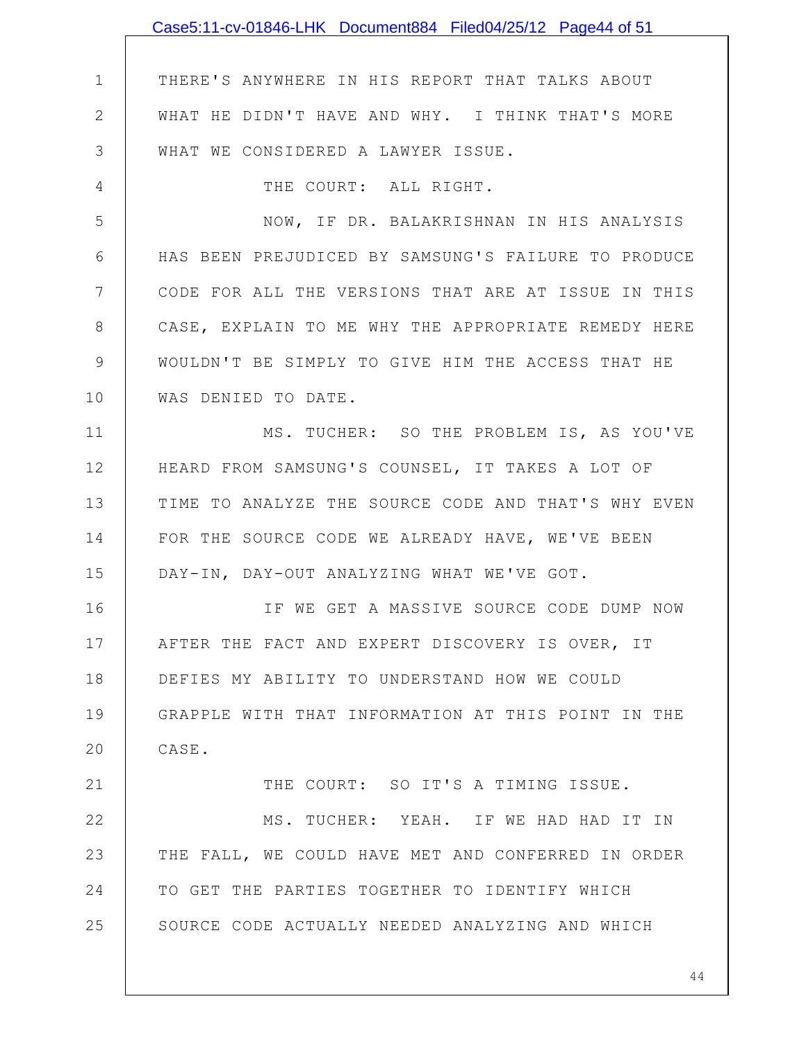|              | Case5:11-cv-01846-LHK Document884 Filed04/25/12 Page44 of 51 |
|--------------|--------------------------------------------------------------|
|              |                                                              |
| $\mathbf 1$  | THERE'S ANYWHERE IN HIS REPORT THAT TALKS ABOUT              |
| $\mathbf{2}$ | WHAT HE DIDN'T HAVE AND WHY. I THINK THAT'S MORE             |
| 3            | WHAT WE CONSIDERED A LAWYER ISSUE.                           |
| 4            | THE COURT: ALL RIGHT.                                        |
| 5            | NOW, IF DR. BALAKRISHNAN IN HIS ANALYSIS                     |
| 6            | HAS BEEN PREJUDICED BY SAMSUNG'S FAILURE TO PRODUCE          |
| 7            | CODE FOR ALL THE VERSIONS THAT ARE AT ISSUE IN THIS          |
| 8            | CASE, EXPLAIN TO ME WHY THE APPROPRIATE REMEDY HERE          |
| 9            | WOULDN'T BE SIMPLY TO GIVE HIM THE ACCESS THAT HE            |
| 10           | WAS DENIED TO DATE.                                          |
| 11           | MS. TUCHER: SO THE PROBLEM IS, AS YOU'VE                     |
| 12           | HEARD FROM SAMSUNG'S COUNSEL, IT TAKES A LOT OF              |
| 13           | TIME TO ANALYZE THE SOURCE CODE AND THAT'S WHY EVEN          |
| 14           | FOR THE SOURCE CODE WE ALREADY HAVE, WE'VE BEEN              |
| 15           | DAY-IN, DAY-OUT ANALYZING WHAT WE'VE GOT.                    |
| 16           | IF WE GET A MASSIVE SOURCE CODE DUMP NOW                     |
| 17           | AFTER THE FACT AND EXPERT DISCOVERY IS OVER, IT              |
| 18           | DEFIES MY ABILITY TO UNDERSTAND HOW WE COULD                 |
| 19           | GRAPPLE WITH THAT INFORMATION AT THIS POINT IN THE           |
| 20           | CASE.                                                        |
| 21           | THE COURT: SO IT'S A TIMING ISSUE.                           |
| 22           | MS. TUCHER: YEAH. IF WE HAD HAD IT IN                        |
| 23           | THE FALL, WE COULD HAVE MET AND CONFERRED IN ORDER           |
| 24           | TO GET THE PARTIES TOGETHER TO IDENTIFY WHICH                |
| 25           | SOURCE CODE ACTUALLY NEEDED ANALYZING AND WHICH              |
|              | 44                                                           |
|              |                                                              |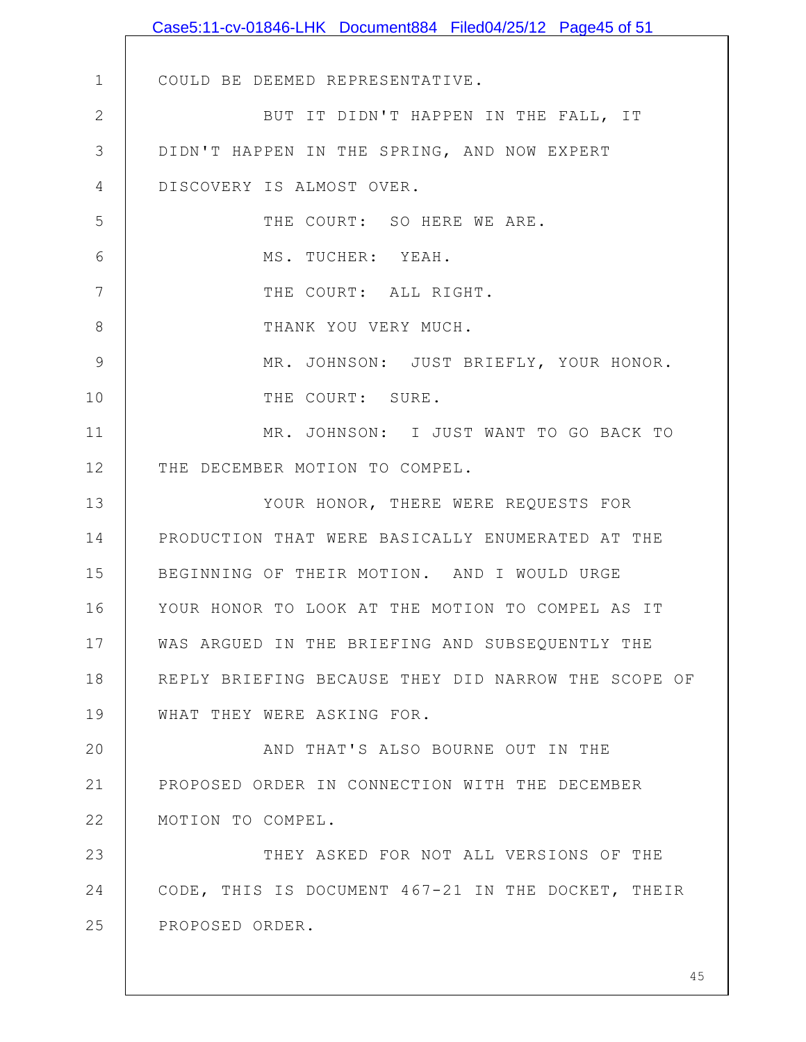|              | Case5:11-cv-01846-LHK Document884 Filed04/25/12 Page45 of 51 |
|--------------|--------------------------------------------------------------|
|              |                                                              |
| $\mathbf 1$  | COULD BE DEEMED REPRESENTATIVE.                              |
| $\mathbf{2}$ | BUT IT DIDN'T HAPPEN IN THE FALL, IT                         |
| 3            | DIDN'T HAPPEN IN THE SPRING, AND NOW EXPERT                  |
| 4            | DISCOVERY IS ALMOST OVER.                                    |
| 5            | THE COURT: SO HERE WE ARE.                                   |
| 6            | MS. TUCHER: YEAH.                                            |
| 7            | THE COURT: ALL RIGHT.                                        |
| 8            | THANK YOU VERY MUCH.                                         |
| 9            | MR. JOHNSON: JUST BRIEFLY, YOUR HONOR.                       |
| 10           | THE COURT: SURE.                                             |
| 11           | MR. JOHNSON: I JUST WANT TO GO BACK TO                       |
| 12           | THE DECEMBER MOTION TO COMPEL.                               |
| 13           | YOUR HONOR, THERE WERE REQUESTS FOR                          |
| 14           | PRODUCTION THAT WERE BASICALLY ENUMERATED AT THE             |
| 15           | BEGINNING OF THEIR MOTION. AND I WOULD URGE                  |
| 16           | YOUR HONOR TO LOOK AT THE MOTION TO COMPEL AS IT             |
| 17           | WAS ARGUED IN THE BRIEFING AND SUBSEQUENTLY THE              |
| 18           | REPLY BRIEFING BECAUSE THEY DID NARROW THE SCOPE OF          |
| 19           | WHAT THEY WERE ASKING FOR.                                   |
| 20           | AND THAT'S ALSO BOURNE OUT IN THE                            |
| 21           | PROPOSED ORDER IN CONNECTION WITH THE DECEMBER               |
| 22           | MOTION TO COMPEL.                                            |
| 23           | THEY ASKED FOR NOT ALL VERSIONS OF THE                       |
| 24           | CODE, THIS IS DOCUMENT 467-21 IN THE DOCKET, THEIR           |
| 25           | PROPOSED ORDER.                                              |
|              |                                                              |
|              | 45                                                           |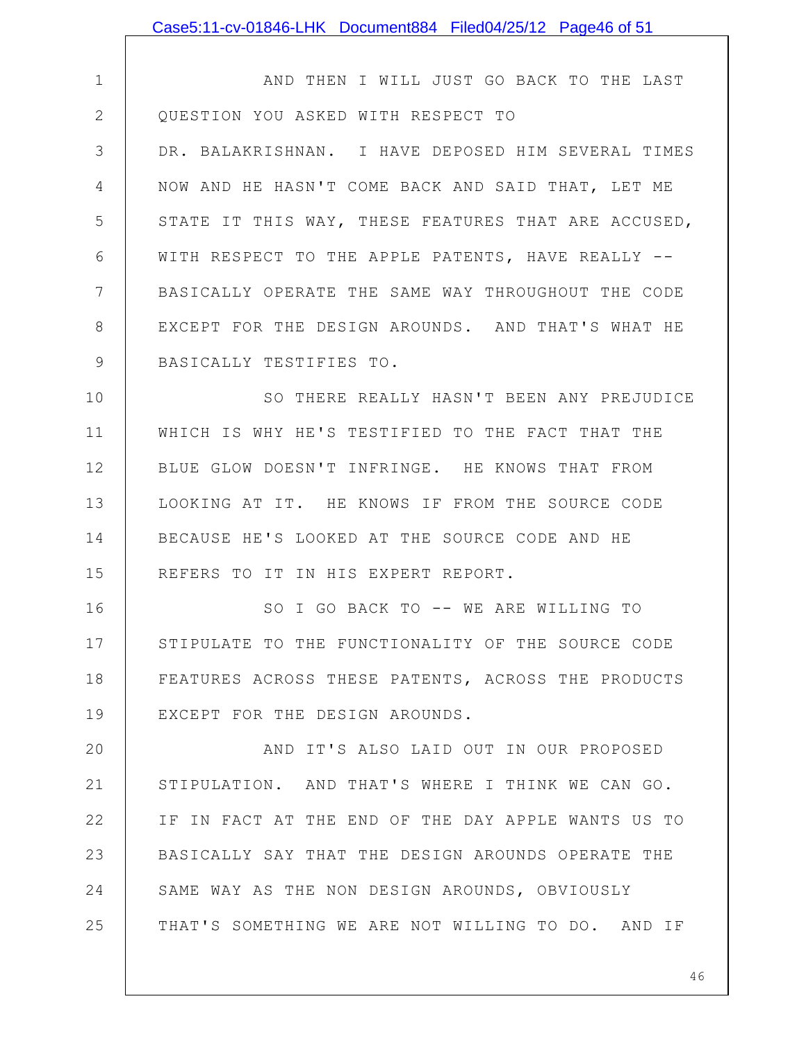1 2 3 4 5 6 7 8 9 10 11 12 13 14 15 16 17 18 19 20 21 22 23 24 25 AND THEN I WILL JUST GO BACK TO THE LAST QUESTION YOU ASKED WITH RESPECT TO DR. BALAKRISHNAN. I HAVE DEPOSED HIM SEVERAL TIMES NOW AND HE HASN'T COME BACK AND SAID THAT, LET ME STATE IT THIS WAY, THESE FEATURES THAT ARE ACCUSED, WITH RESPECT TO THE APPLE PATENTS, HAVE REALLY -- BASICALLY OPERATE THE SAME WAY THROUGHOUT THE CODE EXCEPT FOR THE DESIGN AROUNDS. AND THAT'S WHAT HE BASICALLY TESTIFIES TO. SO THERE REALLY HASN'T BEEN ANY PREJUDICE WHICH IS WHY HE'S TESTIFIED TO THE FACT THAT THE BLUE GLOW DOESN'T INFRINGE. HE KNOWS THAT FROM LOOKING AT IT. HE KNOWS IF FROM THE SOURCE CODE BECAUSE HE'S LOOKED AT THE SOURCE CODE AND HE REFERS TO IT IN HIS EXPERT REPORT. SO I GO BACK TO -- WE ARE WILLING TO STIPULATE TO THE FUNCTIONALITY OF THE SOURCE CODE FEATURES ACROSS THESE PATENTS, ACROSS THE PRODUCTS EXCEPT FOR THE DESIGN AROUNDS. AND IT'S ALSO LAID OUT IN OUR PROPOSED STIPULATION. AND THAT'S WHERE I THINK WE CAN GO. IF IN FACT AT THE END OF THE DAY APPLE WANTS US TO BASICALLY SAY THAT THE DESIGN AROUNDS OPERATE THE SAME WAY AS THE NON DESIGN AROUNDS, OBVIOUSLY THAT'S SOMETHING WE ARE NOT WILLING TO DO. AND IF Case5:11-cv-01846-LHK Document884 Filed04/25/12 Page46 of 51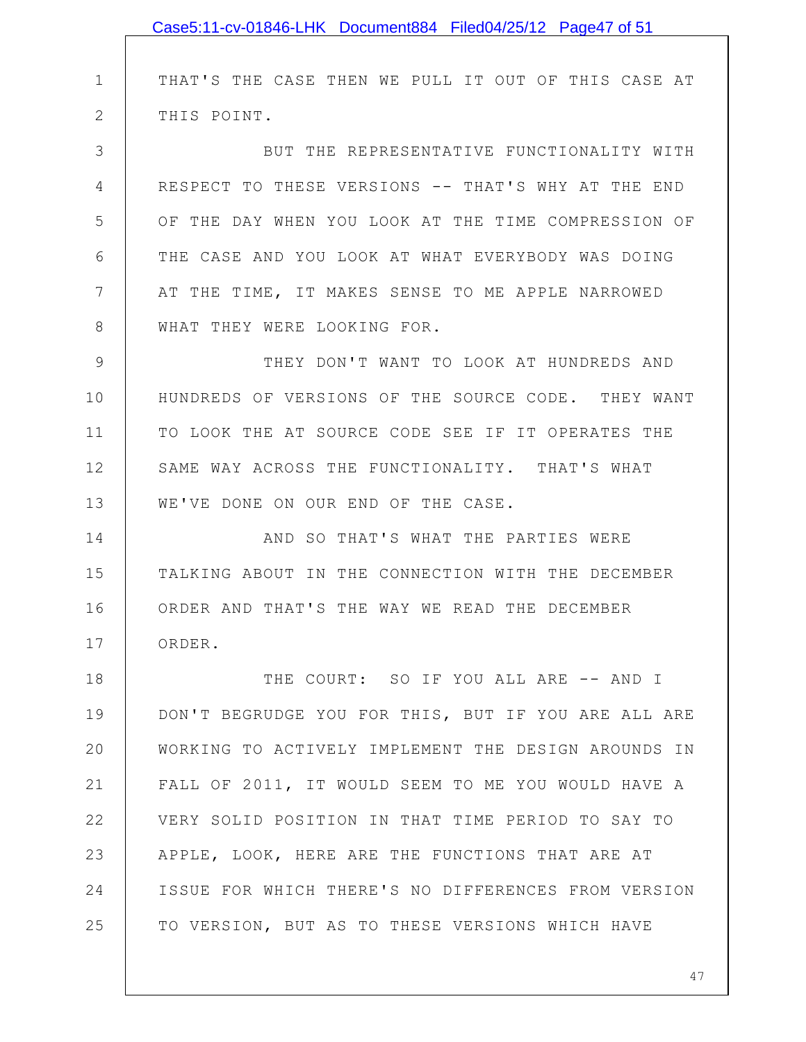|    | Case5:11-cv-01846-LHK Document884 Filed04/25/12 Page47 of 51 |
|----|--------------------------------------------------------------|
|    |                                                              |
| 1  | THAT'S THE CASE THEN WE PULL IT OUT OF THIS CASE AT          |
| 2  | THIS POINT.                                                  |
| 3  | BUT THE REPRESENTATIVE FUNCTIONALITY WITH                    |
| 4  | RESPECT TO THESE VERSIONS -- THAT'S WHY AT THE END           |
| 5  | OF THE DAY WHEN YOU LOOK AT THE TIME COMPRESSION OF          |
| 6  | THE CASE AND YOU LOOK AT WHAT EVERYBODY WAS DOING            |
| 7  | AT THE TIME, IT MAKES SENSE TO ME APPLE NARROWED             |
| 8  | WHAT THEY WERE LOOKING FOR.                                  |
| 9  | THEY DON'T WANT TO LOOK AT HUNDREDS AND                      |
| 10 | HUNDREDS OF VERSIONS OF THE SOURCE CODE. THEY WANT           |
| 11 | TO LOOK THE AT SOURCE CODE SEE IF IT OPERATES THE            |
| 12 | SAME WAY ACROSS THE FUNCTIONALITY. THAT'S WHAT               |
| 13 | WE'VE DONE ON OUR END OF THE CASE.                           |
| 14 | AND SO THAT'S WHAT THE PARTIES WERE                          |
| 15 | TALKING ABOUT IN THE CONNECTION WITH THE DECEMBER            |
| 16 | ORDER AND THAT'S THE WAY WE READ THE DECEMBER                |
| 17 | ORDER.                                                       |
| 18 | THE COURT: SO IF YOU ALL ARE -- AND I                        |
| 19 | DON'T BEGRUDGE YOU FOR THIS, BUT IF YOU ARE ALL ARE          |
| 20 | WORKING TO ACTIVELY IMPLEMENT THE DESIGN AROUNDS IN          |
| 21 | FALL OF 2011, IT WOULD SEEM TO ME YOU WOULD HAVE A           |
| 22 | VERY SOLID POSITION IN THAT TIME PERIOD TO SAY TO            |
| 23 | APPLE, LOOK, HERE ARE THE FUNCTIONS THAT ARE AT              |
| 24 | ISSUE FOR WHICH THERE'S NO DIFFERENCES FROM VERSION          |
| 25 | TO VERSION, BUT AS TO THESE VERSIONS WHICH HAVE              |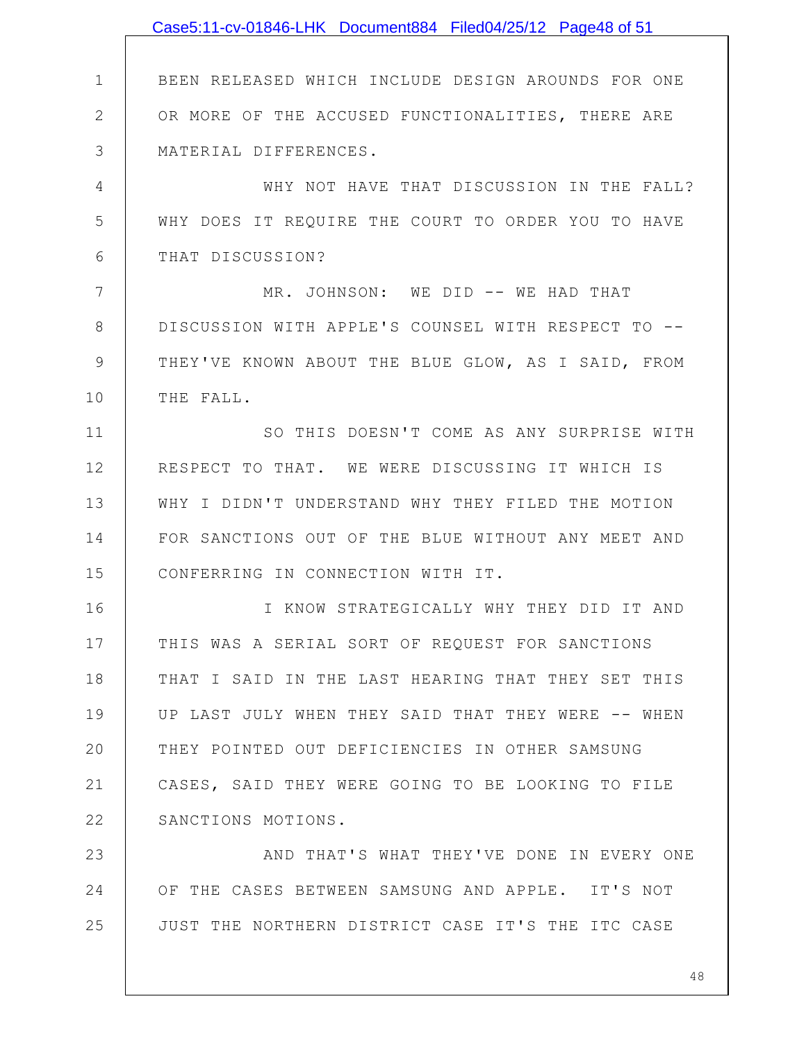|               | Case5:11-cv-01846-LHK Document884 Filed04/25/12 Page48 of 51 |
|---------------|--------------------------------------------------------------|
|               |                                                              |
| $\mathbf 1$   | BEEN RELEASED WHICH INCLUDE DESIGN AROUNDS FOR ONE           |
| $\mathbf{2}$  | OR MORE OF THE ACCUSED FUNCTIONALITIES, THERE ARE            |
| 3             | MATERIAL DIFFERENCES.                                        |
| 4             | WHY NOT HAVE THAT DISCUSSION IN THE FALL?                    |
| 5             | WHY DOES IT REQUIRE THE COURT TO ORDER YOU TO HAVE           |
| 6             | THAT DISCUSSION?                                             |
| 7             | MR. JOHNSON: WE DID -- WE HAD THAT                           |
| 8             | DISCUSSION WITH APPLE'S COUNSEL WITH RESPECT TO --           |
| $\mathcal{G}$ | THEY'VE KNOWN ABOUT THE BLUE GLOW, AS I SAID, FROM           |
| 10            | THE FALL.                                                    |
| 11            | SO THIS DOESN'T COME AS ANY SURPRISE WITH                    |
| 12            | RESPECT TO THAT. WE WERE DISCUSSING IT WHICH IS              |
| 13            | WHY I DIDN'T UNDERSTAND WHY THEY FILED THE MOTION            |
| 14            | FOR SANCTIONS OUT OF THE BLUE WITHOUT ANY MEET AND           |
| 15            | CONFERRING IN CONNECTION WITH IT.                            |
| 16            | I KNOW STRATEGICALLY WHY THEY DID IT AND                     |
| 17            | THIS WAS A SERIAL SORT OF REQUEST FOR SANCTIONS              |
| 18            | THAT I SAID IN THE LAST HEARING THAT THEY SET THIS           |
| 19            | UP LAST JULY WHEN THEY SAID THAT THEY WERE -- WHEN           |
| 20            | THEY POINTED OUT DEFICIENCIES IN OTHER SAMSUNG               |
| 21            | CASES, SAID THEY WERE GOING TO BE LOOKING TO FILE            |
| 22            | SANCTIONS MOTIONS.                                           |
| 23            | AND THAT'S WHAT THEY'VE DONE IN EVERY ONE                    |
| 24            | OF THE CASES BETWEEN SAMSUNG AND APPLE. IT'S NOT             |
| 25            | JUST THE NORTHERN DISTRICT CASE IT'S THE ITC CASE            |
|               |                                                              |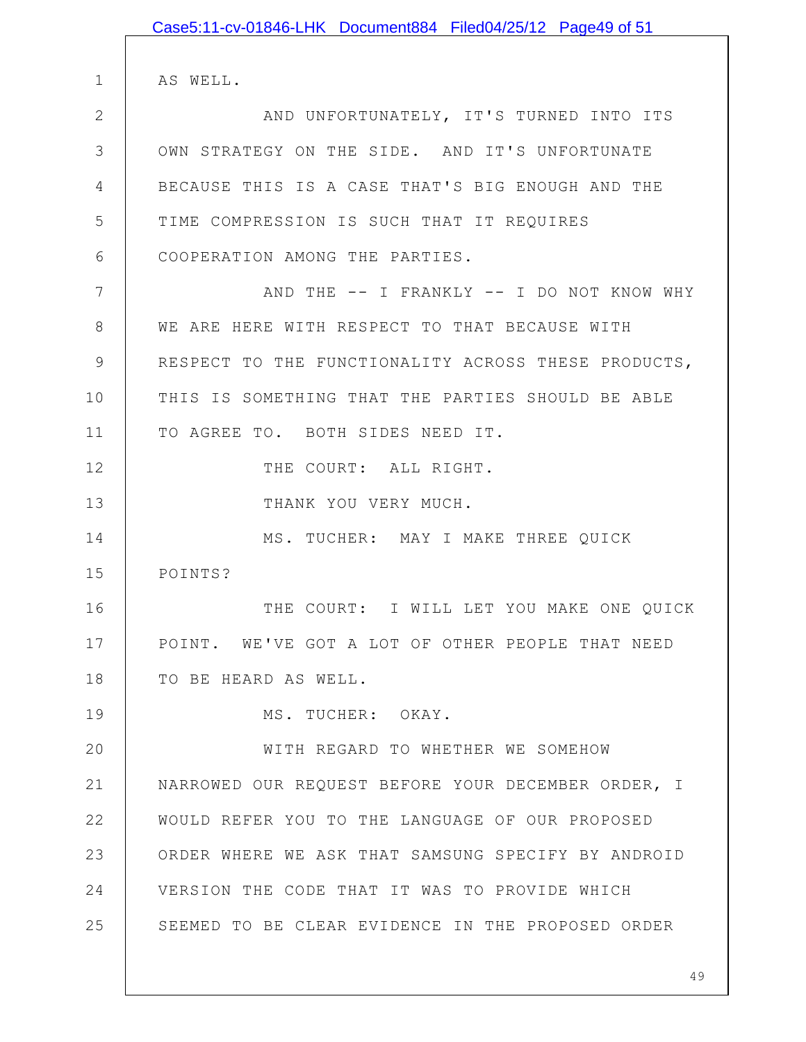|                | Case5:11-cv-01846-LHK Document884 Filed04/25/12 Page49 of 51 |
|----------------|--------------------------------------------------------------|
|                |                                                              |
| $\mathbf 1$    | AS WELL.                                                     |
| $\overline{2}$ | AND UNFORTUNATELY, IT'S TURNED INTO ITS                      |
| 3              | OWN STRATEGY ON THE SIDE. AND IT'S UNFORTUNATE               |
| 4              | BECAUSE THIS IS A CASE THAT'S BIG ENOUGH AND THE             |
| 5              | TIME COMPRESSION IS SUCH THAT IT REQUIRES                    |
| 6              | COOPERATION AMONG THE PARTIES.                               |
| 7              | AND THE -- I FRANKLY -- I DO NOT KNOW WHY                    |
| $8\,$          | WE ARE HERE WITH RESPECT TO THAT BECAUSE WITH                |
| $\mathcal{G}$  | RESPECT TO THE FUNCTIONALITY ACROSS THESE PRODUCTS,          |
| 10             | THIS IS SOMETHING THAT THE PARTIES SHOULD BE ABLE            |
| 11             | TO AGREE TO. BOTH SIDES NEED IT.                             |
| 12             | THE COURT: ALL RIGHT.                                        |
| 13             | THANK YOU VERY MUCH.                                         |
| 14             | MS. TUCHER: MAY I MAKE THREE QUICK                           |
| 15             | POINTS?                                                      |
| 16             | THE COURT: I WILL LET YOU MAKE ONE QUICK                     |
| 17             | POINT. WE'VE GOT A LOT OF OTHER PEOPLE THAT NEED             |
| 18             | TO BE HEARD AS WELL.                                         |
| 19             | MS. TUCHER: OKAY.                                            |
| 20             | WITH REGARD TO WHETHER WE SOMEHOW                            |
| 21             | NARROWED OUR REQUEST BEFORE YOUR DECEMBER ORDER, I           |
| 22             | WOULD REFER YOU TO THE LANGUAGE OF OUR PROPOSED              |
| 23             | ORDER WHERE WE ASK THAT SAMSUNG SPECIFY BY ANDROID           |
| 24             | VERSION THE CODE THAT IT WAS TO PROVIDE WHICH                |
| 25             | SEEMED TO BE CLEAR EVIDENCE IN THE PROPOSED ORDER            |
|                |                                                              |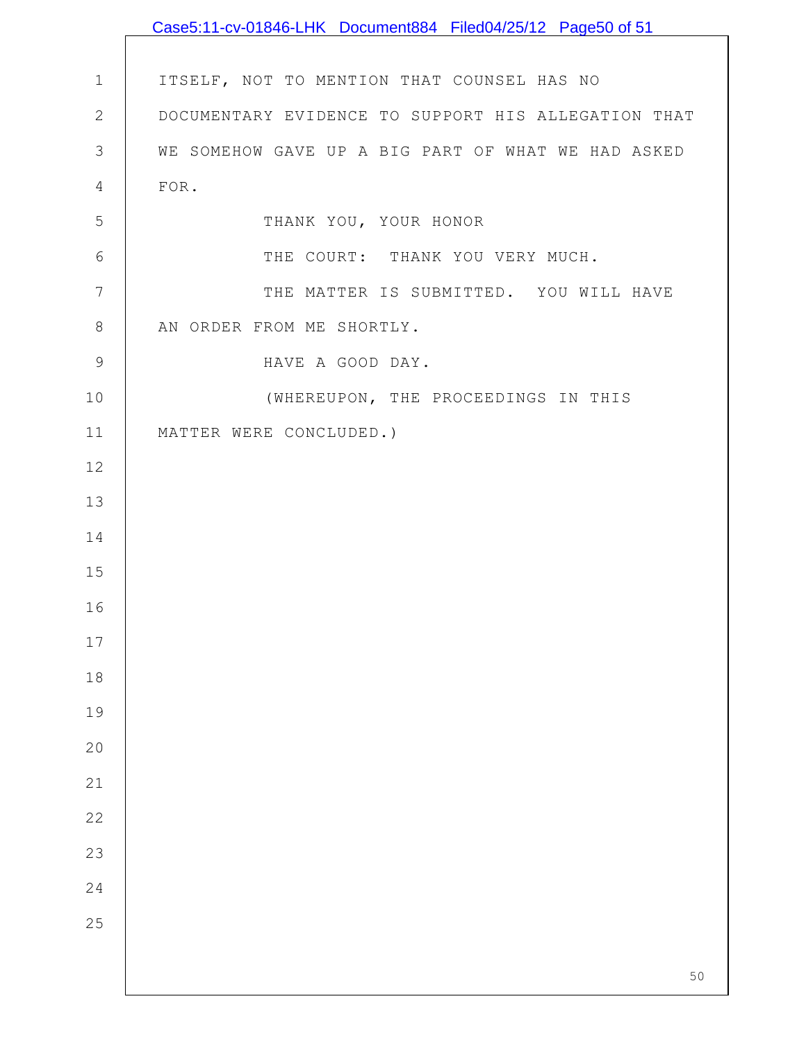|               | Case5:11-cv-01846-LHK Document884 Filed04/25/12 Page50 of 51 |
|---------------|--------------------------------------------------------------|
|               |                                                              |
| $\mathbf 1$   | ITSELF, NOT TO MENTION THAT COUNSEL HAS NO                   |
| $\sqrt{2}$    | DOCUMENTARY EVIDENCE TO SUPPORT HIS ALLEGATION THAT          |
| 3             | WE SOMEHOW GAVE UP A BIG PART OF WHAT WE HAD ASKED           |
| 4             | FOR.                                                         |
| 5             | THANK YOU, YOUR HONOR                                        |
| 6             | THE COURT: THANK YOU VERY MUCH.                              |
| 7             | THE MATTER IS SUBMITTED. YOU WILL HAVE                       |
| $\,8\,$       | AN ORDER FROM ME SHORTLY.                                    |
| $\mathcal{G}$ | HAVE A GOOD DAY.                                             |
| 10            | (WHEREUPON, THE PROCEEDINGS IN THIS                          |
| 11            | MATTER WERE CONCLUDED.)                                      |
| 12            |                                                              |
| 13            |                                                              |
| 14            |                                                              |
| 15            |                                                              |
| 16            |                                                              |
| $17$          |                                                              |
| 18            |                                                              |
| 19            |                                                              |
| 20            |                                                              |
| 21            |                                                              |
| 22            |                                                              |
| 23            |                                                              |
| 24            |                                                              |
| 25            |                                                              |
|               | 50                                                           |
|               |                                                              |

 $\mathsf{l}$